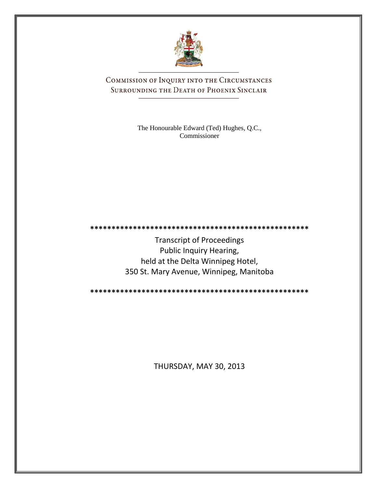

COMMISSION OF INQUIRY INTO THE CIRCUMSTANCES SURROUNDING THE DEATH OF PHOENIX SINCLAIR

> The Honourable Edward (Ted) Hughes, Q.C., Commissioner

Transcript of Proceedings Public Inquiry Hearing, held at the Delta Winnipeg Hotel, 350 St. Mary Avenue, Winnipeg, Manitoba

**\*\*\*\*\*\*\*\*\*\*\*\*\*\*\*\*\*\*\*\*\*\*\*\*\*\*\*\*\*\*\*\*\*\*\*\*\*\*\*\*\*\*\*\*\*\*\*\*\*\*\***

**\*\*\*\*\*\*\*\*\*\*\*\*\*\*\*\*\*\*\*\*\*\*\*\*\*\*\*\*\*\*\*\*\*\*\*\*\*\*\*\*\*\*\*\*\*\*\*\*\*\*\***

THURSDAY, MAY 30, 2013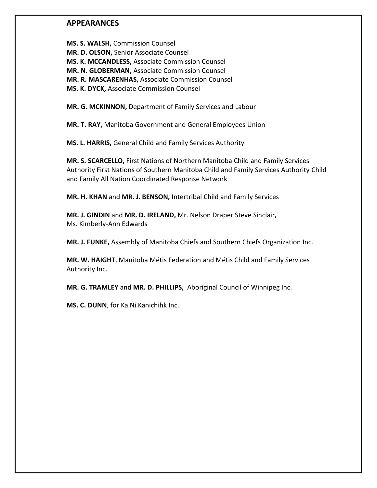# **APPEARANCES**

**MS. S. WALSH,** Commission Counsel **MR. D. OLSON,** Senior Associate Counsel **MS. K. MCCANDLESS,** Associate Commission Counsel **MR. N. GLOBERMAN,** Associate Commission Counsel **MR. R. MASCARENHAS,** Associate Commission Counsel **MS. K. DYCK,** Associate Commission Counsel

**MR. G. MCKINNON,** Department of Family Services and Labour

**MR. T. RAY,** Manitoba Government and General Employees Union

**MS. L. HARRIS,** General Child and Family Services Authority

**MR. S. SCARCELLO,** First Nations of Northern Manitoba Child and Family Services Authority First Nations of Southern Manitoba Child and Family Services Authority Child and Family All Nation Coordinated Response Network

**MR. H. KHAN** and **MR. J. BENSON,** Intertribal Child and Family Services

**MR. J. GINDIN** and **MR. D. IRELAND,** Mr. Nelson Draper Steve Sinclair**,** Ms. Kimberly-Ann Edwards

**MR. J. FUNKE,** Assembly of Manitoba Chiefs and Southern Chiefs Organization Inc.

**MR. W. HAIGHT**, Manitoba Métis Federation and Métis Child and Family Services Authority Inc.

**MR. G. TRAMLEY** and **MR. D. PHILLIPS,** Aboriginal Council of Winnipeg Inc.

**MS. C. DUNN**, for Ka Ni Kanichihk Inc.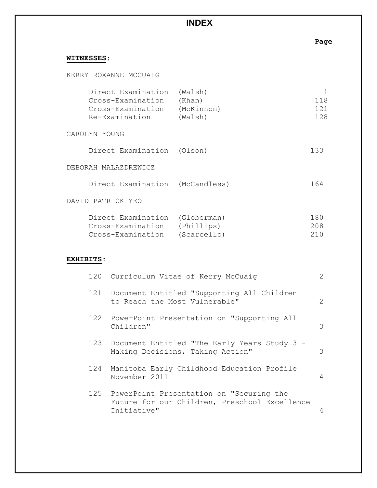# **INDEX**

# **Page**

# **WITNESSES:**

KERRY ROXANNE MCCUAIG

| Direct Examination | (Walsh)    |     |
|--------------------|------------|-----|
| Cross-Examination  | (Khan)     | 118 |
| Cross-Examination  | (McKinnon) | 121 |
| Re-Examination     | (Walsh)    | 128 |

### CAROLYN YOUNG

| Direct Examination (Olson) |  | 133 |
|----------------------------|--|-----|
|----------------------------|--|-----|

## DEBORAH MALAZDREWICZ

| Direct Examination | (McCandless) | 164 |
|--------------------|--------------|-----|
|--------------------|--------------|-----|

### DAVID PATRICK YEO

| Direct Examination (Globerman) | 180 |
|--------------------------------|-----|
| Cross-Examination (Phillips)   | 208 |
| Cross-Examination (Scarcello)  | 210 |

# **EXHIBITS:**

|     | 120 Curriculum Vitae of Kerry McCuaiq                                                                        | 2             |
|-----|--------------------------------------------------------------------------------------------------------------|---------------|
|     | 121 Document Entitled "Supporting All Children<br>to Reach the Most Vulnerable"                              | $\mathcal{L}$ |
|     | 122 PowerPoint Presentation on "Supporting All<br>Children"                                                  | 3             |
|     | 123 Document Entitled "The Early Years Study 3 -<br>Making Decisions, Taking Action"                         | 3             |
| 124 | Manitoba Early Childhood Education Profile<br>November 2011                                                  | 4             |
|     | 125 PowerPoint Presentation on "Securing the<br>Future for our Children, Preschool Excellence<br>Initiative" | 4             |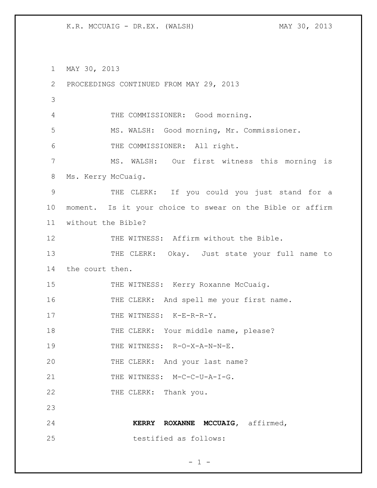K.R. MCCUAIG - DR.EX. (WALSH) MAY 30, 2013

1 MAY 30, 2013 2 PROCEEDINGS CONTINUED FROM MAY 29, 2013 3 4 THE COMMISSIONER: Good morning. 5 MS. WALSH: Good morning, Mr. Commissioner. 6 THE COMMISSIONER: All right. 7 MS. WALSH: Our first witness this morning is 8 Ms. Kerry McCuaig. 9 THE CLERK: If you could you just stand for a 10 moment. Is it your choice to swear on the Bible or affirm 11 without the Bible? 12 THE WITNESS: Affirm without the Bible. 13 THE CLERK: Okay. Just state your full name to 14 the court then. 15 THE WITNESS: Kerry Roxanne McCuaig. 16 THE CLERK: And spell me your first name. 17 THE WITNESS: K-E-R-R-Y. 18 THE CLERK: Your middle name, please? 19 THE WITNESS: R-O-X-A-N-N-E. 20 THE CLERK: And your last name? 21 THE WITNESS: M-C-C-U-A-I-G. 22 THE CLERK: Thank you. 23 24 **KERRY ROXANNE MCCUAIG,** affirmed, 25 testified as follows: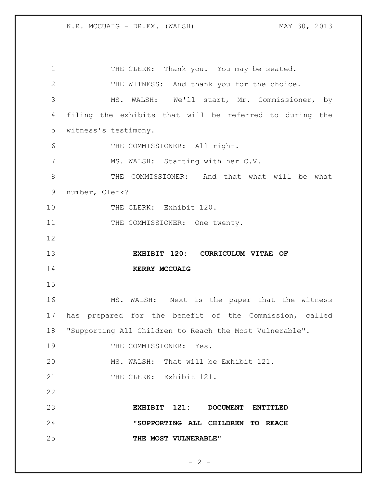1 THE CLERK: Thank you. You may be seated. THE WITNESS: And thank you for the choice. MS. WALSH: We'll start, Mr. Commissioner, by filing the exhibits that will be referred to during the witness's testimony. THE COMMISSIONER: All right. MS. WALSH: Starting with her C.V. THE COMMISSIONER: And that what will be what number, Clerk? 10 THE CLERK: Exhibit 120. 11 THE COMMISSIONER: One twenty. **EXHIBIT 120: CURRICULUM VITAE OF KERRY MCCUAIG** MS. WALSH: Next is the paper that the witness has prepared for the benefit of the Commission, called "Supporting All Children to Reach the Most Vulnerable". 19 THE COMMISSIONER: Yes. MS. WALSH: That will be Exhibit 121. 21 THE CLERK: Exhibit 121. **EXHIBIT 121: DOCUMENT ENTITLED "SUPPORTING ALL CHILDREN TO REACH THE MOST VULNERABLE"**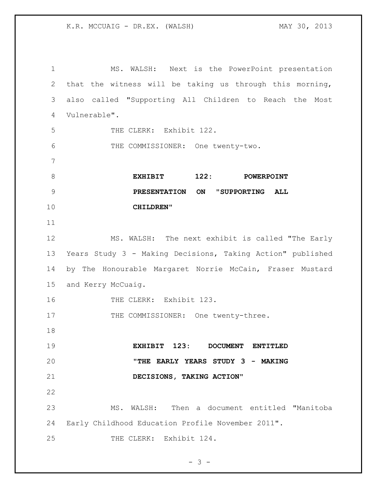MS. WALSH: Next is the PowerPoint presentation that the witness will be taking us through this morning, also called "Supporting All Children to Reach the Most Vulnerable". THE CLERK: Exhibit 122. THE COMMISSIONER: One twenty-two. **EXHIBIT 122: POWERPOINT PRESENTATION ON "SUPPORTING ALL CHILDREN"** MS. WALSH: The next exhibit is called "The Early Years Study 3 - Making Decisions, Taking Action" published by The Honourable Margaret Norrie McCain, Fraser Mustard and Kerry McCuaig. 16 THE CLERK: Exhibit 123. 17 THE COMMISSIONER: One twenty-three. **EXHIBIT 123: DOCUMENT ENTITLED "THE EARLY YEARS STUDY 3 - MAKING DECISIONS, TAKING ACTION"** MS. WALSH: Then a document entitled "Manitoba Early Childhood Education Profile November 2011". 25 THE CLERK: Exhibit 124.

```
- 3 -
```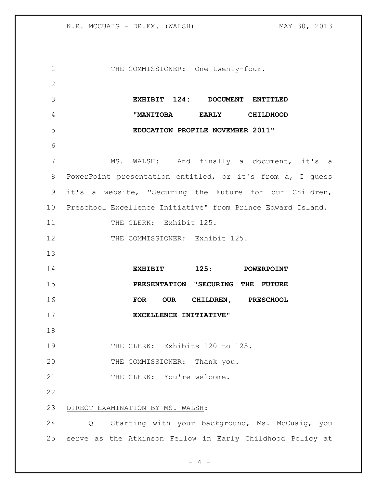| 1               | THE COMMISSIONER: One twenty-four.                          |
|-----------------|-------------------------------------------------------------|
| 2               |                                                             |
| 3               | EXHIBIT 124: DOCUMENT ENTITLED                              |
| 4               | "MANITOBA EARLY CHILDHOOD                                   |
| 5               | EDUCATION PROFILE NOVEMBER 2011"                            |
| 6               |                                                             |
| 7               | MS. WALSH: And finally a document, it's a                   |
| 8               | PowerPoint presentation entitled, or it's from a, I guess   |
| 9               | it's a website, "Securing the Future for our Children,      |
| 10 <sub>o</sub> | Preschool Excellence Initiative" from Prince Edward Island. |
| 11              | THE CLERK: Exhibit 125.                                     |
| 12              | THE COMMISSIONER: Exhibit 125.                              |
| 13              |                                                             |
| 14              | EXHIBIT 125: POWERPOINT                                     |
| 15              | PRESENTATION "SECURING THE FUTURE                           |
| 16              | CHILDREN, PRESCHOOL<br>FOR OUR                              |
| 17              | EXCELLENCE INITIATIVE"                                      |
| 18              |                                                             |
| 19              |                                                             |
|                 | THE CLERK: Exhibits 120 to 125.                             |
| 20              | THE COMMISSIONER: Thank you.                                |
| 21              | THE CLERK: You're welcome.                                  |
| 22              |                                                             |
| 23              | DIRECT EXAMINATION BY MS. WALSH:                            |
| 24              | Starting with your background, Ms. McCuaig, you<br>Q        |

- 4 -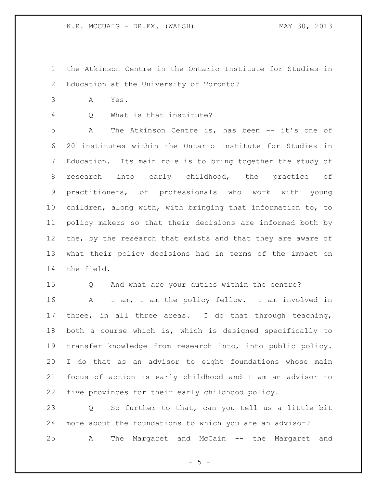- the Atkinson Centre in the Ontario Institute for Studies in Education at the University of Toronto?
- A Yes.
- Q What is that institute?

 A The Atkinson Centre is, has been -- it's one of 20 institutes within the Ontario Institute for Studies in Education. Its main role is to bring together the study of research into early childhood, the practice of practitioners, of professionals who work with young children, along with, with bringing that information to, to policy makers so that their decisions are informed both by 12 the, by the research that exists and that they are aware of what their policy decisions had in terms of the impact on the field.

Q And what are your duties within the centre?

 A I am, I am the policy fellow. I am involved in three, in all three areas. I do that through teaching, both a course which is, which is designed specifically to transfer knowledge from research into, into public policy. I do that as an advisor to eight foundations whose main focus of action is early childhood and I am an advisor to five provinces for their early childhood policy.

 Q So further to that, can you tell us a little bit more about the foundations to which you are an advisor? A The Margaret and McCain -- the Margaret and

 $- 5 -$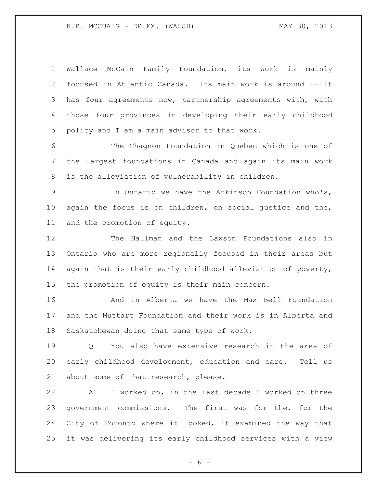Wallace McCain Family Foundation, its work is mainly focused in Atlantic Canada. Its main work is around -- it has four agreements now, partnership agreements with, with those four provinces in developing their early childhood policy and I am a main advisor to that work.

 The Chagnon Foundation in Quebec which is one of the largest foundations in Canada and again its main work is the alleviation of vulnerability in children.

 In Ontario we have the Atkinson Foundation who's, again the focus is on children, on social justice and the, and the promotion of equity.

 The Hallman and the Lawson Foundations also in Ontario who are more regionally focused in their areas but again that is their early childhood alleviation of poverty, the promotion of equity is their main concern.

 And in Alberta we have the Max Bell Foundation and the Muttart Foundation and their work is in Alberta and Saskatchewan doing that same type of work.

 Q You also have extensive research in the area of early childhood development, education and care. Tell us about some of that research, please.

 A I worked on, in the last decade I worked on three government commissions. The first was for the, for the City of Toronto where it looked, it examined the way that it was delivering its early childhood services with a view

 $- 6 -$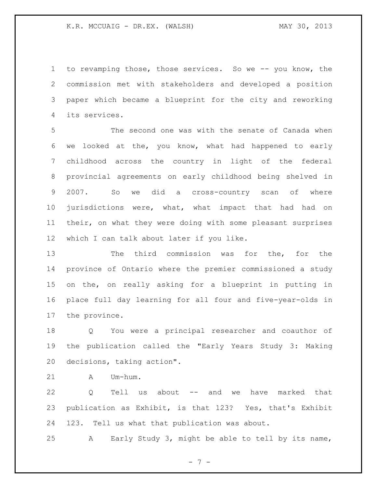to revamping those, those services. So we -- you know, the commission met with stakeholders and developed a position paper which became a blueprint for the city and reworking its services.

 The second one was with the senate of Canada when we looked at the, you know, what had happened to early childhood across the country in light of the federal provincial agreements on early childhood being shelved in 2007. So we did a cross-country scan of where jurisdictions were, what, what impact that had had on their, on what they were doing with some pleasant surprises which I can talk about later if you like.

 The third commission was for the, for the province of Ontario where the premier commissioned a study on the, on really asking for a blueprint in putting in place full day learning for all four and five-year-olds in the province.

 Q You were a principal researcher and coauthor of the publication called the "Early Years Study 3: Making decisions, taking action".

A Um-hum.

 Q Tell us about -- and we have marked that publication as Exhibit, is that 123? Yes, that's Exhibit 123. Tell us what that publication was about.

A Early Study 3, might be able to tell by its name,

- 7 -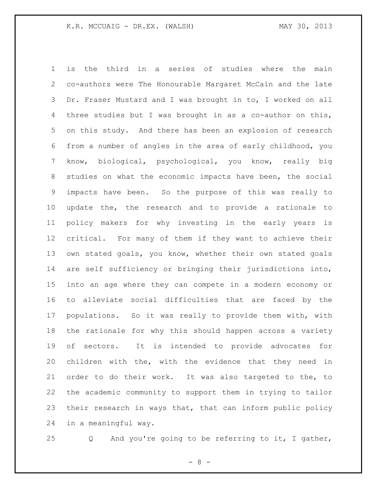is the third in a series of studies where the main co-authors were The Honourable Margaret McCain and the late Dr. Fraser Mustard and I was brought in to, I worked on all three studies but I was brought in as a co-author on this, on this study. And there has been an explosion of research from a number of angles in the area of early childhood, you know, biological, psychological, you know, really big studies on what the economic impacts have been, the social impacts have been. So the purpose of this was really to update the, the research and to provide a rationale to policy makers for why investing in the early years is critical. For many of them if they want to achieve their own stated goals, you know, whether their own stated goals are self sufficiency or bringing their jurisdictions into, into an age where they can compete in a modern economy or to alleviate social difficulties that are faced by the populations. So it was really to provide them with, with the rationale for why this should happen across a variety of sectors. It is intended to provide advocates for children with the, with the evidence that they need in order to do their work. It was also targeted to the, to the academic community to support them in trying to tailor their research in ways that, that can inform public policy in a meaningful way.

Q And you're going to be referring to it, I gather,

- 8 -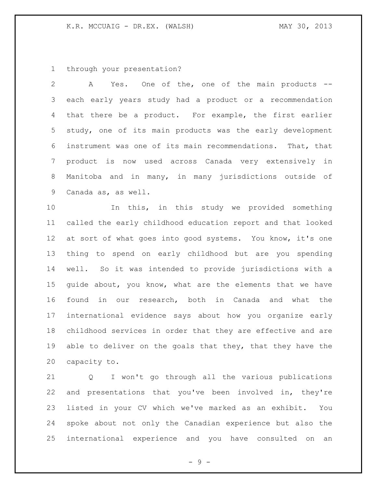through your presentation?

 A Yes. One of the, one of the main products -- each early years study had a product or a recommendation that there be a product. For example, the first earlier study, one of its main products was the early development instrument was one of its main recommendations. That, that product is now used across Canada very extensively in Manitoba and in many, in many jurisdictions outside of Canada as, as well.

 In this, in this study we provided something called the early childhood education report and that looked 12 at sort of what goes into good systems. You know, it's one thing to spend on early childhood but are you spending well. So it was intended to provide jurisdictions with a guide about, you know, what are the elements that we have found in our research, both in Canada and what the international evidence says about how you organize early childhood services in order that they are effective and are 19 able to deliver on the goals that they, that they have the capacity to.

 Q I won't go through all the various publications and presentations that you've been involved in, they're listed in your CV which we've marked as an exhibit. You spoke about not only the Canadian experience but also the international experience and you have consulted on an

 $-9 -$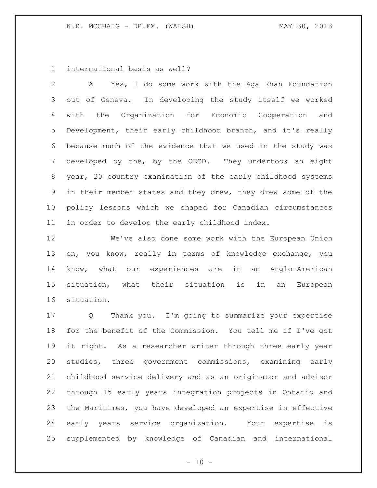international basis as well?

 A Yes, I do some work with the Aga Khan Foundation out of Geneva. In developing the study itself we worked with the Organization for Economic Cooperation and Development, their early childhood branch, and it's really because much of the evidence that we used in the study was developed by the, by the OECD. They undertook an eight year, 20 country examination of the early childhood systems in their member states and they drew, they drew some of the policy lessons which we shaped for Canadian circumstances in order to develop the early childhood index.

 We've also done some work with the European Union on, you know, really in terms of knowledge exchange, you know, what our experiences are in an Anglo-American situation, what their situation is in an European situation.

 Q Thank you. I'm going to summarize your expertise for the benefit of the Commission. You tell me if I've got it right. As a researcher writer through three early year studies, three government commissions, examining early childhood service delivery and as an originator and advisor through 15 early years integration projects in Ontario and the Maritimes, you have developed an expertise in effective early years service organization. Your expertise is supplemented by knowledge of Canadian and international

 $- 10 -$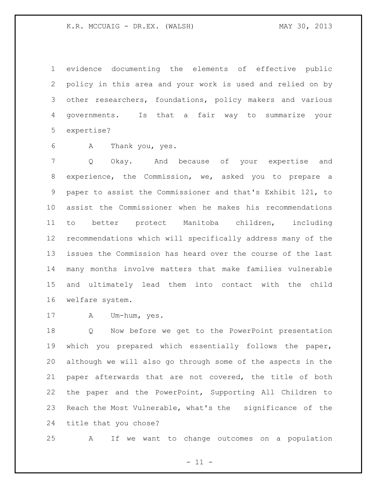evidence documenting the elements of effective public policy in this area and your work is used and relied on by other researchers, foundations, policy makers and various governments. Is that a fair way to summarize your expertise?

A Thank you, yes.

 Q Okay. And because of your expertise and experience, the Commission, we, asked you to prepare a paper to assist the Commissioner and that's Exhibit 121, to assist the Commissioner when he makes his recommendations to better protect Manitoba children, including recommendations which will specifically address many of the issues the Commission has heard over the course of the last many months involve matters that make families vulnerable and ultimately lead them into contact with the child welfare system.

A Um-hum, yes.

 Q Now before we get to the PowerPoint presentation which you prepared which essentially follows the paper, although we will also go through some of the aspects in the paper afterwards that are not covered, the title of both the paper and the PowerPoint, Supporting All Children to Reach the Most Vulnerable, what's the significance of the title that you chose?

A If we want to change outcomes on a population

 $- 11 -$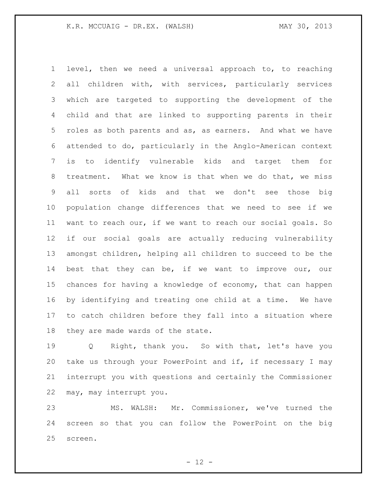level, then we need a universal approach to, to reaching all children with, with services, particularly services which are targeted to supporting the development of the child and that are linked to supporting parents in their roles as both parents and as, as earners. And what we have attended to do, particularly in the Anglo-American context is to identify vulnerable kids and target them for treatment. What we know is that when we do that, we miss all sorts of kids and that we don't see those big population change differences that we need to see if we want to reach our, if we want to reach our social goals. So if our social goals are actually reducing vulnerability amongst children, helping all children to succeed to be the best that they can be, if we want to improve our, our chances for having a knowledge of economy, that can happen by identifying and treating one child at a time. We have to catch children before they fall into a situation where they are made wards of the state.

 Q Right, thank you. So with that, let's have you take us through your PowerPoint and if, if necessary I may interrupt you with questions and certainly the Commissioner may, may interrupt you.

 MS. WALSH: Mr. Commissioner, we've turned the screen so that you can follow the PowerPoint on the big screen.

 $- 12 -$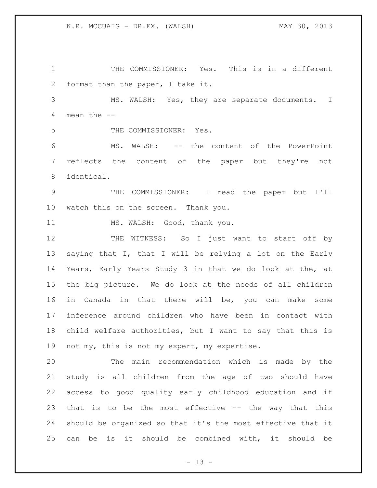THE COMMISSIONER: Yes. This is in a different format than the paper, I take it. MS. WALSH: Yes, they are separate documents. I mean the -- THE COMMISSIONER: Yes. MS. WALSH: -- the content of the PowerPoint reflects the content of the paper but they're not identical. THE COMMISSIONER: I read the paper but I'll watch this on the screen. Thank you. 11 MS. WALSH: Good, thank you. 12 THE WITNESS: So I just want to start off by saying that I, that I will be relying a lot on the Early Years, Early Years Study 3 in that we do look at the, at the big picture. We do look at the needs of all children in Canada in that there will be, you can make some inference around children who have been in contact with child welfare authorities, but I want to say that this is 19 not my, this is not my expert, my expertise. The main recommendation which is made by the study is all children from the age of two should have access to good quality early childhood education and if that is to be the most effective -- the way that this

 should be organized so that it's the most effective that it can be is it should be combined with, it should be

 $- 13 -$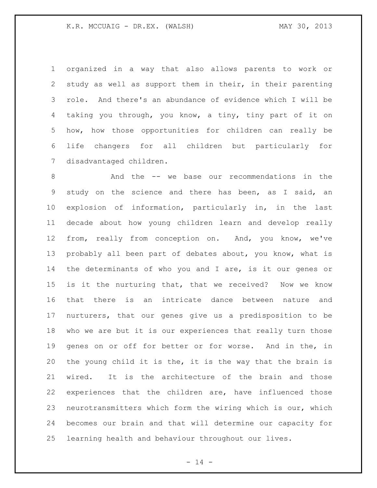organized in a way that also allows parents to work or study as well as support them in their, in their parenting role. And there's an abundance of evidence which I will be taking you through, you know, a tiny, tiny part of it on how, how those opportunities for children can really be life changers for all children but particularly for disadvantaged children.

 And the -- we base our recommendations in the study on the science and there has been, as I said, an explosion of information, particularly in, in the last decade about how young children learn and develop really from, really from conception on. And, you know, we've probably all been part of debates about, you know, what is the determinants of who you and I are, is it our genes or is it the nurturing that, that we received? Now we know that there is an intricate dance between nature and nurturers, that our genes give us a predisposition to be who we are but it is our experiences that really turn those genes on or off for better or for worse. And in the, in the young child it is the, it is the way that the brain is wired. It is the architecture of the brain and those experiences that the children are, have influenced those neurotransmitters which form the wiring which is our, which becomes our brain and that will determine our capacity for learning health and behaviour throughout our lives.

 $- 14 -$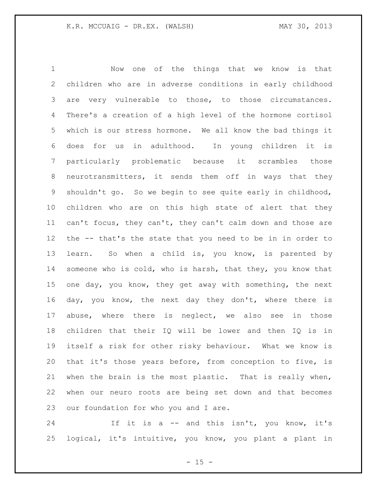Now one of the things that we know is that children who are in adverse conditions in early childhood are very vulnerable to those, to those circumstances. There's a creation of a high level of the hormone cortisol which is our stress hormone. We all know the bad things it does for us in adulthood. In young children it is particularly problematic because it scrambles those neurotransmitters, it sends them off in ways that they shouldn't go. So we begin to see quite early in childhood, children who are on this high state of alert that they can't focus, they can't, they can't calm down and those are the -- that's the state that you need to be in in order to learn. So when a child is, you know, is parented by someone who is cold, who is harsh, that they, you know that one day, you know, they get away with something, the next day, you know, the next day they don't, where there is abuse, where there is neglect, we also see in those children that their IQ will be lower and then IQ is in itself a risk for other risky behaviour. What we know is that it's those years before, from conception to five, is when the brain is the most plastic. That is really when, when our neuro roots are being set down and that becomes our foundation for who you and I are.

24 If it is a -- and this isn't, you know, it's logical, it's intuitive, you know, you plant a plant in

 $- 15 -$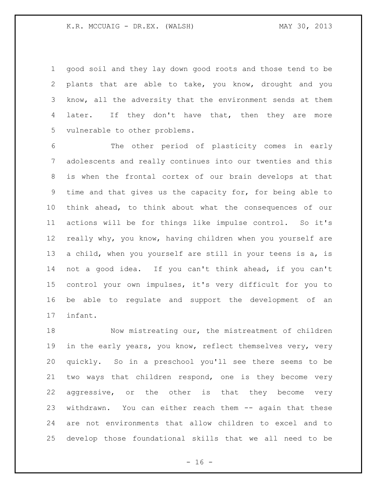good soil and they lay down good roots and those tend to be plants that are able to take, you know, drought and you know, all the adversity that the environment sends at them 4 later. If they don't have that, then they are more vulnerable to other problems.

 The other period of plasticity comes in early adolescents and really continues into our twenties and this is when the frontal cortex of our brain develops at that time and that gives us the capacity for, for being able to think ahead, to think about what the consequences of our actions will be for things like impulse control. So it's really why, you know, having children when you yourself are a child, when you yourself are still in your teens is a, is not a good idea. If you can't think ahead, if you can't control your own impulses, it's very difficult for you to be able to regulate and support the development of an infant.

 Now mistreating our, the mistreatment of children in the early years, you know, reflect themselves very, very quickly. So in a preschool you'll see there seems to be two ways that children respond, one is they become very aggressive, or the other is that they become very withdrawn. You can either reach them -- again that these are not environments that allow children to excel and to develop those foundational skills that we all need to be

 $- 16 -$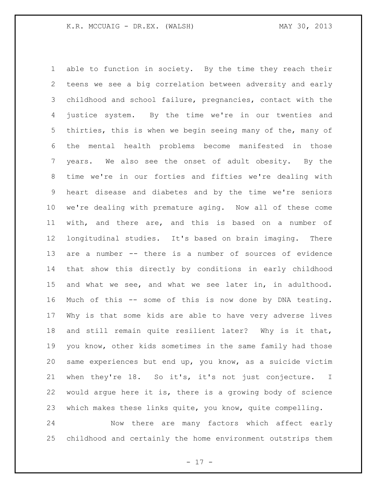able to function in society. By the time they reach their teens we see a big correlation between adversity and early childhood and school failure, pregnancies, contact with the justice system. By the time we're in our twenties and thirties, this is when we begin seeing many of the, many of the mental health problems become manifested in those years. We also see the onset of adult obesity. By the time we're in our forties and fifties we're dealing with heart disease and diabetes and by the time we're seniors we're dealing with premature aging. Now all of these come with, and there are, and this is based on a number of longitudinal studies. It's based on brain imaging. There are a number -- there is a number of sources of evidence that show this directly by conditions in early childhood and what we see, and what we see later in, in adulthood. Much of this -- some of this is now done by DNA testing. Why is that some kids are able to have very adverse lives and still remain quite resilient later? Why is it that, you know, other kids sometimes in the same family had those same experiences but end up, you know, as a suicide victim when they're 18. So it's, it's not just conjecture. I would argue here it is, there is a growing body of science which makes these links quite, you know, quite compelling.

 Now there are many factors which affect early childhood and certainly the home environment outstrips them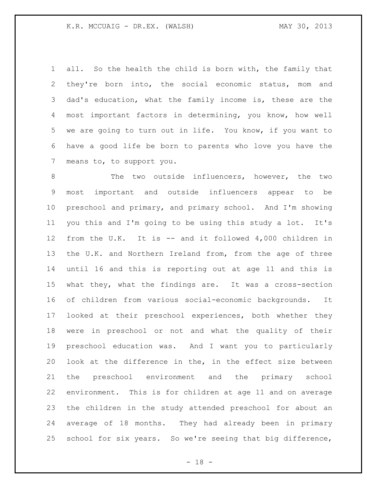all. So the health the child is born with, the family that they're born into, the social economic status, mom and dad's education, what the family income is, these are the most important factors in determining, you know, how well we are going to turn out in life. You know, if you want to have a good life be born to parents who love you have the means to, to support you.

 The two outside influencers, however, the two most important and outside influencers appear to be preschool and primary, and primary school. And I'm showing you this and I'm going to be using this study a lot. It's from the U.K. It is -- and it followed 4,000 children in the U.K. and Northern Ireland from, from the age of three until 16 and this is reporting out at age 11 and this is what they, what the findings are. It was a cross-section of children from various social-economic backgrounds. It looked at their preschool experiences, both whether they were in preschool or not and what the quality of their preschool education was. And I want you to particularly look at the difference in the, in the effect size between the preschool environment and the primary school environment. This is for children at age 11 and on average the children in the study attended preschool for about an average of 18 months. They had already been in primary school for six years. So we're seeing that big difference,

- 18 -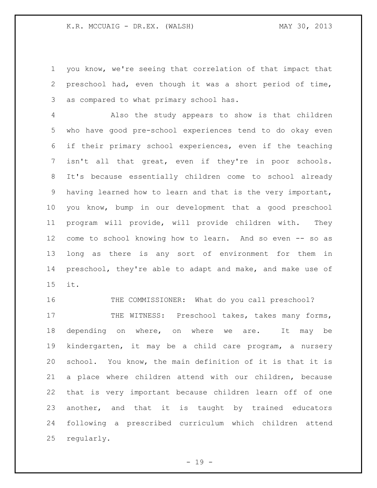you know, we're seeing that correlation of that impact that preschool had, even though it was a short period of time, as compared to what primary school has.

 Also the study appears to show is that children who have good pre-school experiences tend to do okay even if their primary school experiences, even if the teaching isn't all that great, even if they're in poor schools. It's because essentially children come to school already having learned how to learn and that is the very important, you know, bump in our development that a good preschool program will provide, will provide children with. They come to school knowing how to learn. And so even -- so as long as there is any sort of environment for them in preschool, they're able to adapt and make, and make use of it.

 THE COMMISSIONER: What do you call preschool? 17 THE WITNESS: Preschool takes, takes many forms, 18 depending on where, on where we are. It may be kindergarten, it may be a child care program, a nursery school. You know, the main definition of it is that it is a place where children attend with our children, because that is very important because children learn off of one another, and that it is taught by trained educators following a prescribed curriculum which children attend regularly.

- 19 -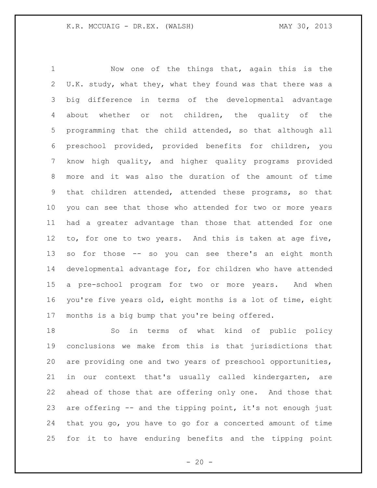Now one of the things that, again this is the U.K. study, what they, what they found was that there was a big difference in terms of the developmental advantage about whether or not children, the quality of the programming that the child attended, so that although all preschool provided, provided benefits for children, you know high quality, and higher quality programs provided more and it was also the duration of the amount of time that children attended, attended these programs, so that you can see that those who attended for two or more years had a greater advantage than those that attended for one to, for one to two years. And this is taken at age five, so for those -- so you can see there's an eight month developmental advantage for, for children who have attended a pre-school program for two or more years. And when you're five years old, eight months is a lot of time, eight months is a big bump that you're being offered.

 So in terms of what kind of public policy conclusions we make from this is that jurisdictions that are providing one and two years of preschool opportunities, in our context that's usually called kindergarten, are ahead of those that are offering only one. And those that are offering -- and the tipping point, it's not enough just that you go, you have to go for a concerted amount of time for it to have enduring benefits and the tipping point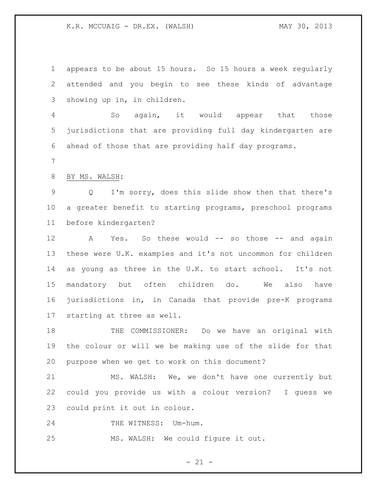K.R. MCCUAIG - DR.EX. (WALSH) MAY 30, 2013

 appears to be about 15 hours. So 15 hours a week regularly attended and you begin to see these kinds of advantage showing up in, in children. So again, it would appear that those jurisdictions that are providing full day kindergarten are ahead of those that are providing half day programs. BY MS. WALSH: Q I'm sorry, does this slide show then that there's a greater benefit to starting programs, preschool programs before kindergarten? 12 A Yes. So these would -- so those -- and again these were U.K. examples and it's not uncommon for children as young as three in the U.K. to start school. It's not mandatory but often children do. We also have jurisdictions in, in Canada that provide pre-K programs starting at three as well. THE COMMISSIONER: Do we have an original with the colour or will we be making use of the slide for that purpose when we get to work on this document?

 MS. WALSH: We, we don't have one currently but could you provide us with a colour version? I guess we could print it out in colour.

24 THE WITNESS: Um-hum.

MS. WALSH: We could figure it out.

 $- 21 -$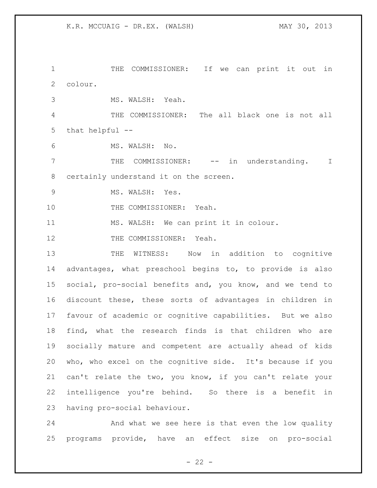THE COMMISSIONER: If we can print it out in colour.

MS. WALSH: Yeah.

 THE COMMISSIONER: The all black one is not all that helpful --

MS. WALSH: No.

7 THE COMMISSIONER: -- in understanding. I certainly understand it on the screen.

MS. WALSH: Yes.

10 THE COMMISSIONER: Yeah.

MS. WALSH: We can print it in colour.

12 THE COMMISSIONER: Yeah.

13 THE WITNESS: Now in addition to cognitive advantages, what preschool begins to, to provide is also social, pro-social benefits and, you know, and we tend to discount these, these sorts of advantages in children in favour of academic or cognitive capabilities. But we also find, what the research finds is that children who are socially mature and competent are actually ahead of kids who, who excel on the cognitive side. It's because if you can't relate the two, you know, if you can't relate your intelligence you're behind. So there is a benefit in having pro-social behaviour.

 And what we see here is that even the low quality programs provide, have an effect size on pro-social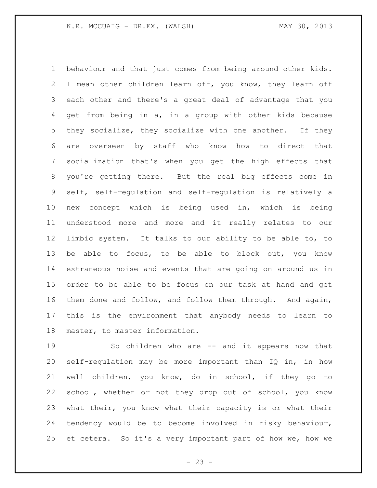behaviour and that just comes from being around other kids. I mean other children learn off, you know, they learn off each other and there's a great deal of advantage that you get from being in a, in a group with other kids because they socialize, they socialize with one another. If they are overseen by staff who know how to direct that socialization that's when you get the high effects that you're getting there. But the real big effects come in self, self-regulation and self-regulation is relatively a new concept which is being used in, which is being understood more and more and it really relates to our limbic system. It talks to our ability to be able to, to be able to focus, to be able to block out, you know extraneous noise and events that are going on around us in order to be able to be focus on our task at hand and get them done and follow, and follow them through. And again, this is the environment that anybody needs to learn to master, to master information.

 So children who are -- and it appears now that self-regulation may be more important than IQ in, in how well children, you know, do in school, if they go to school, whether or not they drop out of school, you know what their, you know what their capacity is or what their tendency would be to become involved in risky behaviour, et cetera. So it's a very important part of how we, how we

 $- 23 -$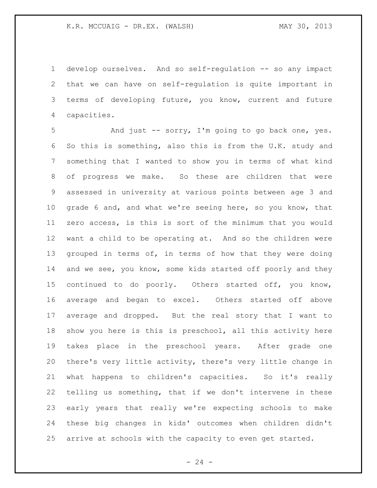develop ourselves. And so self-regulation -- so any impact that we can have on self-regulation is quite important in terms of developing future, you know, current and future capacities.

 And just -- sorry, I'm going to go back one, yes. So this is something, also this is from the U.K. study and something that I wanted to show you in terms of what kind of progress we make. So these are children that were assessed in university at various points between age 3 and grade 6 and, and what we're seeing here, so you know, that zero access, is this is sort of the minimum that you would want a child to be operating at. And so the children were 13 grouped in terms of, in terms of how that they were doing 14 and we see, you know, some kids started off poorly and they continued to do poorly. Others started off, you know, average and began to excel. Others started off above average and dropped. But the real story that I want to show you here is this is preschool, all this activity here takes place in the preschool years. After grade one there's very little activity, there's very little change in what happens to children's capacities. So it's really telling us something, that if we don't intervene in these early years that really we're expecting schools to make these big changes in kids' outcomes when children didn't arrive at schools with the capacity to even get started.

 $- 24 -$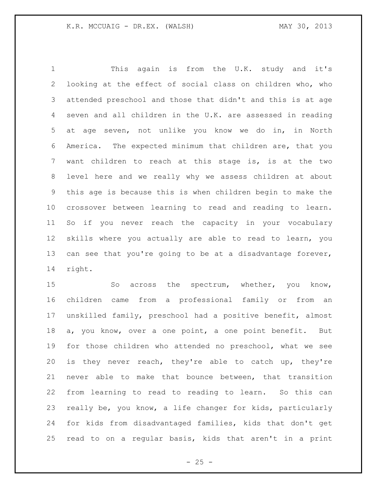This again is from the U.K. study and it's looking at the effect of social class on children who, who attended preschool and those that didn't and this is at age seven and all children in the U.K. are assessed in reading at age seven, not unlike you know we do in, in North America. The expected minimum that children are, that you want children to reach at this stage is, is at the two level here and we really why we assess children at about this age is because this is when children begin to make the crossover between learning to read and reading to learn. So if you never reach the capacity in your vocabulary skills where you actually are able to read to learn, you can see that you're going to be at a disadvantage forever, right.

 So across the spectrum, whether, you know, children came from a professional family or from an unskilled family, preschool had a positive benefit, almost a, you know, over a one point, a one point benefit. But for those children who attended no preschool, what we see is they never reach, they're able to catch up, they're never able to make that bounce between, that transition from learning to read to reading to learn. So this can really be, you know, a life changer for kids, particularly for kids from disadvantaged families, kids that don't get read to on a regular basis, kids that aren't in a print

 $- 25 -$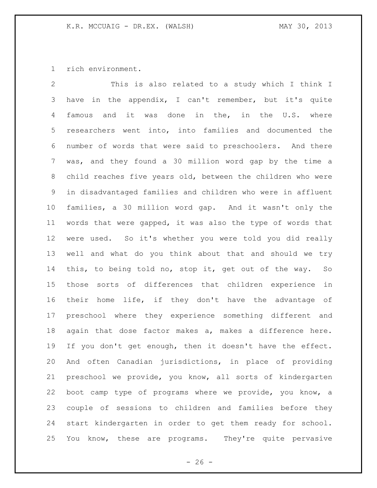rich environment.

 This is also related to a study which I think I have in the appendix, I can't remember, but it's quite famous and it was done in the, in the U.S. where researchers went into, into families and documented the number of words that were said to preschoolers. And there was, and they found a 30 million word gap by the time a child reaches five years old, between the children who were in disadvantaged families and children who were in affluent families, a 30 million word gap. And it wasn't only the words that were gapped, it was also the type of words that were used. So it's whether you were told you did really well and what do you think about that and should we try this, to being told no, stop it, get out of the way. So those sorts of differences that children experience in their home life, if they don't have the advantage of preschool where they experience something different and again that dose factor makes a, makes a difference here. If you don't get enough, then it doesn't have the effect. And often Canadian jurisdictions, in place of providing preschool we provide, you know, all sorts of kindergarten boot camp type of programs where we provide, you know, a couple of sessions to children and families before they start kindergarten in order to get them ready for school. You know, these are programs. They're quite pervasive

 $- 26 -$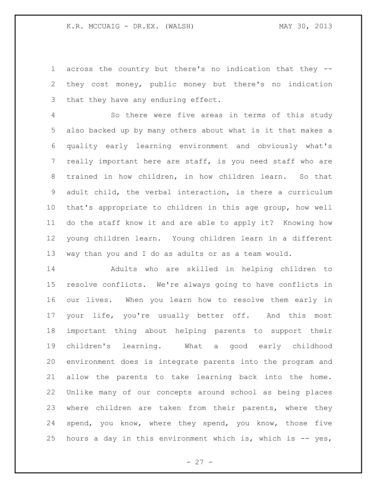across the country but there's no indication that they -- they cost money, public money but there's no indication that they have any enduring effect.

 So there were five areas in terms of this study also backed up by many others about what is it that makes a quality early learning environment and obviously what's really important here are staff, is you need staff who are trained in how children, in how children learn. So that adult child, the verbal interaction, is there a curriculum that's appropriate to children in this age group, how well do the staff know it and are able to apply it? Knowing how young children learn. Young children learn in a different way than you and I do as adults or as a team would.

 Adults who are skilled in helping children to resolve conflicts. We're always going to have conflicts in our lives. When you learn how to resolve them early in your life, you're usually better off. And this most important thing about helping parents to support their children's learning. What a good early childhood environment does is integrate parents into the program and allow the parents to take learning back into the home. Unlike many of our concepts around school as being places where children are taken from their parents, where they spend, you know, where they spend, you know, those five hours a day in this environment which is, which is -- yes,

 $- 27 -$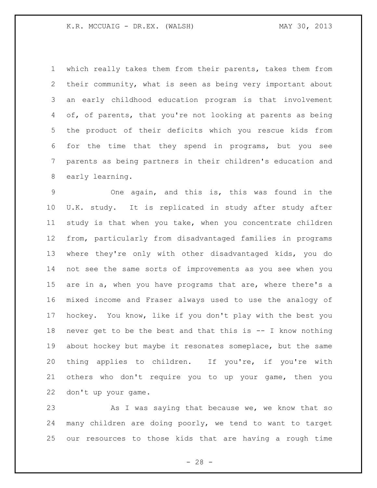#### K.R. MCCUAIG - DR.EX. (WALSH) MAY 30, 2013

 which really takes them from their parents, takes them from their community, what is seen as being very important about an early childhood education program is that involvement of, of parents, that you're not looking at parents as being the product of their deficits which you rescue kids from for the time that they spend in programs, but you see parents as being partners in their children's education and early learning.

 One again, and this is, this was found in the U.K. study. It is replicated in study after study after study is that when you take, when you concentrate children from, particularly from disadvantaged families in programs where they're only with other disadvantaged kids, you do not see the same sorts of improvements as you see when you are in a, when you have programs that are, where there's a mixed income and Fraser always used to use the analogy of hockey. You know, like if you don't play with the best you never get to be the best and that this is -- I know nothing about hockey but maybe it resonates someplace, but the same thing applies to children. If you're, if you're with others who don't require you to up your game, then you don't up your game.

23 As I was saying that because we, we know that so many children are doing poorly, we tend to want to target our resources to those kids that are having a rough time

 $- 28 -$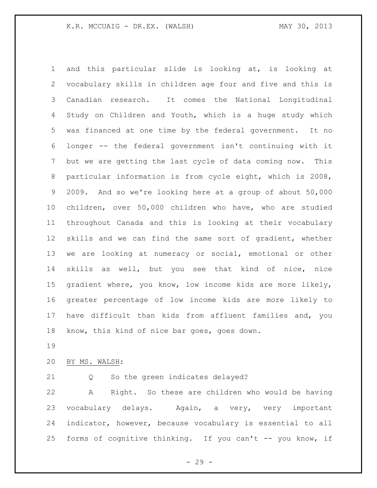and this particular slide is looking at, is looking at vocabulary skills in children age four and five and this is Canadian research. It comes the National Longitudinal Study on Children and Youth, which is a huge study which was financed at one time by the federal government. It no longer -- the federal government isn't continuing with it but we are getting the last cycle of data coming now. This particular information is from cycle eight, which is 2008, 2009. And so we're looking here at a group of about 50,000 children, over 50,000 children who have, who are studied throughout Canada and this is looking at their vocabulary skills and we can find the same sort of gradient, whether we are looking at numeracy or social, emotional or other skills as well, but you see that kind of nice, nice gradient where, you know, low income kids are more likely, greater percentage of low income kids are more likely to have difficult than kids from affluent families and, you know, this kind of nice bar goes, goes down.

BY MS. WALSH:

Q So the green indicates delayed?

 A Right. So these are children who would be having vocabulary delays. Again, a very, very important indicator, however, because vocabulary is essential to all forms of cognitive thinking. If you can't -- you know, if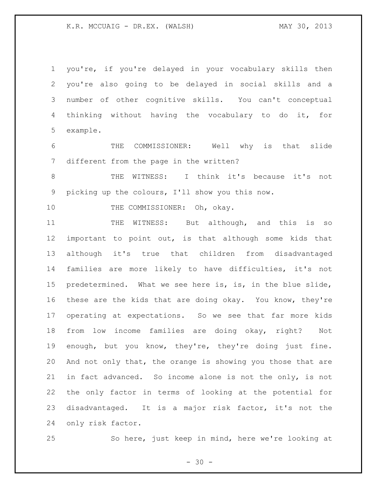#### K.R. MCCUAIG - DR.EX. (WALSH) MAY 30, 2013

 you're, if you're delayed in your vocabulary skills then you're also going to be delayed in social skills and a number of other cognitive skills. You can't conceptual thinking without having the vocabulary to do it, for example.

 THE COMMISSIONER: Well why is that slide different from the page in the written?

 THE WITNESS: I think it's because it's not picking up the colours, I'll show you this now.

10 THE COMMISSIONER: Oh, okay.

11 THE WITNESS: But although, and this is so important to point out, is that although some kids that although it's true that children from disadvantaged families are more likely to have difficulties, it's not predetermined. What we see here is, is, in the blue slide, these are the kids that are doing okay. You know, they're operating at expectations. So we see that far more kids from low income families are doing okay, right? Not enough, but you know, they're, they're doing just fine. And not only that, the orange is showing you those that are in fact advanced. So income alone is not the only, is not the only factor in terms of looking at the potential for disadvantaged. It is a major risk factor, it's not the only risk factor.

So here, just keep in mind, here we're looking at

 $- 30 -$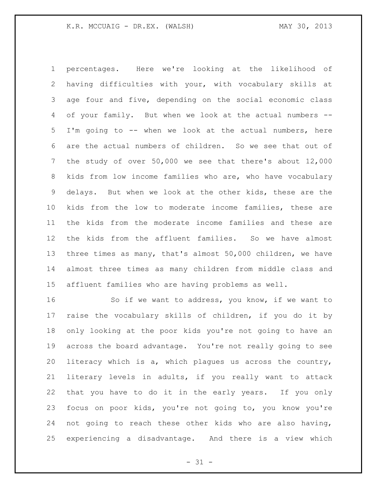percentages. Here we're looking at the likelihood of having difficulties with your, with vocabulary skills at age four and five, depending on the social economic class of your family. But when we look at the actual numbers -- I'm going to -- when we look at the actual numbers, here are the actual numbers of children. So we see that out of the study of over 50,000 we see that there's about 12,000 kids from low income families who are, who have vocabulary delays. But when we look at the other kids, these are the kids from the low to moderate income families, these are the kids from the moderate income families and these are the kids from the affluent families. So we have almost three times as many, that's almost 50,000 children, we have almost three times as many children from middle class and affluent families who are having problems as well.

 So if we want to address, you know, if we want to raise the vocabulary skills of children, if you do it by only looking at the poor kids you're not going to have an across the board advantage. You're not really going to see literacy which is a, which plagues us across the country, literary levels in adults, if you really want to attack that you have to do it in the early years. If you only focus on poor kids, you're not going to, you know you're not going to reach these other kids who are also having, experiencing a disadvantage. And there is a view which

 $- 31 -$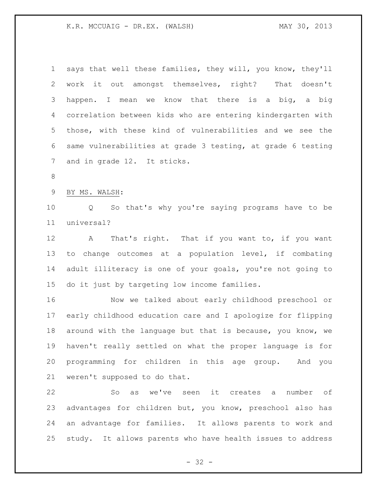K.R. MCCUAIG - DR.EX. (WALSH) MAY 30, 2013

| $\mathbf 1$ | says that well these families, they will, you know, they'll    |
|-------------|----------------------------------------------------------------|
| 2           | work it out amongst themselves, right?<br>That doesn't         |
| 3           | happen. I mean we know that there is a big, a big              |
| 4           | correlation between kids who are entering kindergarten with    |
| 5           | those, with these kind of vulnerabilities and we see the       |
| 6           | same vulnerabilities at grade 3 testing, at grade 6 testing    |
| 7           | and in grade 12. It sticks.                                    |
| $8\,$       |                                                                |
| $\mathsf 9$ | BY MS. WALSH:                                                  |
| 10          | Q So that's why you're saying programs have to be              |
| 11          | universal?                                                     |
| 12          | That's right. That if you want to, if you want<br>$\mathbf{A}$ |
| 13          | to change outcomes at a population level, if combating         |
| 14          | adult illiteracy is one of your goals, you're not going to     |
| 15          | do it just by targeting low income families.                   |
| 16          | Now we talked about early childhood preschool or               |
| 17          | early childhood education care and I apologize for flipping    |
| 18          | around with the language but that is because, you know, we     |
| 19          | haven't really settled on what the proper language is for      |
| 20          | programming for children in this age group. And you            |
| 21          | weren't supposed to do that.                                   |
| 22          | So as we've seen it creates a number of                        |
| 23          | advantages for children but, you know, preschool also has      |
| 24          | an advantage for families. It allows parents to work and       |
| 25          | study. It allows parents who have health issues to address     |

- 32 -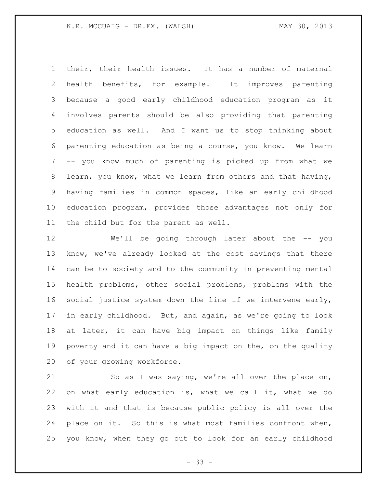their, their health issues. It has a number of maternal health benefits, for example. It improves parenting because a good early childhood education program as it involves parents should be also providing that parenting education as well. And I want us to stop thinking about parenting education as being a course, you know. We learn -- you know much of parenting is picked up from what we learn, you know, what we learn from others and that having, having families in common spaces, like an early childhood education program, provides those advantages not only for the child but for the parent as well.

 We'll be going through later about the -- you know, we've already looked at the cost savings that there can be to society and to the community in preventing mental health problems, other social problems, problems with the social justice system down the line if we intervene early, in early childhood. But, and again, as we're going to look at later, it can have big impact on things like family poverty and it can have a big impact on the, on the quality of your growing workforce.

 So as I was saying, we're all over the place on, on what early education is, what we call it, what we do with it and that is because public policy is all over the place on it. So this is what most families confront when, you know, when they go out to look for an early childhood

 $- 33 -$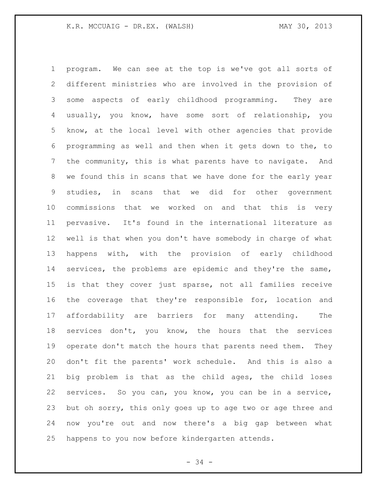program. We can see at the top is we've got all sorts of different ministries who are involved in the provision of some aspects of early childhood programming. They are usually, you know, have some sort of relationship, you know, at the local level with other agencies that provide programming as well and then when it gets down to the, to the community, this is what parents have to navigate. And we found this in scans that we have done for the early year studies, in scans that we did for other government commissions that we worked on and that this is very pervasive. It's found in the international literature as well is that when you don't have somebody in charge of what happens with, with the provision of early childhood services, the problems are epidemic and they're the same, is that they cover just sparse, not all families receive the coverage that they're responsible for, location and affordability are barriers for many attending. The services don't, you know, the hours that the services 19 operate don't match the hours that parents need them. They don't fit the parents' work schedule. And this is also a big problem is that as the child ages, the child loses services. So you can, you know, you can be in a service, but oh sorry, this only goes up to age two or age three and now you're out and now there's a big gap between what happens to you now before kindergarten attends.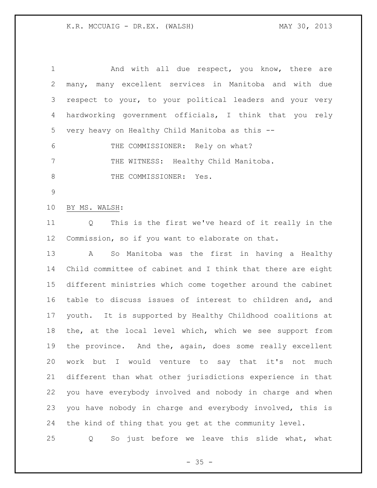| $\mathbf 1$    | And with all due respect, you know, there are                 |
|----------------|---------------------------------------------------------------|
| $\overline{2}$ | many, many excellent services in Manitoba and with due        |
| 3              | respect to your, to your political leaders and your very      |
| 4              | hardworking government officials, I think that you rely       |
| 5              | very heavy on Healthy Child Manitoba as this --               |
| 6              | THE COMMISSIONER: Rely on what?                               |
| $7\phantom{.}$ | THE WITNESS: Healthy Child Manitoba.                          |
| $8\,$          | THE COMMISSIONER: Yes.                                        |
| $\mathcal{G}$  |                                                               |
| 10             | BY MS. WALSH:                                                 |
| 11             | This is the first we've heard of it really in the<br>Q        |
| 12             | Commission, so if you want to elaborate on that.              |
| 13             | So Manitoba was the first in having a Healthy<br>$\mathbf{A}$ |
| 14             | Child committee of cabinet and I think that there are eight   |
| 15             | different ministries which come together around the cabinet   |
| 16             | table to discuss issues of interest to children and, and      |
| 17             | youth. It is supported by Healthy Childhood coalitions at     |
| 18             | the, at the local level which, which we see support from      |
| 19             | the province. And the, again, does some really excellent      |
| 20             | work but I would venture to say that it's not<br>much         |
| 21             | different than what other jurisdictions experience in that    |
| 22             | you have everybody involved and nobody in charge and when     |
| 23             | you have nobody in charge and everybody involved, this is     |
| 24             | the kind of thing that you get at the community level.        |
| 25             | So just before we leave this slide what, what<br>Q            |

- 35 -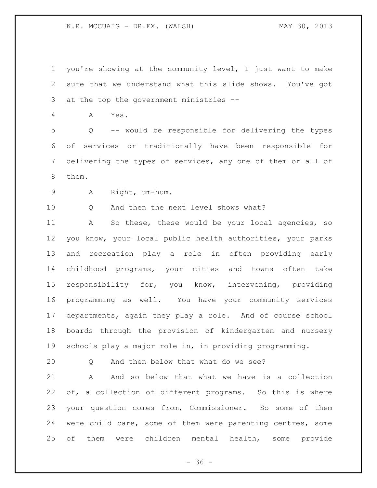you're showing at the community level, I just want to make sure that we understand what this slide shows. You've got at the top the government ministries --

A Yes.

 Q -- would be responsible for delivering the types of services or traditionally have been responsible for delivering the types of services, any one of them or all of them.

A Right, um-hum.

10 0 And then the next level shows what?

 A So these, these would be your local agencies, so you know, your local public health authorities, your parks and recreation play a role in often providing early childhood programs, your cities and towns often take responsibility for, you know, intervening, providing programming as well. You have your community services departments, again they play a role. And of course school boards through the provision of kindergarten and nursery schools play a major role in, in providing programming.

Q And then below that what do we see?

 A And so below that what we have is a collection of, a collection of different programs. So this is where your question comes from, Commissioner. So some of them were child care, some of them were parenting centres, some of them were children mental health, some provide

 $- 36 -$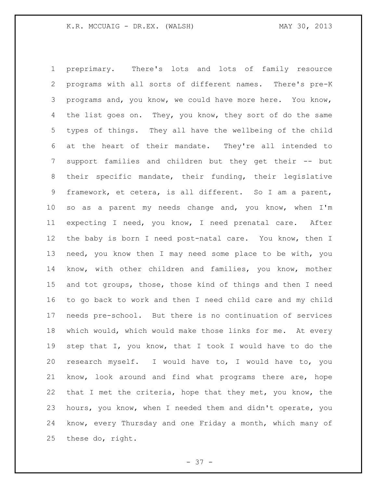preprimary. There's lots and lots of family resource programs with all sorts of different names. There's pre-K programs and, you know, we could have more here. You know, 4 the list goes on. They, you know, they sort of do the same types of things. They all have the wellbeing of the child at the heart of their mandate. They're all intended to support families and children but they get their -- but their specific mandate, their funding, their legislative framework, et cetera, is all different. So I am a parent, so as a parent my needs change and, you know, when I'm expecting I need, you know, I need prenatal care. After the baby is born I need post-natal care. You know, then I need, you know then I may need some place to be with, you know, with other children and families, you know, mother and tot groups, those, those kind of things and then I need to go back to work and then I need child care and my child needs pre-school. But there is no continuation of services which would, which would make those links for me. At every step that I, you know, that I took I would have to do the research myself. I would have to, I would have to, you know, look around and find what programs there are, hope that I met the criteria, hope that they met, you know, the hours, you know, when I needed them and didn't operate, you know, every Thursday and one Friday a month, which many of these do, right.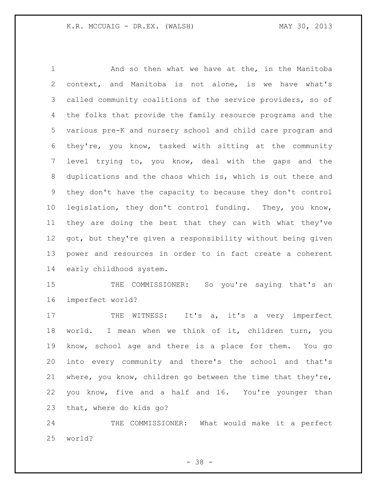And so then what we have at the, in the Manitoba context, and Manitoba is not alone, is we have what's called community coalitions of the service providers, so of the folks that provide the family resource programs and the various pre-K and nursery school and child care program and they're, you know, tasked with sitting at the community level trying to, you know, deal with the gaps and the duplications and the chaos which is, which is out there and they don't have the capacity to because they don't control legislation, they don't control funding. They, you know, they are doing the best that they can with what they've got, but they're given a responsibility without being given power and resources in order to in fact create a coherent early childhood system.

15 THE COMMISSIONER: So you're saying that's an imperfect world?

17 THE WITNESS: It's a, it's a very imperfect world. I mean when we think of it, children turn, you know, school age and there is a place for them. You go into every community and there's the school and that's where, you know, children go between the time that they're, you know, five and a half and 16. You're younger than that, where do kids go?

 THE COMMISSIONER: What would make it a perfect world?

- 38 -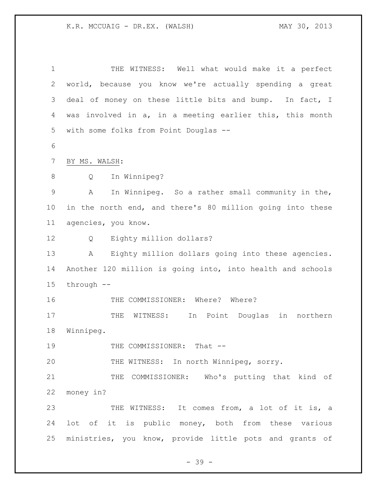| $\mathbf 1$    | THE WITNESS: Well what would make it a perfect             |
|----------------|------------------------------------------------------------|
| $\overline{2}$ | world, because you know we're actually spending a great    |
| 3              | deal of money on these little bits and bump. In fact, I    |
| 4              | was involved in a, in a meeting earlier this, this month   |
| 5              | with some folks from Point Douglas --                      |
| $\epsilon$     |                                                            |
| 7              | BY MS. WALSH:                                              |
| 8              | In Winnipeg?<br>Q                                          |
| $\mathsf 9$    | In Winnipeg. So a rather small community in the,<br>A      |
| 10             | in the north end, and there's 80 million going into these  |
| 11             | agencies, you know.                                        |
| 12             | Eighty million dollars?<br>Q                               |
| 13             | Eighty million dollars going into these agencies.<br>A     |
| 14             | Another 120 million is going into, into health and schools |
| 15             | through --                                                 |
| 16             | THE COMMISSIONER: Where? Where?                            |
| 17             | in northern<br>WITNESS:<br>In Point Douglas<br>THE         |
| 18             | Winnipeg.                                                  |
| 19             | THE COMMISSIONER: That --                                  |
| 20             | THE WITNESS: In north Winnipeg, sorry.                     |
| 21             | THE COMMISSIONER: Who's putting that kind of               |
| 22             | money in?                                                  |
| 23             | THE WITNESS: It comes from, a lot of it is, a              |
| 24             | lot of it is public money, both from these various         |
| 25             | ministries, you know, provide little pots and grants of    |

- 39 -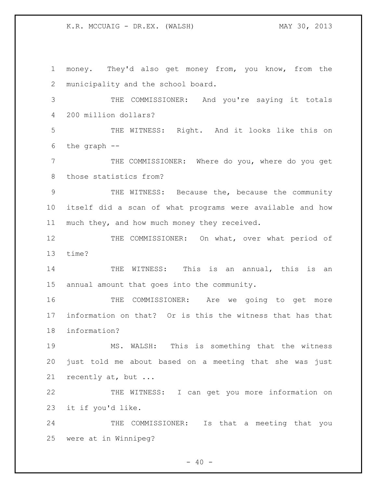money. They'd also get money from, you know, from the municipality and the school board. THE COMMISSIONER: And you're saying it totals 200 million dollars? THE WITNESS: Right. And it looks like this on the graph -- THE COMMISSIONER: Where do you, where do you get those statistics from? THE WITNESS: Because the, because the community itself did a scan of what programs were available and how much they, and how much money they received. 12 THE COMMISSIONER: On what, over what period of time? 14 THE WITNESS: This is an annual, this is an annual amount that goes into the community. THE COMMISSIONER: Are we going to get more information on that? Or is this the witness that has that information? MS. WALSH: This is something that the witness just told me about based on a meeting that she was just recently at, but ... THE WITNESS: I can get you more information on it if you'd like. 24 THE COMMISSIONER: Is that a meeting that you were at in Winnipeg?

 $- 40 -$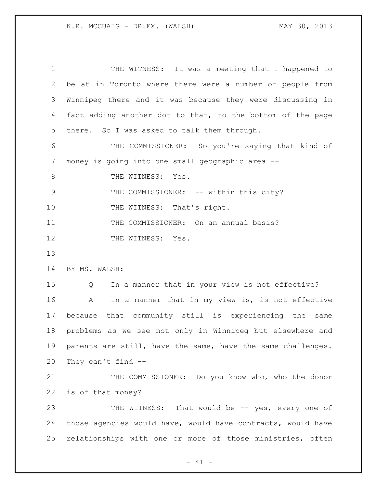THE WITNESS: It was a meeting that I happened to be at in Toronto where there were a number of people from Winnipeg there and it was because they were discussing in fact adding another dot to that, to the bottom of the page there. So I was asked to talk them through. THE COMMISSIONER: So you're saying that kind of money is going into one small geographic area -- 8 THE WITNESS: Yes. 9 THE COMMISSIONER:  $--$  within this city? 10 THE WITNESS: That's right. 11 THE COMMISSIONER: On an annual basis? 12 THE WITNESS: Yes. BY MS. WALSH: Q In a manner that in your view is not effective? A In a manner that in my view is, is not effective because that community still is experiencing the same problems as we see not only in Winnipeg but elsewhere and parents are still, have the same, have the same challenges. They can't find -- 21 THE COMMISSIONER: Do you know who, who the donor is of that money? 23 THE WITNESS: That would be -- yes, every one of those agencies would have, would have contracts, would have relationships with one or more of those ministries, often

 $- 41 -$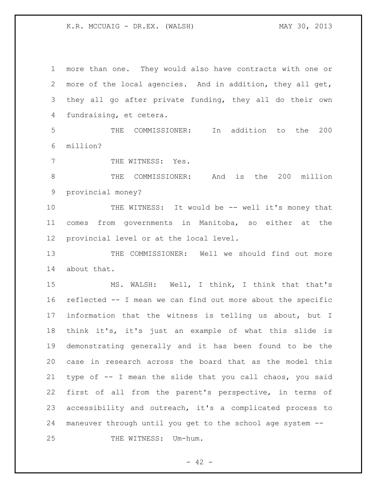more than one. They would also have contracts with one or more of the local agencies. And in addition, they all get, they all go after private funding, they all do their own fundraising, et cetera. THE COMMISSIONER: In addition to the 200 million? 7 THE WITNESS: Yes. THE COMMISSIONER: And is the 200 million provincial money? 10 THE WITNESS: It would be -- well it's money that comes from governments in Manitoba, so either at the provincial level or at the local level. THE COMMISSIONER: Well we should find out more about that. MS. WALSH: Well, I think, I think that that's reflected -- I mean we can find out more about the specific information that the witness is telling us about, but I think it's, it's just an example of what this slide is demonstrating generally and it has been found to be the case in research across the board that as the model this type of -- I mean the slide that you call chaos, you said first of all from the parent's perspective, in terms of accessibility and outreach, it's a complicated process to maneuver through until you get to the school age system -- 25 THE WITNESS: Um-hum.

 $- 42 -$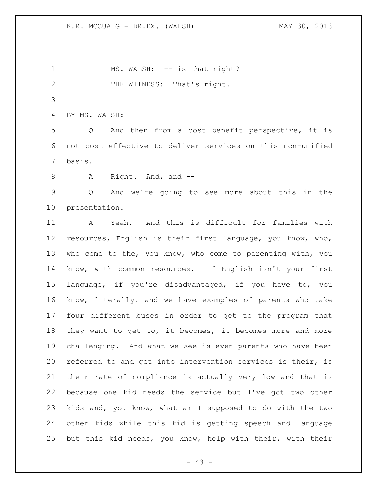1 MS. WALSH: -- is that right? 2 THE WITNESS: That's right. BY MS. WALSH: Q And then from a cost benefit perspective, it is not cost effective to deliver services on this non-unified basis.

8 A Right. And, and --

 Q And we're going to see more about this in the presentation.

 A Yeah. And this is difficult for families with resources, English is their first language, you know, who, who come to the, you know, who come to parenting with, you know, with common resources. If English isn't your first language, if you're disadvantaged, if you have to, you know, literally, and we have examples of parents who take four different buses in order to get to the program that they want to get to, it becomes, it becomes more and more challenging. And what we see is even parents who have been referred to and get into intervention services is their, is their rate of compliance is actually very low and that is because one kid needs the service but I've got two other kids and, you know, what am I supposed to do with the two other kids while this kid is getting speech and language but this kid needs, you know, help with their, with their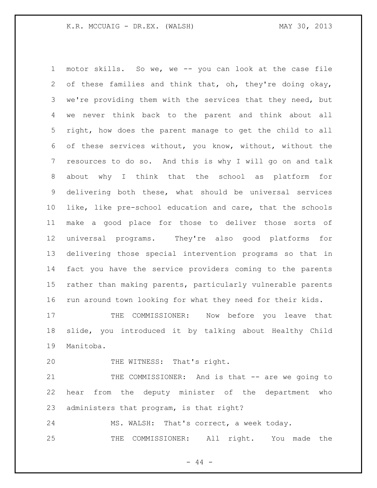motor skills. So we, we -- you can look at the case file of these families and think that, oh, they're doing okay, we're providing them with the services that they need, but we never think back to the parent and think about all right, how does the parent manage to get the child to all of these services without, you know, without, without the resources to do so. And this is why I will go on and talk about why I think that the school as platform for delivering both these, what should be universal services like, like pre-school education and care, that the schools make a good place for those to deliver those sorts of universal programs. They're also good platforms for delivering those special intervention programs so that in fact you have the service providers coming to the parents rather than making parents, particularly vulnerable parents run around town looking for what they need for their kids.

17 THE COMMISSIONER: Now before you leave that slide, you introduced it by talking about Healthy Child Manitoba.

20 THE WITNESS: That's right.

21 THE COMMISSIONER: And is that -- are we going to hear from the deputy minister of the department who administers that program, is that right?

MS. WALSH: That's correct, a week today.

THE COMMISSIONER: All right. You made the

 $-44 -$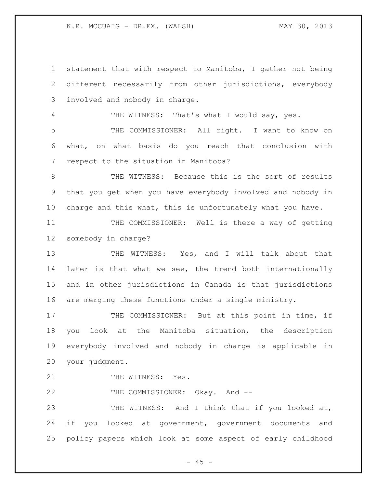statement that with respect to Manitoba, I gather not being different necessarily from other jurisdictions, everybody involved and nobody in charge. 4 THE WITNESS: That's what I would say, yes. THE COMMISSIONER: All right. I want to know on what, on what basis do you reach that conclusion with respect to the situation in Manitoba? 8 THE WITNESS: Because this is the sort of results that you get when you have everybody involved and nobody in charge and this what, this is unfortunately what you have. 11 THE COMMISSIONER: Well is there a way of getting somebody in charge? 13 THE WITNESS: Yes, and I will talk about that 14 later is that what we see, the trend both internationally and in other jurisdictions in Canada is that jurisdictions are merging these functions under a single ministry. 17 THE COMMISSIONER: But at this point in time, if you look at the Manitoba situation, the description everybody involved and nobody in charge is applicable in your judgment. 21 THE WITNESS: Yes. 22 THE COMMISSIONER: Okay. And -- THE WITNESS: And I think that if you looked at, 24 if you looked at government, government documents and policy papers which look at some aspect of early childhood

 $- 45 -$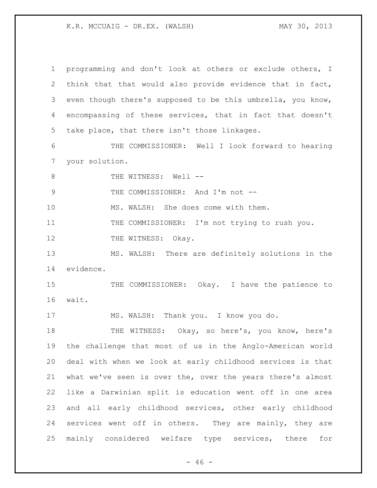programming and don't look at others or exclude others, I think that that would also provide evidence that in fact, even though there's supposed to be this umbrella, you know, encompassing of these services, that in fact that doesn't take place, that there isn't those linkages. THE COMMISSIONER: Well I look forward to hearing your solution. 8 THE WITNESS: Well --9 THE COMMISSIONER: And I'm not -- MS. WALSH: She does come with them. 11 THE COMMISSIONER: I'm not trying to rush you. 12 THE WITNESS: Okay. MS. WALSH: There are definitely solutions in the evidence. 15 THE COMMISSIONER: Okay. I have the patience to wait. MS. WALSH: Thank you. I know you do. 18 THE WITNESS: Okay, so here's, you know, here's the challenge that most of us in the Anglo-American world deal with when we look at early childhood services is that what we've seen is over the, over the years there's almost like a Darwinian split is education went off in one area and all early childhood services, other early childhood services went off in others. They are mainly, they are mainly considered welfare type services, there for

 $- 46 -$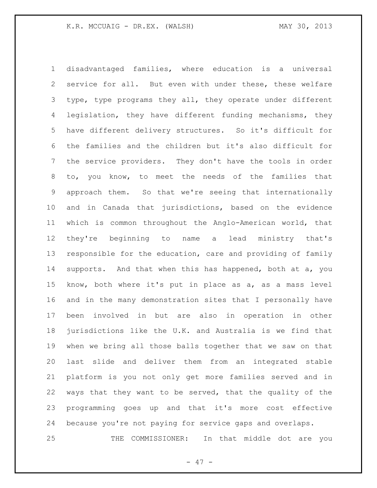disadvantaged families, where education is a universal service for all. But even with under these, these welfare type, type programs they all, they operate under different legislation, they have different funding mechanisms, they have different delivery structures. So it's difficult for the families and the children but it's also difficult for the service providers. They don't have the tools in order to, you know, to meet the needs of the families that approach them. So that we're seeing that internationally and in Canada that jurisdictions, based on the evidence which is common throughout the Anglo-American world, that they're beginning to name a lead ministry that's responsible for the education, care and providing of family supports. And that when this has happened, both at a, you know, both where it's put in place as a, as a mass level and in the many demonstration sites that I personally have been involved in but are also in operation in other jurisdictions like the U.K. and Australia is we find that when we bring all those balls together that we saw on that last slide and deliver them from an integrated stable platform is you not only get more families served and in ways that they want to be served, that the quality of the programming goes up and that it's more cost effective because you're not paying for service gaps and overlaps. THE COMMISSIONER: In that middle dot are you

- 47 -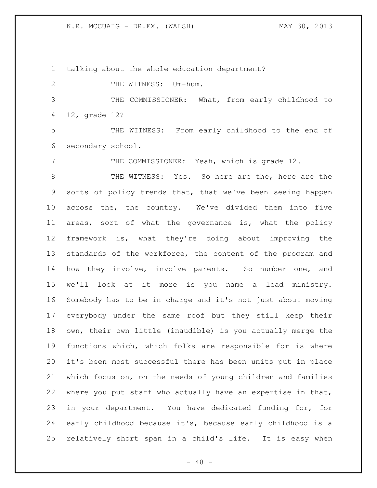talking about the whole education department?

2 THE WITNESS: Um-hum.

 THE COMMISSIONER: What, from early childhood to 12, grade 12?

 THE WITNESS: From early childhood to the end of secondary school.

THE COMMISSIONER: Yeah, which is grade 12.

 THE WITNESS: Yes. So here are the, here are the sorts of policy trends that, that we've been seeing happen across the, the country. We've divided them into five areas, sort of what the governance is, what the policy framework is, what they're doing about improving the standards of the workforce, the content of the program and how they involve, involve parents. So number one, and we'll look at it more is you name a lead ministry. Somebody has to be in charge and it's not just about moving everybody under the same roof but they still keep their own, their own little (inaudible) is you actually merge the functions which, which folks are responsible for is where it's been most successful there has been units put in place which focus on, on the needs of young children and families where you put staff who actually have an expertise in that, in your department. You have dedicated funding for, for early childhood because it's, because early childhood is a relatively short span in a child's life. It is easy when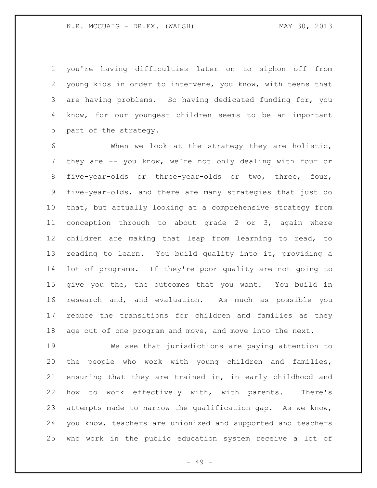you're having difficulties later on to siphon off from young kids in order to intervene, you know, with teens that are having problems. So having dedicated funding for, you know, for our youngest children seems to be an important part of the strategy.

 When we look at the strategy they are holistic, they are -- you know, we're not only dealing with four or five-year-olds or three-year-olds or two, three, four, five-year-olds, and there are many strategies that just do that, but actually looking at a comprehensive strategy from conception through to about grade 2 or 3, again where children are making that leap from learning to read, to reading to learn. You build quality into it, providing a lot of programs. If they're poor quality are not going to give you the, the outcomes that you want. You build in research and, and evaluation. As much as possible you reduce the transitions for children and families as they age out of one program and move, and move into the next.

 We see that jurisdictions are paying attention to the people who work with young children and families, ensuring that they are trained in, in early childhood and how to work effectively with, with parents. There's attempts made to narrow the qualification gap. As we know, you know, teachers are unionized and supported and teachers who work in the public education system receive a lot of

- 49 -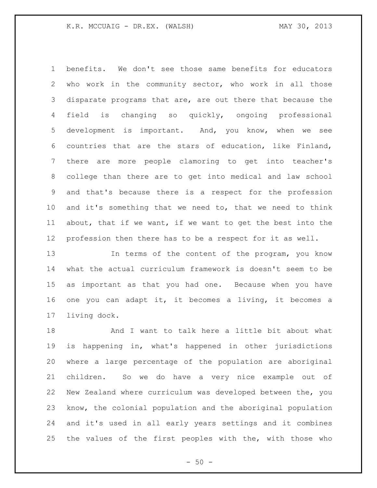benefits. We don't see those same benefits for educators who work in the community sector, who work in all those disparate programs that are, are out there that because the field is changing so quickly, ongoing professional development is important. And, you know, when we see countries that are the stars of education, like Finland, there are more people clamoring to get into teacher's college than there are to get into medical and law school and that's because there is a respect for the profession and it's something that we need to, that we need to think about, that if we want, if we want to get the best into the profession then there has to be a respect for it as well.

13 In terms of the content of the program, you know what the actual curriculum framework is doesn't seem to be as important as that you had one. Because when you have one you can adapt it, it becomes a living, it becomes a living dock.

 And I want to talk here a little bit about what is happening in, what's happened in other jurisdictions where a large percentage of the population are aboriginal children. So we do have a very nice example out of New Zealand where curriculum was developed between the, you know, the colonial population and the aboriginal population and it's used in all early years settings and it combines the values of the first peoples with the, with those who

 $-50 -$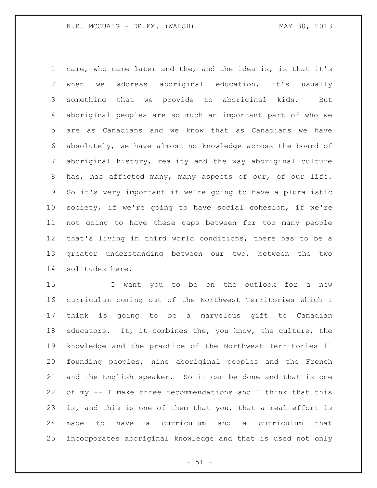came, who came later and the, and the idea is, is that it's when we address aboriginal education, it's usually something that we provide to aboriginal kids. But aboriginal peoples are so much an important part of who we are as Canadians and we know that as Canadians we have absolutely, we have almost no knowledge across the board of aboriginal history, reality and the way aboriginal culture has, has affected many, many aspects of our, of our life. So it's very important if we're going to have a pluralistic society, if we're going to have social cohesion, if we're not going to have these gaps between for too many people that's living in third world conditions, there has to be a greater understanding between our two, between the two solitudes here.

 I want you to be on the outlook for a new curriculum coming out of the Northwest Territories which I think is going to be a marvelous gift to Canadian 18 educators. It, it combines the, you know, the culture, the knowledge and the practice of the Northwest Territories 11 founding peoples, nine aboriginal peoples and the French and the English speaker. So it can be done and that is one of my -- I make three recommendations and I think that this is, and this is one of them that you, that a real effort is made to have a curriculum and a curriculum that incorporates aboriginal knowledge and that is used not only

 $- 51 -$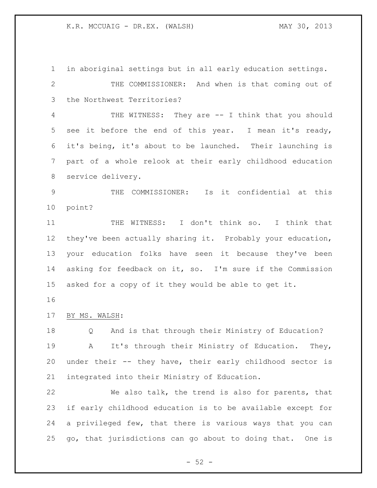in aboriginal settings but in all early education settings. THE COMMISSIONER: And when is that coming out of the Northwest Territories? THE WITNESS: They are -- I think that you should see it before the end of this year. I mean it's ready, it's being, it's about to be launched. Their launching is part of a whole relook at their early childhood education service delivery. THE COMMISSIONER: Is it confidential at this point? 11 THE WITNESS: I don't think so. I think that they've been actually sharing it. Probably your education, your education folks have seen it because they've been asking for feedback on it, so. I'm sure if the Commission asked for a copy of it they would be able to get it. BY MS. WALSH: Q And is that through their Ministry of Education? A It's through their Ministry of Education. They, under their -- they have, their early childhood sector is integrated into their Ministry of Education. We also talk, the trend is also for parents, that if early childhood education is to be available except for a privileged few, that there is various ways that you can

 $-52 -$ 

go, that jurisdictions can go about to doing that. One is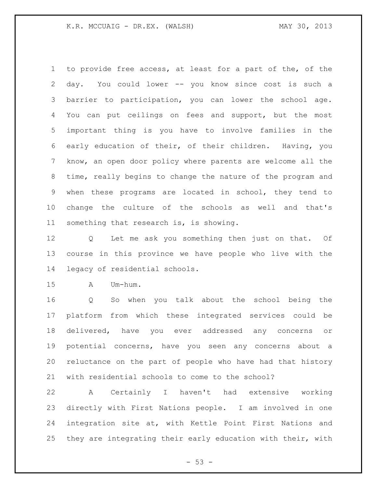to provide free access, at least for a part of the, of the day. You could lower -- you know since cost is such a barrier to participation, you can lower the school age. You can put ceilings on fees and support, but the most important thing is you have to involve families in the early education of their, of their children. Having, you know, an open door policy where parents are welcome all the time, really begins to change the nature of the program and when these programs are located in school, they tend to change the culture of the schools as well and that's something that research is, is showing.

 Q Let me ask you something then just on that. Of course in this province we have people who live with the legacy of residential schools.

A Um-hum.

 Q So when you talk about the school being the platform from which these integrated services could be delivered, have you ever addressed any concerns or potential concerns, have you seen any concerns about a reluctance on the part of people who have had that history with residential schools to come to the school?

 A Certainly I haven't had extensive working directly with First Nations people. I am involved in one integration site at, with Kettle Point First Nations and they are integrating their early education with their, with

 $-53 -$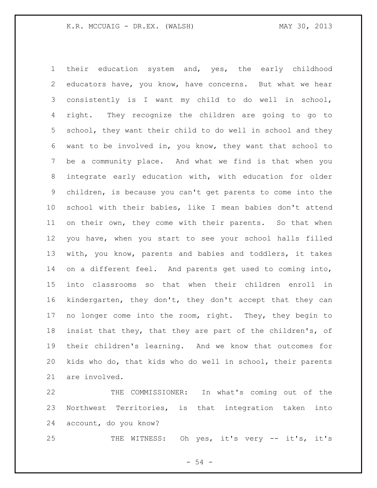their education system and, yes, the early childhood educators have, you know, have concerns. But what we hear consistently is I want my child to do well in school, right. They recognize the children are going to go to school, they want their child to do well in school and they want to be involved in, you know, they want that school to be a community place. And what we find is that when you integrate early education with, with education for older children, is because you can't get parents to come into the school with their babies, like I mean babies don't attend on their own, they come with their parents. So that when you have, when you start to see your school halls filled with, you know, parents and babies and toddlers, it takes on a different feel. And parents get used to coming into, into classrooms so that when their children enroll in kindergarten, they don't, they don't accept that they can no longer come into the room, right. They, they begin to insist that they, that they are part of the children's, of their children's learning. And we know that outcomes for kids who do, that kids who do well in school, their parents are involved.

 THE COMMISSIONER: In what's coming out of the Northwest Territories, is that integration taken into account, do you know?

THE WITNESS: Oh yes, it's very -- it's, it's

- 54 -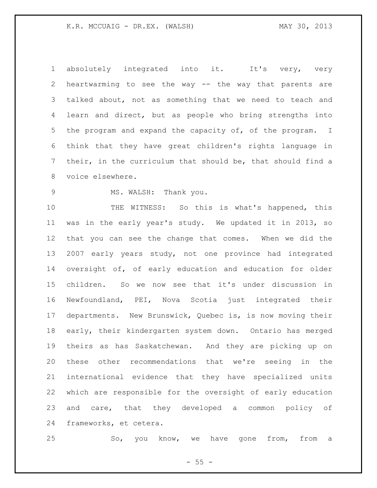1 absolutely integrated into it. It's very, very heartwarming to see the way -- the way that parents are talked about, not as something that we need to teach and learn and direct, but as people who bring strengths into the program and expand the capacity of, of the program. I think that they have great children's rights language in their, in the curriculum that should be, that should find a voice elsewhere.

#### 9 MS. WALSH: Thank you.

 THE WITNESS: So this is what's happened, this was in the early year's study. We updated it in 2013, so that you can see the change that comes. When we did the 2007 early years study, not one province had integrated oversight of, of early education and education for older children. So we now see that it's under discussion in Newfoundland, PEI, Nova Scotia just integrated their departments. New Brunswick, Quebec is, is now moving their early, their kindergarten system down. Ontario has merged theirs as has Saskatchewan. And they are picking up on these other recommendations that we're seeing in the international evidence that they have specialized units which are responsible for the oversight of early education and care, that they developed a common policy of frameworks, et cetera.

So, you know, we have gone from, from a

 $- 55 -$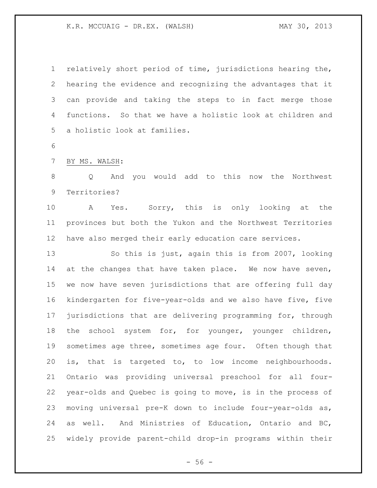relatively short period of time, jurisdictions hearing the, hearing the evidence and recognizing the advantages that it can provide and taking the steps to in fact merge those functions. So that we have a holistic look at children and a holistic look at families.

### BY MS. WALSH:

 Q And you would add to this now the Northwest Territories?

 A Yes. Sorry, this is only looking at the provinces but both the Yukon and the Northwest Territories have also merged their early education care services.

 So this is just, again this is from 2007, looking 14 at the changes that have taken place. We now have seven, we now have seven jurisdictions that are offering full day kindergarten for five-year-olds and we also have five, five jurisdictions that are delivering programming for, through 18 the school system for, for younger, younger children, 19 sometimes age three, sometimes age four. Often though that is, that is targeted to, to low income neighbourhoods. Ontario was providing universal preschool for all four- year-olds and Quebec is going to move, is in the process of moving universal pre-K down to include four-year-olds as, as well. And Ministries of Education, Ontario and BC, widely provide parent-child drop-in programs within their

 $-56 -$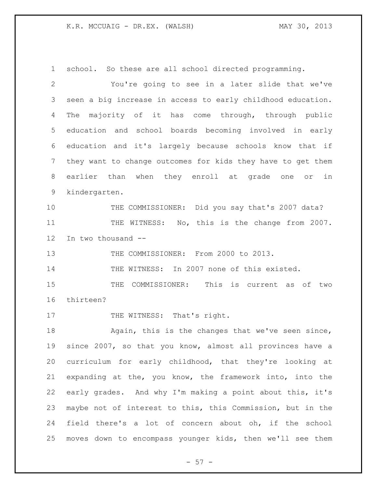school. So these are all school directed programming.

 You're going to see in a later slide that we've seen a big increase in access to early childhood education. The majority of it has come through, through public education and school boards becoming involved in early education and it's largely because schools know that if they want to change outcomes for kids they have to get them earlier than when they enroll at grade one or in kindergarten. THE COMMISSIONER: Did you say that's 2007 data? 11 THE WITNESS: No, this is the change from 2007. In two thousand -- THE COMMISSIONER: From 2000 to 2013. 14 THE WITNESS: In 2007 none of this existed. THE COMMISSIONER: This is current as of two thirteen? 17 THE WITNESS: That's right. 18 Again, this is the changes that we've seen since, since 2007, so that you know, almost all provinces have a curriculum for early childhood, that they're looking at expanding at the, you know, the framework into, into the early grades. And why I'm making a point about this, it's maybe not of interest to this, this Commission, but in the field there's a lot of concern about oh, if the school moves down to encompass younger kids, then we'll see them

- 57 -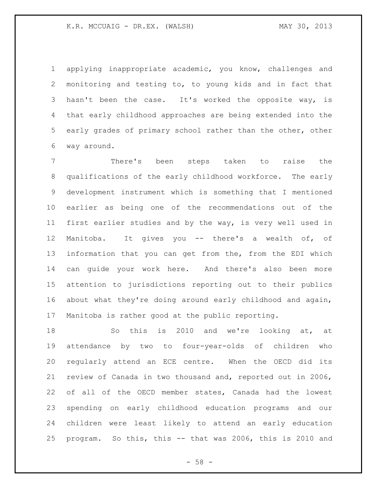applying inappropriate academic, you know, challenges and monitoring and testing to, to young kids and in fact that 3 hasn't been the case. It's worked the opposite way, is that early childhood approaches are being extended into the early grades of primary school rather than the other, other way around.

 There's been steps taken to raise the qualifications of the early childhood workforce. The early development instrument which is something that I mentioned earlier as being one of the recommendations out of the first earlier studies and by the way, is very well used in Manitoba. It gives you -- there's a wealth of, of information that you can get from the, from the EDI which can guide your work here. And there's also been more attention to jurisdictions reporting out to their publics about what they're doing around early childhood and again, Manitoba is rather good at the public reporting.

 So this is 2010 and we're looking at, at attendance by two to four-year-olds of children who regularly attend an ECE centre. When the OECD did its review of Canada in two thousand and, reported out in 2006, of all of the OECD member states, Canada had the lowest spending on early childhood education programs and our children were least likely to attend an early education program. So this, this -- that was 2006, this is 2010 and

- 58 -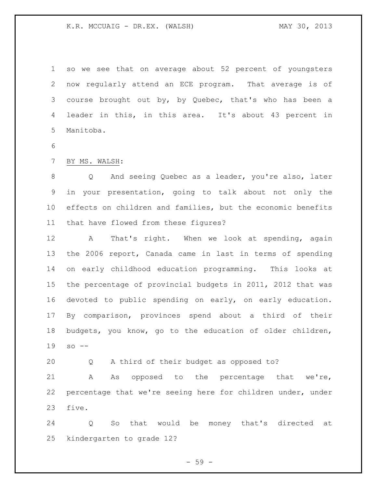so we see that on average about 52 percent of youngsters now regularly attend an ECE program. That average is of course brought out by, by Quebec, that's who has been a leader in this, in this area. It's about 43 percent in Manitoba.

## BY MS. WALSH:

 Q And seeing Quebec as a leader, you're also, later in your presentation, going to talk about not only the effects on children and families, but the economic benefits that have flowed from these figures?

 A That's right. When we look at spending, again the 2006 report, Canada came in last in terms of spending on early childhood education programming. This looks at the percentage of provincial budgets in 2011, 2012 that was devoted to public spending on early, on early education. By comparison, provinces spend about a third of their budgets, you know, go to the education of older children, so --

Q A third of their budget as opposed to?

 A As opposed to the percentage that we're, percentage that we're seeing here for children under, under five.

 Q So that would be money that's directed at kindergarten to grade 12?

 $-59 -$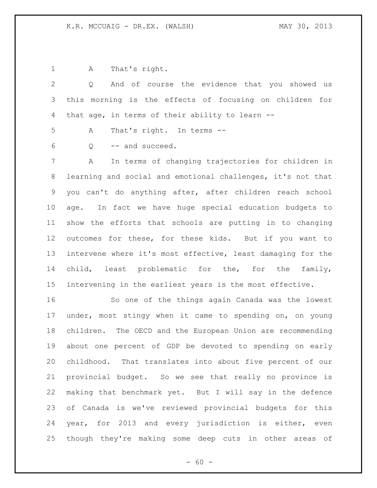A That's right.

 Q And of course the evidence that you showed us this morning is the effects of focusing on children for that age, in terms of their ability to learn -- A That's right. In terms -- Q -- and succeed. A In terms of changing trajectories for children in learning and social and emotional challenges, it's not that you can't do anything after, after children reach school age. In fact we have huge special education budgets to show the efforts that schools are putting in to changing outcomes for these, for these kids. But if you want to intervene where it's most effective, least damaging for the child, least problematic for the, for the family, intervening in the earliest years is the most effective.

 So one of the things again Canada was the lowest under, most stingy when it came to spending on, on young children. The OECD and the European Union are recommending about one percent of GDP be devoted to spending on early childhood. That translates into about five percent of our provincial budget. So we see that really no province is making that benchmark yet. But I will say in the defence of Canada is we've reviewed provincial budgets for this year, for 2013 and every jurisdiction is either, even though they're making some deep cuts in other areas of

 $- 60 -$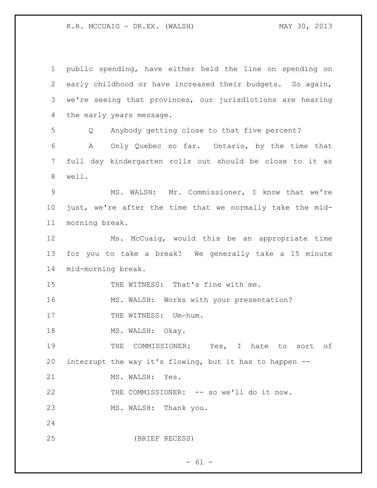public spending, have either held the line on spending on early childhood or have increased their budgets. So again, we're seeing that provinces, our jurisdictions are hearing the early years message. Q Anybody getting close to that five percent? A Only Quebec so far. Ontario, by the time that full day kindergarten rolls out should be close to it as well. MS. WALSH: Mr. Commissioner, I know that we're just, we're after the time that we normally take the mid- morning break. Ms. McCuaig, would this be an appropriate time for you to take a break? We generally take a 15 minute mid-morning break. 15 THE WITNESS: That's fine with me. MS. WALSH: Works with your presentation? 17 THE WITNESS: Um-hum. 18 MS. WALSH: Okay. 19 THE COMMISSIONER: Yes, I hate to sort of interrupt the way it's flowing, but it has to happen -- 21 MS. WALSH: Yes. THE COMMISSIONER: -- so we'll do it now. MS. WALSH: Thank you. (BRIEF RECESS)

 $- 61 -$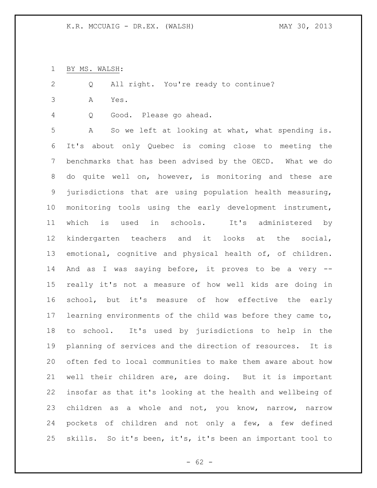BY MS. WALSH:

Q All right. You're ready to continue?

A Yes.

Q Good. Please go ahead.

 A So we left at looking at what, what spending is. It's about only Quebec is coming close to meeting the benchmarks that has been advised by the OECD. What we do do quite well on, however, is monitoring and these are jurisdictions that are using population health measuring, monitoring tools using the early development instrument, which is used in schools. It's administered by kindergarten teachers and it looks at the social, emotional, cognitive and physical health of, of children. And as I was saying before, it proves to be a very -- really it's not a measure of how well kids are doing in school, but it's measure of how effective the early learning environments of the child was before they came to, to school. It's used by jurisdictions to help in the planning of services and the direction of resources. It is often fed to local communities to make them aware about how well their children are, are doing. But it is important insofar as that it's looking at the health and wellbeing of children as a whole and not, you know, narrow, narrow pockets of children and not only a few, a few defined skills. So it's been, it's, it's been an important tool to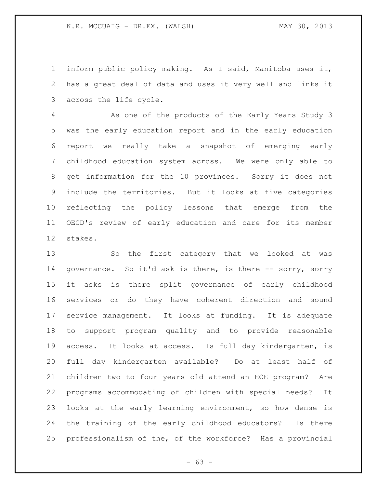inform public policy making. As I said, Manitoba uses it, has a great deal of data and uses it very well and links it across the life cycle.

 As one of the products of the Early Years Study 3 was the early education report and in the early education report we really take a snapshot of emerging early childhood education system across. We were only able to get information for the 10 provinces. Sorry it does not include the territories. But it looks at five categories reflecting the policy lessons that emerge from the OECD's review of early education and care for its member stakes.

 So the first category that we looked at was 14 governance. So it'd ask is there, is there -- sorry, sorry it asks is there split governance of early childhood services or do they have coherent direction and sound service management. It looks at funding. It is adequate to support program quality and to provide reasonable access. It looks at access. Is full day kindergarten, is full day kindergarten available? Do at least half of children two to four years old attend an ECE program? Are programs accommodating of children with special needs? It looks at the early learning environment, so how dense is the training of the early childhood educators? Is there professionalism of the, of the workforce? Has a provincial

 $- 63 -$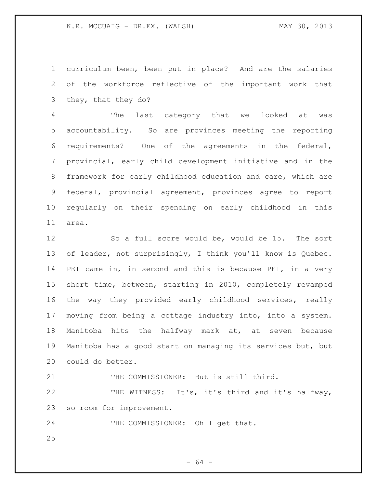curriculum been, been put in place? And are the salaries of the workforce reflective of the important work that they, that they do?

 The last category that we looked at was accountability. So are provinces meeting the reporting requirements? One of the agreements in the federal, provincial, early child development initiative and in the framework for early childhood education and care, which are federal, provincial agreement, provinces agree to report regularly on their spending on early childhood in this area.

 So a full score would be, would be 15. The sort of leader, not surprisingly, I think you'll know is Quebec. PEI came in, in second and this is because PEI, in a very short time, between, starting in 2010, completely revamped the way they provided early childhood services, really moving from being a cottage industry into, into a system. Manitoba hits the halfway mark at, at seven because Manitoba has a good start on managing its services but, but could do better.

21 THE COMMISSIONER: But is still third.

 THE WITNESS: It's, it's third and it's halfway, so room for improvement.

THE COMMISSIONER: Oh I get that.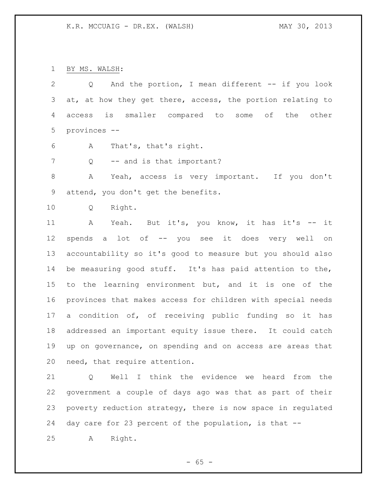BY MS. WALSH:

| 2  | And the portion, I mean different -- if you look<br>Q       |
|----|-------------------------------------------------------------|
| 3  | at, at how they get there, access, the portion relating to  |
| 4  | smaller compared to some of<br>is<br>the<br>other<br>access |
| 5  | provinces --                                                |
| 6  | That's, that's right.<br>A                                  |
| 7  | -- and is that important?<br>Q                              |
| 8  | Yeah, access is very important. If you don't<br>Α           |
| 9  | attend, you don't get the benefits.                         |
| 10 | Right.<br>Q                                                 |
| 11 | Yeah. But it's, you know, it has it's -- it<br>A            |
| 12 | spends a lot of -- you see it does very well on             |
| 13 | accountability so it's good to measure but you should also  |
| 14 | be measuring good stuff. It's has paid attention to the,    |
| 15 | to the learning environment but, and it is one of the       |
| 16 | provinces that makes access for children with special needs |
| 17 | a condition of, of receiving public funding so it has       |
| 18 | addressed an important equity issue there. It could catch   |
| 19 | up on governance, on spending and on access are areas that  |
| 20 | need, that require attention.                               |

 Q Well I think the evidence we heard from the government a couple of days ago was that as part of their poverty reduction strategy, there is now space in regulated day care for 23 percent of the population, is that --

A Right.

- 65 -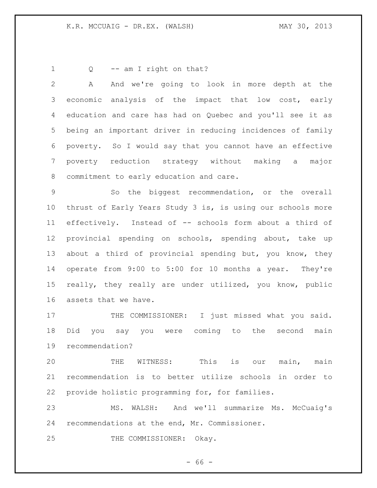1 Q -- am I right on that?

 A And we're going to look in more depth at the economic analysis of the impact that low cost, early education and care has had on Quebec and you'll see it as being an important driver in reducing incidences of family poverty. So I would say that you cannot have an effective poverty reduction strategy without making a major commitment to early education and care.

 So the biggest recommendation, or the overall thrust of Early Years Study 3 is, is using our schools more effectively. Instead of -- schools form about a third of provincial spending on schools, spending about, take up about a third of provincial spending but, you know, they operate from 9:00 to 5:00 for 10 months a year. They're really, they really are under utilized, you know, public assets that we have.

17 THE COMMISSIONER: I just missed what you said. Did you say you were coming to the second main recommendation?

 THE WITNESS: This is our main, main recommendation is to better utilize schools in order to provide holistic programming for, for families.

 MS. WALSH: And we'll summarize Ms. McCuaig's recommendations at the end, Mr. Commissioner.

25 THE COMMISSIONER: Okay.

 $- 66 -$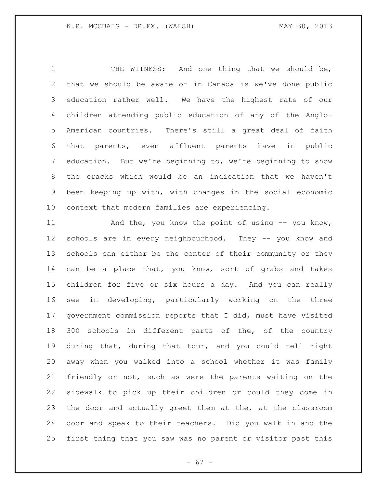THE WITNESS: And one thing that we should be, that we should be aware of in Canada is we've done public education rather well. We have the highest rate of our children attending public education of any of the Anglo- American countries. There's still a great deal of faith that parents, even affluent parents have in public education. But we're beginning to, we're beginning to show the cracks which would be an indication that we haven't been keeping up with, with changes in the social economic context that modern families are experiencing.

11 And the, you know the point of using -- you know, schools are in every neighbourhood. They -- you know and schools can either be the center of their community or they can be a place that, you know, sort of grabs and takes children for five or six hours a day. And you can really see in developing, particularly working on the three government commission reports that I did, must have visited 300 schools in different parts of the, of the country during that, during that tour, and you could tell right away when you walked into a school whether it was family friendly or not, such as were the parents waiting on the sidewalk to pick up their children or could they come in the door and actually greet them at the, at the classroom door and speak to their teachers. Did you walk in and the first thing that you saw was no parent or visitor past this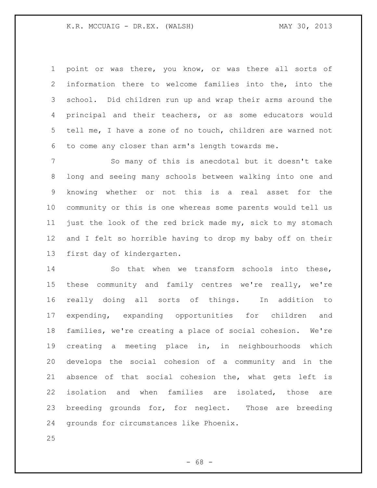point or was there, you know, or was there all sorts of information there to welcome families into the, into the school. Did children run up and wrap their arms around the principal and their teachers, or as some educators would tell me, I have a zone of no touch, children are warned not to come any closer than arm's length towards me.

 So many of this is anecdotal but it doesn't take long and seeing many schools between walking into one and knowing whether or not this is a real asset for the community or this is one whereas some parents would tell us just the look of the red brick made my, sick to my stomach and I felt so horrible having to drop my baby off on their first day of kindergarten.

 So that when we transform schools into these, these community and family centres we're really, we're really doing all sorts of things. In addition to expending, expanding opportunities for children and families, we're creating a place of social cohesion. We're creating a meeting place in, in neighbourhoods which develops the social cohesion of a community and in the absence of that social cohesion the, what gets left is isolation and when families are isolated, those are breeding grounds for, for neglect. Those are breeding grounds for circumstances like Phoenix.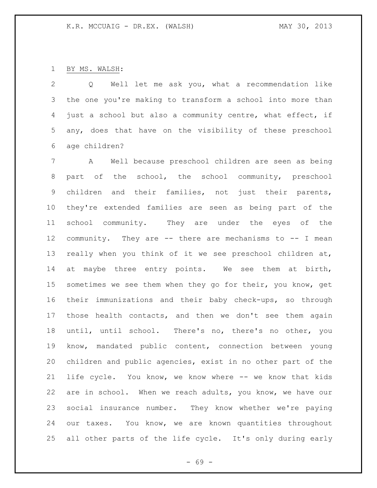# BY MS. WALSH:

 Q Well let me ask you, what a recommendation like the one you're making to transform a school into more than just a school but also a community centre, what effect, if any, does that have on the visibility of these preschool age children?

 A Well because preschool children are seen as being part of the school, the school community, preschool children and their families, not just their parents, they're extended families are seen as being part of the school community. They are under the eyes of the community. They are -- there are mechanisms to -- I mean really when you think of it we see preschool children at, at maybe three entry points. We see them at birth, 15 sometimes we see them when they go for their, you know, get their immunizations and their baby check-ups, so through those health contacts, and then we don't see them again until, until school. There's no, there's no other, you know, mandated public content, connection between young children and public agencies, exist in no other part of the life cycle. You know, we know where -- we know that kids are in school. When we reach adults, you know, we have our social insurance number. They know whether we're paying our taxes. You know, we are known quantities throughout all other parts of the life cycle. It's only during early

- 69 -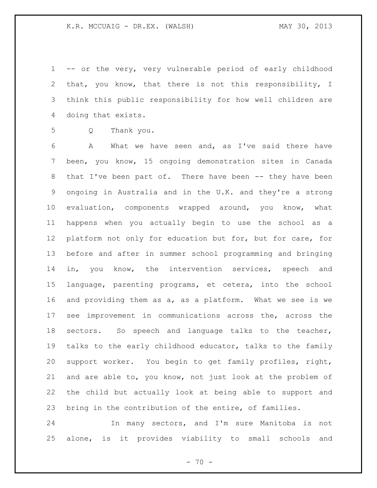-- or the very, very vulnerable period of early childhood that, you know, that there is not this responsibility, I think this public responsibility for how well children are doing that exists.

Q Thank you.

 A What we have seen and, as I've said there have been, you know, 15 ongoing demonstration sites in Canada 8 that I've been part of. There have been -- they have been ongoing in Australia and in the U.K. and they're a strong evaluation, components wrapped around, you know, what happens when you actually begin to use the school as a platform not only for education but for, but for care, for before and after in summer school programming and bringing in, you know, the intervention services, speech and language, parenting programs, et cetera, into the school and providing them as a, as a platform. What we see is we see improvement in communications across the, across the sectors. So speech and language talks to the teacher, talks to the early childhood educator, talks to the family support worker. You begin to get family profiles, right, and are able to, you know, not just look at the problem of the child but actually look at being able to support and bring in the contribution of the entire, of families.

 In many sectors, and I'm sure Manitoba is not alone, is it provides viability to small schools and

 $- 70 -$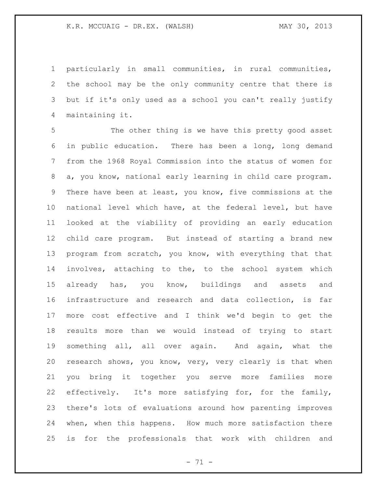particularly in small communities, in rural communities, the school may be the only community centre that there is but if it's only used as a school you can't really justify maintaining it.

 The other thing is we have this pretty good asset in public education. There has been a long, long demand from the 1968 Royal Commission into the status of women for a, you know, national early learning in child care program. There have been at least, you know, five commissions at the national level which have, at the federal level, but have looked at the viability of providing an early education child care program. But instead of starting a brand new program from scratch, you know, with everything that that involves, attaching to the, to the school system which already has, you know, buildings and assets and infrastructure and research and data collection, is far more cost effective and I think we'd begin to get the results more than we would instead of trying to start something all, all over again. And again, what the research shows, you know, very, very clearly is that when you bring it together you serve more families more effectively. It's more satisfying for, for the family, there's lots of evaluations around how parenting improves when, when this happens. How much more satisfaction there is for the professionals that work with children and

 $- 71 -$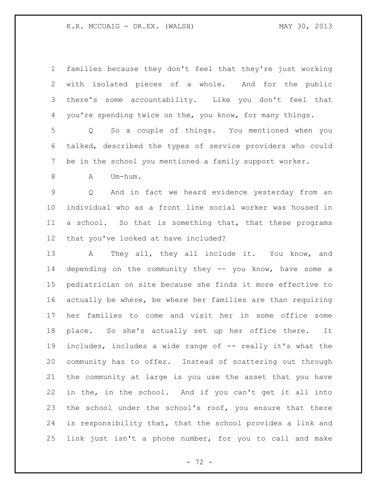| $\mathbf 1$     | families because they don't feel that they're just working         |
|-----------------|--------------------------------------------------------------------|
| 2               | with isolated pieces of a whole. And for the public                |
| 3               | there's some accountability. Like you don't feel that              |
| 4               | you're spending twice on the, you know, for many things.           |
| 5               | So a couple of things. You mentioned when you<br>$Q \qquad \qquad$ |
| 6               | talked, described the types of service providers who could         |
| 7               | be in the school you mentioned a family support worker.            |
| 8               | Um-hum.<br>Α                                                       |
| $\mathsf 9$     | And in fact we heard evidence yesterday from an<br>Q               |
| $10 \,$         | individual who as a front line social worker was housed in         |
| 11              | a school. So that is something that, that these programs           |
| 12 <sup>°</sup> | that you've looked at have included?                               |
| 13              | They all, they all include it. You know, and<br>$\mathbf{A}$       |
| 14              | depending on the community they -- you know, have some a           |
| 15              | pediatrician on site because she finds it more effective to        |
| 16              | actually be where, be where her families are than requiring        |
| 17              | her families to come and visit her in some office some             |
| 18              | place. So she's actually set up her office there.<br>It            |
| 19              | includes, includes a wide range of -- really it's what the         |
| 20              | community has to offer. Instead of scattering out through          |
| 21              | the community at large is you use the asset that you have          |
| 22              | in the, in the school. And if you can't get it all into            |
| 23              | the school under the school's roof, you ensure that there          |
| 24              | is responsibility that, that the school provides a link and        |
| 25              | link just isn't a phone number, for you to call and make           |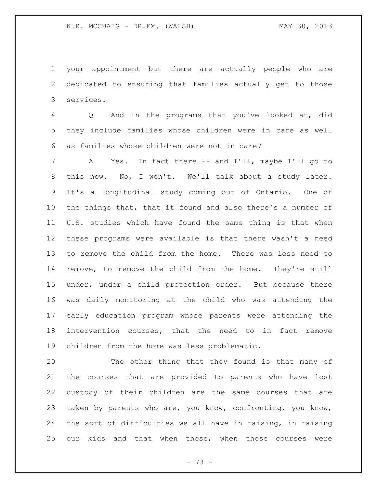your appointment but there are actually people who are dedicated to ensuring that families actually get to those services.

 Q And in the programs that you've looked at, did they include families whose children were in care as well as families whose children were not in care?

 A Yes. In fact there -- and I'll, maybe I'll go to this now. No, I won't. We'll talk about a study later. It's a longitudinal study coming out of Ontario. One of the things that, that it found and also there's a number of U.S. studies which have found the same thing is that when these programs were available is that there wasn't a need to remove the child from the home. There was less need to remove, to remove the child from the home. They're still under, under a child protection order. But because there was daily monitoring at the child who was attending the early education program whose parents were attending the intervention courses, that the need to in fact remove children from the home was less problematic.

 The other thing that they found is that many of the courses that are provided to parents who have lost custody of their children are the same courses that are taken by parents who are, you know, confronting, you know, the sort of difficulties we all have in raising, in raising our kids and that when those, when those courses were

- 73 -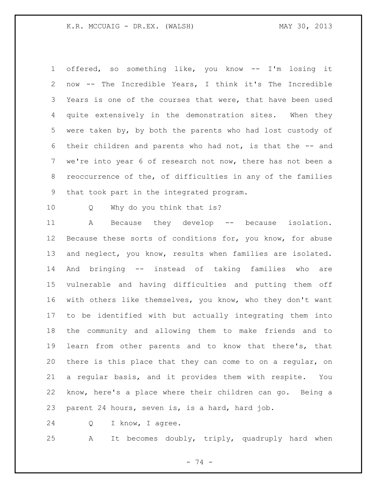offered, so something like, you know -- I'm losing it now -- The Incredible Years, I think it's The Incredible Years is one of the courses that were, that have been used quite extensively in the demonstration sites. When they were taken by, by both the parents who had lost custody of their children and parents who had not, is that the -- and we're into year 6 of research not now, there has not been a reoccurrence of the, of difficulties in any of the families that took part in the integrated program.

Q Why do you think that is?

 A Because they develop -- because isolation. 12 Because these sorts of conditions for, you know, for abuse and neglect, you know, results when families are isolated. And bringing -- instead of taking families who are vulnerable and having difficulties and putting them off with others like themselves, you know, who they don't want to be identified with but actually integrating them into the community and allowing them to make friends and to learn from other parents and to know that there's, that there is this place that they can come to on a regular, on a regular basis, and it provides them with respite. You know, here's a place where their children can go. Being a parent 24 hours, seven is, is a hard, hard job.

Q I know, I agree.

A It becomes doubly, triply, quadruply hard when

- 74 -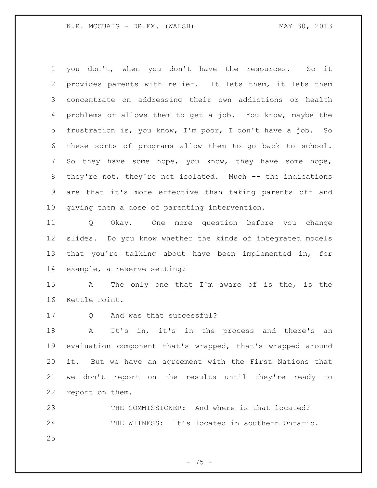you don't, when you don't have the resources. So it provides parents with relief. It lets them, it lets them concentrate on addressing their own addictions or health problems or allows them to get a job. You know, maybe the frustration is, you know, I'm poor, I don't have a job. So these sorts of programs allow them to go back to school. So they have some hope, you know, they have some hope, they're not, they're not isolated. Much -- the indications are that it's more effective than taking parents off and giving them a dose of parenting intervention.

 Q Okay. One more question before you change slides. Do you know whether the kinds of integrated models that you're talking about have been implemented in, for example, a reserve setting?

 A The only one that I'm aware of is the, is the Kettle Point.

17 O And was that successful?

 A It's in, it's in the process and there's an evaluation component that's wrapped, that's wrapped around it. But we have an agreement with the First Nations that we don't report on the results until they're ready to report on them.

 THE COMMISSIONER: And where is that located? 24 THE WITNESS: It's located in southern Ontario. 

- 75 -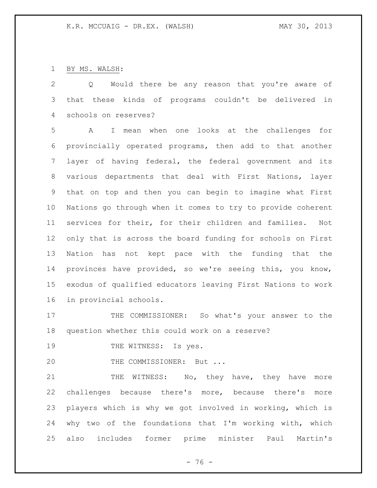BY MS. WALSH:

 Q Would there be any reason that you're aware of that these kinds of programs couldn't be delivered in schools on reserves?

 A I mean when one looks at the challenges for provincially operated programs, then add to that another layer of having federal, the federal government and its various departments that deal with First Nations, layer that on top and then you can begin to imagine what First Nations go through when it comes to try to provide coherent services for their, for their children and families. Not only that is across the board funding for schools on First Nation has not kept pace with the funding that the provinces have provided, so we're seeing this, you know, exodus of qualified educators leaving First Nations to work in provincial schools.

17 THE COMMISSIONER: So what's your answer to the question whether this could work on a reserve?

19 THE WITNESS: Is yes.

20 THE COMMISSIONER: But ...

21 THE WITNESS: No, they have, they have more challenges because there's more, because there's more players which is why we got involved in working, which is why two of the foundations that I'm working with, which also includes former prime minister Paul Martin's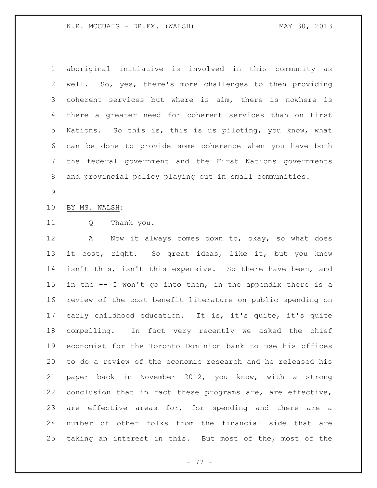## K.R. MCCUAIG - DR.EX. (WALSH) MAY 30, 2013

 aboriginal initiative is involved in this community as well. So, yes, there's more challenges to then providing coherent services but where is aim, there is nowhere is there a greater need for coherent services than on First Nations. So this is, this is us piloting, you know, what can be done to provide some coherence when you have both the federal government and the First Nations governments and provincial policy playing out in small communities.

## BY MS. WALSH:

Q Thank you.

 A Now it always comes down to, okay, so what does it cost, right. So great ideas, like it, but you know isn't this, isn't this expensive. So there have been, and in the -- I won't go into them, in the appendix there is a review of the cost benefit literature on public spending on early childhood education. It is, it's quite, it's quite compelling. In fact very recently we asked the chief economist for the Toronto Dominion bank to use his offices to do a review of the economic research and he released his paper back in November 2012, you know, with a strong conclusion that in fact these programs are, are effective, 23 are effective areas for, for spending and there are a number of other folks from the financial side that are taking an interest in this. But most of the, most of the

- 77 -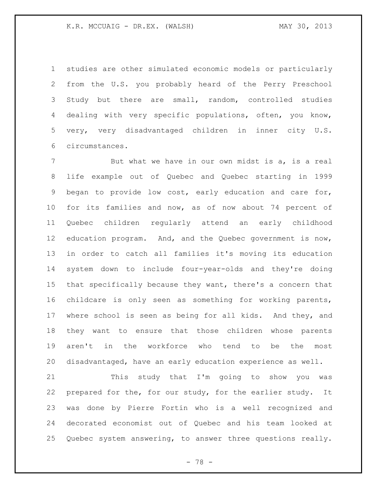studies are other simulated economic models or particularly from the U.S. you probably heard of the Perry Preschool Study but there are small, random, controlled studies dealing with very specific populations, often, you know, very, very disadvantaged children in inner city U.S. circumstances.

7 But what we have in our own midst is a, is a real life example out of Quebec and Quebec starting in 1999 began to provide low cost, early education and care for, for its families and now, as of now about 74 percent of Quebec children regularly attend an early childhood education program. And, and the Quebec government is now, in order to catch all families it's moving its education system down to include four-year-olds and they're doing that specifically because they want, there's a concern that childcare is only seen as something for working parents, where school is seen as being for all kids. And they, and they want to ensure that those children whose parents aren't in the workforce who tend to be the most disadvantaged, have an early education experience as well.

 This study that I'm going to show you was 22 prepared for the, for our study, for the earlier study. It was done by Pierre Fortin who is a well recognized and decorated economist out of Quebec and his team looked at Quebec system answering, to answer three questions really.

- 78 -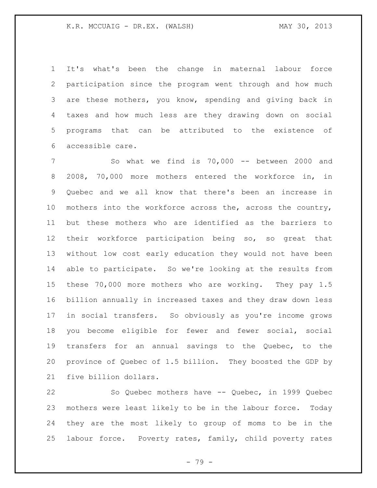It's what's been the change in maternal labour force participation since the program went through and how much are these mothers, you know, spending and giving back in taxes and how much less are they drawing down on social programs that can be attributed to the existence of accessible care.

 So what we find is 70,000 -- between 2000 and 2008, 70,000 more mothers entered the workforce in, in Quebec and we all know that there's been an increase in 10 mothers into the workforce across the, across the country, but these mothers who are identified as the barriers to their workforce participation being so, so great that without low cost early education they would not have been able to participate. So we're looking at the results from these 70,000 more mothers who are working. They pay 1.5 billion annually in increased taxes and they draw down less in social transfers. So obviously as you're income grows you become eligible for fewer and fewer social, social transfers for an annual savings to the Quebec, to the province of Quebec of 1.5 billion. They boosted the GDP by five billion dollars.

 So Quebec mothers have -- Quebec, in 1999 Quebec mothers were least likely to be in the labour force. Today they are the most likely to group of moms to be in the labour force. Poverty rates, family, child poverty rates

- 79 -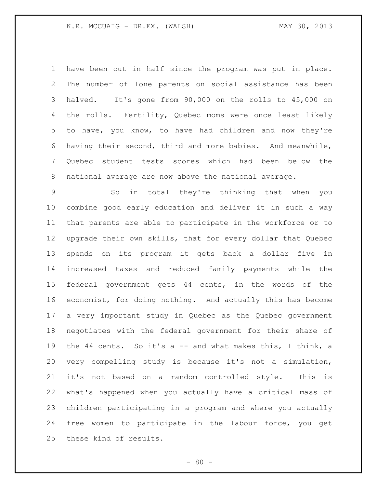## K.R. MCCUAIG - DR.EX. (WALSH) MAY 30, 2013

 have been cut in half since the program was put in place. The number of lone parents on social assistance has been halved. It's gone from 90,000 on the rolls to 45,000 on the rolls. Fertility, Quebec moms were once least likely to have, you know, to have had children and now they're having their second, third and more babies. And meanwhile, Quebec student tests scores which had been below the national average are now above the national average.

 So in total they're thinking that when you combine good early education and deliver it in such a way that parents are able to participate in the workforce or to upgrade their own skills, that for every dollar that Quebec spends on its program it gets back a dollar five in increased taxes and reduced family payments while the federal government gets 44 cents, in the words of the economist, for doing nothing. And actually this has become a very important study in Quebec as the Quebec government negotiates with the federal government for their share of the 44 cents. So it's a -- and what makes this, I think, a very compelling study is because it's not a simulation, it's not based on a random controlled style. This is what's happened when you actually have a critical mass of children participating in a program and where you actually free women to participate in the labour force, you get these kind of results.

 $- 80 -$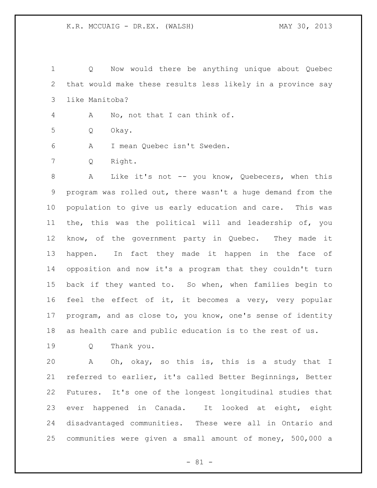Q Now would there be anything unique about Quebec that would make these results less likely in a province say like Manitoba?

A No, not that I can think of.

Q Okay.

A I mean Quebec isn't Sweden.

Q Right.

8 A Like it's not -- you know, Quebecers, when this program was rolled out, there wasn't a huge demand from the population to give us early education and care. This was the, this was the political will and leadership of, you know, of the government party in Quebec. They made it happen. In fact they made it happen in the face of opposition and now it's a program that they couldn't turn back if they wanted to. So when, when families begin to feel the effect of it, it becomes a very, very popular program, and as close to, you know, one's sense of identity as health care and public education is to the rest of us.

Q Thank you.

 A Oh, okay, so this is, this is a study that I referred to earlier, it's called Better Beginnings, Better Futures. It's one of the longest longitudinal studies that ever happened in Canada. It looked at eight, eight disadvantaged communities. These were all in Ontario and communities were given a small amount of money, 500,000 a

- 81 -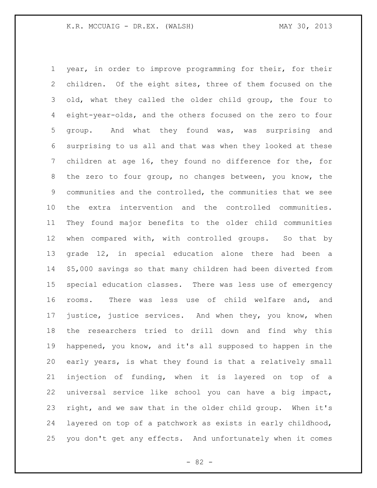year, in order to improve programming for their, for their children. Of the eight sites, three of them focused on the old, what they called the older child group, the four to eight-year-olds, and the others focused on the zero to four group. And what they found was, was surprising and surprising to us all and that was when they looked at these children at age 16, they found no difference for the, for the zero to four group, no changes between, you know, the communities and the controlled, the communities that we see the extra intervention and the controlled communities. They found major benefits to the older child communities when compared with, with controlled groups. So that by grade 12, in special education alone there had been a \$5,000 savings so that many children had been diverted from special education classes. There was less use of emergency rooms. There was less use of child welfare and, and justice, justice services. And when they, you know, when the researchers tried to drill down and find why this happened, you know, and it's all supposed to happen in the early years, is what they found is that a relatively small injection of funding, when it is layered on top of a universal service like school you can have a big impact, right, and we saw that in the older child group. When it's layered on top of a patchwork as exists in early childhood, you don't get any effects. And unfortunately when it comes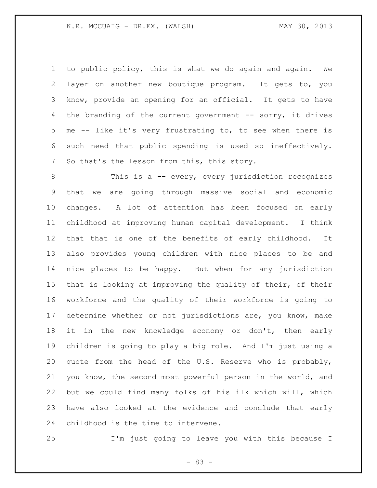to public policy, this is what we do again and again. We layer on another new boutique program. It gets to, you know, provide an opening for an official. It gets to have the branding of the current government -- sorry, it drives me -- like it's very frustrating to, to see when there is such need that public spending is used so ineffectively. So that's the lesson from this, this story.

 This is a -- every, every jurisdiction recognizes that we are going through massive social and economic changes. A lot of attention has been focused on early childhood at improving human capital development. I think that that is one of the benefits of early childhood. It also provides young children with nice places to be and nice places to be happy. But when for any jurisdiction that is looking at improving the quality of their, of their workforce and the quality of their workforce is going to determine whether or not jurisdictions are, you know, make 18 it in the new knowledge economy or don't, then early children is going to play a big role. And I'm just using a quote from the head of the U.S. Reserve who is probably, you know, the second most powerful person in the world, and but we could find many folks of his ilk which will, which have also looked at the evidence and conclude that early childhood is the time to intervene.

I'm just going to leave you with this because I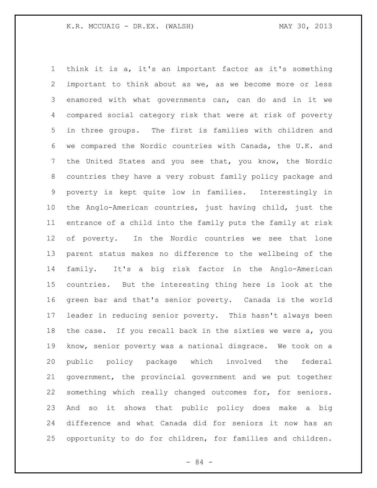think it is a, it's an important factor as it's something important to think about as we, as we become more or less enamored with what governments can, can do and in it we compared social category risk that were at risk of poverty in three groups. The first is families with children and we compared the Nordic countries with Canada, the U.K. and the United States and you see that, you know, the Nordic countries they have a very robust family policy package and poverty is kept quite low in families. Interestingly in the Anglo-American countries, just having child, just the entrance of a child into the family puts the family at risk of poverty. In the Nordic countries we see that lone parent status makes no difference to the wellbeing of the family. It's a big risk factor in the Anglo-American countries. But the interesting thing here is look at the green bar and that's senior poverty. Canada is the world leader in reducing senior poverty. This hasn't always been the case. If you recall back in the sixties we were a, you know, senior poverty was a national disgrace. We took on a public policy package which involved the federal government, the provincial government and we put together something which really changed outcomes for, for seniors. And so it shows that public policy does make a big difference and what Canada did for seniors it now has an opportunity to do for children, for families and children.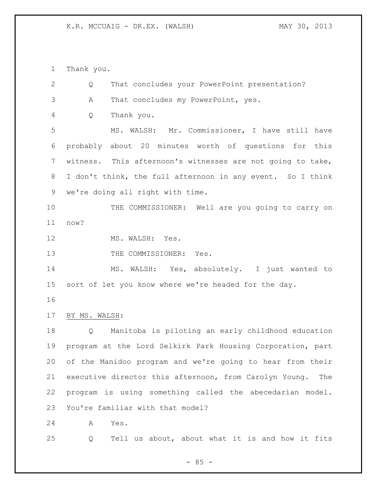Thank you.

| $\mathbf{2}$ | Q             | That concludes your PowerPoint presentation?               |
|--------------|---------------|------------------------------------------------------------|
| 3            | Α             | That concludes my PowerPoint, yes.                         |
| 4            | Q             | Thank you.                                                 |
| 5            |               | MS. WALSH: Mr. Commissioner, I have still have             |
| 6            |               | probably about 20 minutes worth of questions for this      |
| 7            |               | witness. This afternoon's witnesses are not going to take, |
| 8            |               | I don't think, the full afternoon in any event. So I think |
| 9            |               | we're doing all right with time.                           |
| 10           |               | THE COMMISSIONER: Well are you going to carry on           |
| 11           | now?          |                                                            |
| 12           |               | MS. WALSH: Yes.                                            |
| 13           |               | THE COMMISSIONER:<br>Yes.                                  |
| 14           |               | MS. WALSH: Yes, absolutely. I just wanted to               |
| 15           |               | sort of let you know where we're headed for the day.       |
| 16           |               |                                                            |
| 17           | BY MS. WALSH: |                                                            |
| 18           | Q             | Manitoba is piloting an early childhood education          |
| 19           |               | program at the Lord Selkirk Park Housing Corporation, part |
| 20           |               | of the Manidoo program and we're going to hear from their  |
| 21           |               | executive director this afternoon, from Carolyn Young. The |
| 22           |               | program is using something called the abecedarian model.   |
| 23           |               | You're familiar with that model?                           |
| 24           | Α             | Yes.                                                       |
| 25           | Q             | Tell us about, about what it is and how it fits            |

- 85 -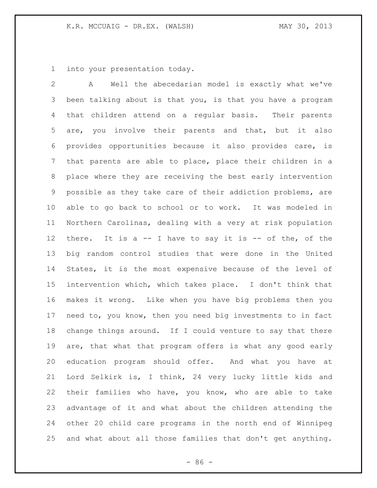into your presentation today.

 A Well the abecedarian model is exactly what we've been talking about is that you, is that you have a program that children attend on a regular basis. Their parents are, you involve their parents and that, but it also provides opportunities because it also provides care, is that parents are able to place, place their children in a place where they are receiving the best early intervention possible as they take care of their addiction problems, are able to go back to school or to work. It was modeled in Northern Carolinas, dealing with a very at risk population there. It is a -- I have to say it is -- of the, of the big random control studies that were done in the United States, it is the most expensive because of the level of intervention which, which takes place. I don't think that makes it wrong. Like when you have big problems then you need to, you know, then you need big investments to in fact change things around. If I could venture to say that there are, that what that program offers is what any good early education program should offer. And what you have at Lord Selkirk is, I think, 24 very lucky little kids and their families who have, you know, who are able to take advantage of it and what about the children attending the other 20 child care programs in the north end of Winnipeg and what about all those families that don't get anything.

 $-86 -$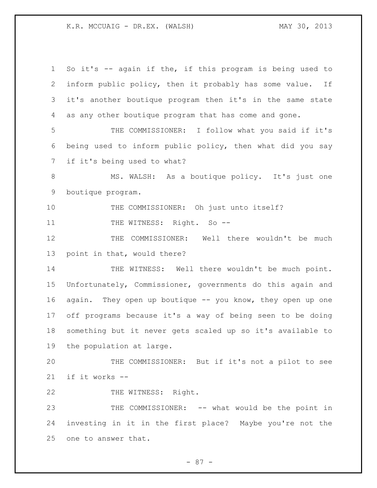K.R. MCCUAIG - DR.EX. (WALSH) MAY 30, 2013

 So it's -- again if the, if this program is being used to inform public policy, then it probably has some value. If it's another boutique program then it's in the same state as any other boutique program that has come and gone. THE COMMISSIONER: I follow what you said if it's being used to inform public policy, then what did you say if it's being used to what? 8 MS. WALSH: As a boutique policy. It's just one boutique program. THE COMMISSIONER: Oh just unto itself? 11 THE WITNESS: Right. So -- THE COMMISSIONER: Well there wouldn't be much point in that, would there? 14 THE WITNESS: Well there wouldn't be much point. Unfortunately, Commissioner, governments do this again and again. They open up boutique -- you know, they open up one off programs because it's a way of being seen to be doing something but it never gets scaled up so it's available to the population at large. THE COMMISSIONER: But if it's not a pilot to see if it works -- 22 THE WITNESS: Right. THE COMMISSIONER: -- what would be the point in investing in it in the first place? Maybe you're not the one to answer that.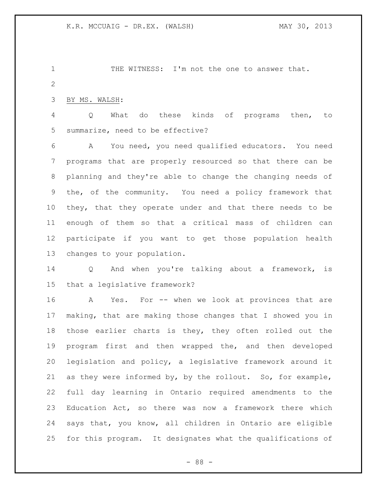1 THE WITNESS: I'm not the one to answer that. 

BY MS. WALSH:

 Q What do these kinds of programs then, to summarize, need to be effective?

 A You need, you need qualified educators. You need programs that are properly resourced so that there can be planning and they're able to change the changing needs of the, of the community. You need a policy framework that they, that they operate under and that there needs to be enough of them so that a critical mass of children can participate if you want to get those population health changes to your population.

 Q And when you're talking about a framework, is that a legislative framework?

 A Yes. For -- when we look at provinces that are making, that are making those changes that I showed you in those earlier charts is they, they often rolled out the program first and then wrapped the, and then developed legislation and policy, a legislative framework around it as they were informed by, by the rollout. So, for example, full day learning in Ontario required amendments to the Education Act, so there was now a framework there which says that, you know, all children in Ontario are eligible for this program. It designates what the qualifications of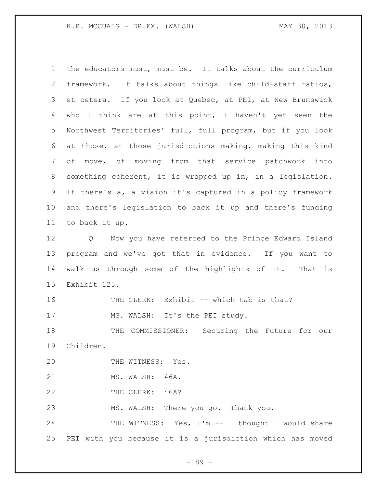the educators must, must be. It talks about the curriculum framework. It talks about things like child-staff ratios, et cetera. If you look at Quebec, at PEI, at New Brunswick who I think are at this point, I haven't yet seen the Northwest Territories' full, full program, but if you look at those, at those jurisdictions making, making this kind of move, of moving from that service patchwork into something coherent, it is wrapped up in, in a legislation. If there's a, a vision it's captured in a policy framework and there's legislation to back it up and there's funding to back it up. Q Now you have referred to the Prince Edward Island program and we've got that in evidence. If you want to walk us through some of the highlights of it. That is Exhibit 125. 16 THE CLERK: Exhibit -- which tab is that? 17 MS. WALSH: It's the PEI study. THE COMMISSIONER: Securing the Future for our Children. 20 THE WITNESS: Yes. MS. WALSH: 46A. 22 THE CLERK: 46A? MS. WALSH: There you go. Thank you. 24 THE WITNESS: Yes, I'm -- I thought I would share PEI with you because it is a jurisdiction which has moved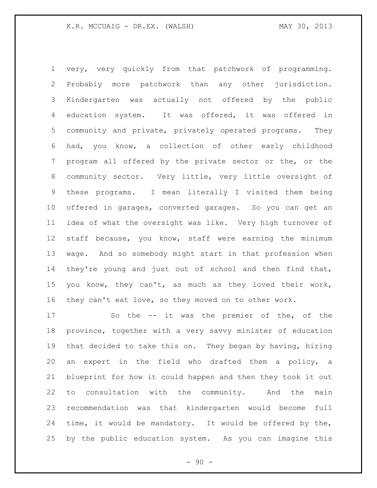very, very quickly from that patchwork of programming. Probably more patchwork than any other jurisdiction. Kindergarten was actually not offered by the public education system. It was offered, it was offered in community and private, privately operated programs. They had, you know, a collection of other early childhood program all offered by the private sector or the, or the community sector. Very little, very little oversight of these programs. I mean literally I visited them being offered in garages, converted garages. So you can get an idea of what the oversight was like. Very high turnover of staff because, you know, staff were earning the minimum wage. And so somebody might start in that profession when they're young and just out of school and then find that, you know, they can't, as much as they loved their work, they can't eat love, so they moved on to other work.

 So the -- it was the premier of the, of the province, together with a very savvy minister of education that decided to take this on. They began by having, hiring an expert in the field who drafted them a policy, a blueprint for how it could happen and then they took it out to consultation with the community. And the main recommendation was that kindergarten would become full time, it would be mandatory. It would be offered by the, by the public education system. As you can imagine this

 $-90 -$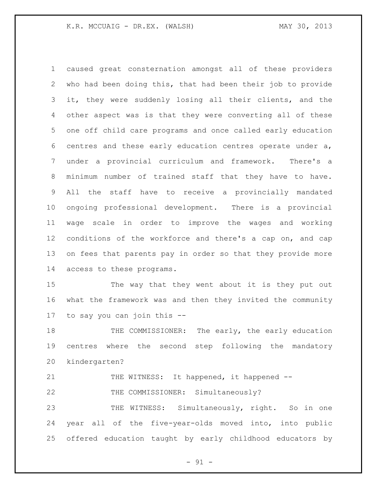caused great consternation amongst all of these providers who had been doing this, that had been their job to provide it, they were suddenly losing all their clients, and the other aspect was is that they were converting all of these one off child care programs and once called early education centres and these early education centres operate under a, under a provincial curriculum and framework. There's a minimum number of trained staff that they have to have. All the staff have to receive a provincially mandated ongoing professional development. There is a provincial wage scale in order to improve the wages and working conditions of the workforce and there's a cap on, and cap on fees that parents pay in order so that they provide more access to these programs.

 The way that they went about it is they put out what the framework was and then they invited the community to say you can join this --

18 THE COMMISSIONER: The early, the early education centres where the second step following the mandatory kindergarten?

21 THE WITNESS: It happened, it happened --

22 THE COMMISSIONER: Simultaneously?

 THE WITNESS: Simultaneously, right. So in one year all of the five-year-olds moved into, into public offered education taught by early childhood educators by

- 91 -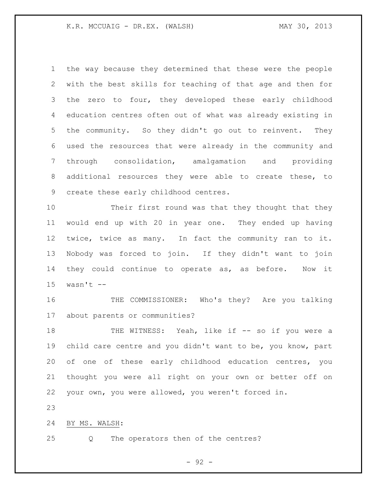the way because they determined that these were the people with the best skills for teaching of that age and then for the zero to four, they developed these early childhood education centres often out of what was already existing in the community. So they didn't go out to reinvent. They used the resources that were already in the community and through consolidation, amalgamation and providing additional resources they were able to create these, to create these early childhood centres.

 Their first round was that they thought that they would end up with 20 in year one. They ended up having twice, twice as many. In fact the community ran to it. Nobody was forced to join. If they didn't want to join they could continue to operate as, as before. Now it wasn't  $-$ 

 THE COMMISSIONER: Who's they? Are you talking about parents or communities?

18 THE WITNESS: Yeah, like if -- so if you were a child care centre and you didn't want to be, you know, part of one of these early childhood education centres, you thought you were all right on your own or better off on your own, you were allowed, you weren't forced in.

BY MS. WALSH:

Q The operators then of the centres?

- 92 -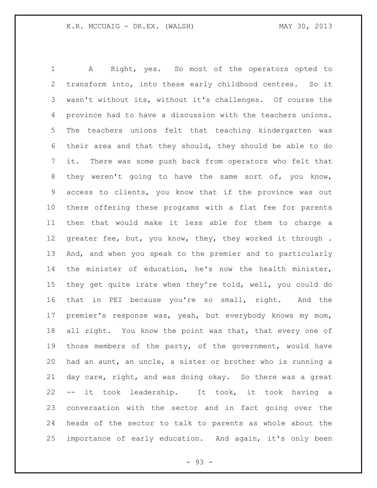A Right, yes. So most of the operators opted to transform into, into these early childhood centres. So it wasn't without its, without it's challenges. Of course the province had to have a discussion with the teachers unions. The teachers unions felt that teaching kindergarten was their area and that they should, they should be able to do it. There was some push back from operators who felt that they weren't going to have the same sort of, you know, access to clients, you know that if the province was out there offering these programs with a flat fee for parents then that would make it less able for them to charge a 12 greater fee, but, you know, they, they worked it through. And, and when you speak to the premier and to particularly the minister of education, he's now the health minister, they get quite irate when they're told, well, you could do that in PEI because you're so small, right. And the premier's response was, yeah, but everybody knows my mom, 18 all right. You know the point was that, that every one of those members of the party, of the government, would have had an aunt, an uncle, a sister or brother who is running a day care, right, and was doing okay. So there was a great -- it took leadership. It took, it took having a conversation with the sector and in fact going over the heads of the sector to talk to parents as whole about the importance of early education. And again, it's only been

 $-93 -$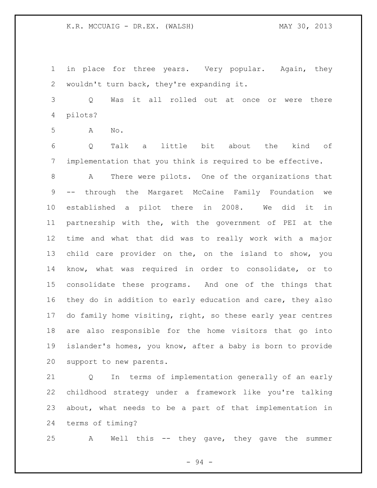in place for three years. Very popular. Again, they wouldn't turn back, they're expanding it.

 Q Was it all rolled out at once or were there pilots?

A No.

 Q Talk a little bit about the kind of implementation that you think is required to be effective.

 A There were pilots. One of the organizations that -- through the Margaret McCaine Family Foundation we established a pilot there in 2008. We did it in partnership with the, with the government of PEI at the time and what that did was to really work with a major child care provider on the, on the island to show, you know, what was required in order to consolidate, or to consolidate these programs. And one of the things that they do in addition to early education and care, they also do family home visiting, right, so these early year centres are also responsible for the home visitors that go into islander's homes, you know, after a baby is born to provide support to new parents.

 Q In terms of implementation generally of an early childhood strategy under a framework like you're talking about, what needs to be a part of that implementation in terms of timing?

A Well this -- they gave, they gave the summer

- 94 -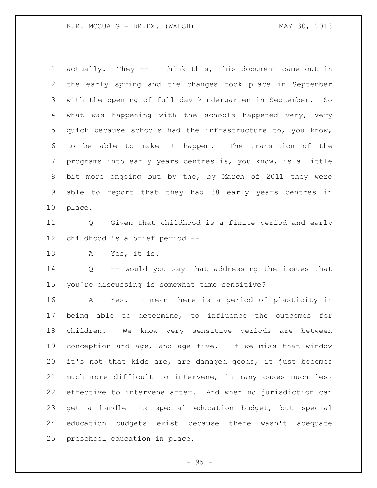K.R. MCCUAIG - DR.EX. (WALSH) MAY 30, 2013

 actually. They -- I think this, this document came out in the early spring and the changes took place in September with the opening of full day kindergarten in September. So what was happening with the schools happened very, very quick because schools had the infrastructure to, you know, to be able to make it happen. The transition of the programs into early years centres is, you know, is a little bit more ongoing but by the, by March of 2011 they were able to report that they had 38 early years centres in place.

 Q Given that childhood is a finite period and early childhood is a brief period --

A Yes, it is.

 Q -- would you say that addressing the issues that you're discussing is somewhat time sensitive?

 A Yes. I mean there is a period of plasticity in being able to determine, to influence the outcomes for children. We know very sensitive periods are between conception and age, and age five. If we miss that window it's not that kids are, are damaged goods, it just becomes much more difficult to intervene, in many cases much less effective to intervene after. And when no jurisdiction can get a handle its special education budget, but special education budgets exist because there wasn't adequate preschool education in place.

- 95 -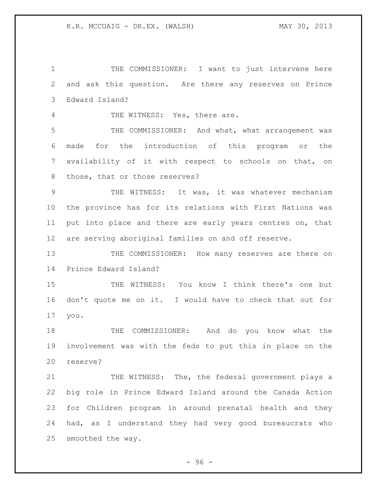THE COMMISSIONER: I want to just intervene here and ask this question. Are there any reserves on Prince Edward Island?

THE WITNESS: Yes, there are.

 THE COMMISSIONER: And what, what arrangement was made for the introduction of this program or the availability of it with respect to schools on that, on those, that or those reserves?

 THE WITNESS: It was, it was whatever mechanism the province has for its relations with First Nations was put into place and there are early years centres on, that are serving aboriginal families on and off reserve.

13 THE COMMISSIONER: How many reserves are there on Prince Edward Island?

 THE WITNESS: You know I think there's one but don't quote me on it. I would have to check that out for you.

 THE COMMISSIONER: And do you know what the involvement was with the feds to put this in place on the reserve?

21 THE WITNESS: The, the federal government plays a big role in Prince Edward Island around the Canada Action for Children program in around prenatal health and they had, as I understand they had very good bureaucrats who smoothed the way.

 $-96 -$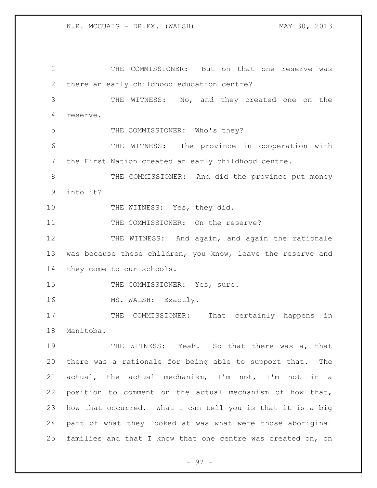1 THE COMMISSIONER: But on that one reserve was 2 there an early childhood education centre? 3 THE WITNESS: No, and they created one on the 4 reserve. 5 THE COMMISSIONER: Who's they? 6 THE WITNESS: The province in cooperation with 7 the First Nation created an early childhood centre. 8 THE COMMISSIONER: And did the province put money 9 into it? 10 THE WITNESS: Yes, they did. 11 THE COMMISSIONER: On the reserve? 12 THE WITNESS: And again, and again the rationale 13 was because these children, you know, leave the reserve and 14 they come to our schools. 15 THE COMMISSIONER: Yes, sure. 16 MS. WALSH: Exactly. 17 THE COMMISSIONER: That certainly happens in 18 Manitoba. 19 THE WITNESS: Yeah. So that there was a, that 20 there was a rationale for being able to support that. The 21 actual, the actual mechanism, I'm not, I'm not in a 22 position to comment on the actual mechanism of how that, 23 how that occurred. What I can tell you is that it is a big 24 part of what they looked at was what were those aboriginal 25 families and that I know that one centre was created on, on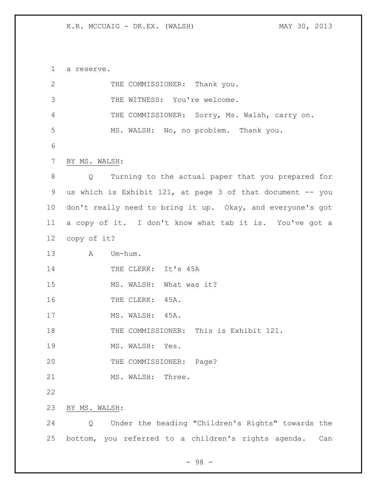a reserve.

| $\mathbf{2}$   | THE COMMISSIONER: Thank you.                               |
|----------------|------------------------------------------------------------|
| $\mathfrak{Z}$ | THE WITNESS: You're welcome.                               |
| 4              | THE COMMISSIONER: Sorry, Ms. Walsh, carry on.              |
| 5              | MS. WALSH: No, no problem. Thank you.                      |
| 6              |                                                            |
| 7              | BY MS. WALSH:                                              |
| 8              | Turning to the actual paper that you prepared for<br>Q     |
| 9              | us which is Exhibit 121, at page 3 of that document -- you |
| 10             | don't really need to bring it up. Okay, and everyone's got |
| 11             | a copy of it. I don't know what tab it is. You've got a    |
| 12             | copy of it?                                                |
| 13             | Um-hum.<br>A                                               |
| 14             | THE CLERK: It's 45A                                        |
| 15             | MS. WALSH: What was it?                                    |
| 16             | THE CLERK: 45A.                                            |
| 17             | MS. WALSH: 45A.                                            |
| 18             | THE COMMISSIONER: This is Exhibit 121.                     |
| 19             | MS. WALSH: Yes.                                            |
| 20             | THE COMMISSIONER: Page?                                    |
| 21             | MS. WALSH: Three.                                          |
| 22             |                                                            |
| 23             | BY MS. WALSH:                                              |
| 24             | Under the heading "Children's Rights" towards the<br>Q     |
| 25             | bottom, you referred to a children's rights agenda.<br>Can |
|                |                                                            |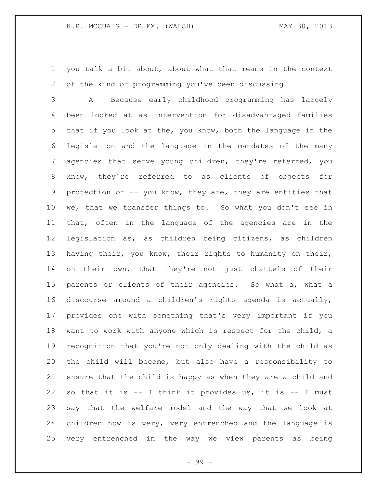you talk a bit about, about what that means in the context of the kind of programming you've been discussing?

 A Because early childhood programming has largely been looked at as intervention for disadvantaged families that if you look at the, you know, both the language in the legislation and the language in the mandates of the many agencies that serve young children, they're referred, you know, they're referred to as clients of objects for protection of -- you know, they are, they are entities that we, that we transfer things to. So what you don't see in that, often in the language of the agencies are in the legislation as, as children being citizens, as children having their, you know, their rights to humanity on their, on their own, that they're not just chattels of their parents or clients of their agencies. So what a, what a discourse around a children's rights agenda is actually, provides one with something that's very important if you want to work with anyone which is respect for the child, a recognition that you're not only dealing with the child as the child will become, but also have a responsibility to ensure that the child is happy as when they are a child and so that it is -- I think it provides us, it is -- I must say that the welfare model and the way that we look at children now is very, very entrenched and the language is very entrenched in the way we view parents as being

- 99 -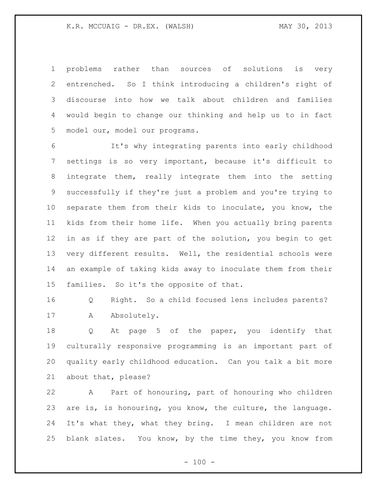problems rather than sources of solutions is very entrenched. So I think introducing a children's right of discourse into how we talk about children and families would begin to change our thinking and help us to in fact model our, model our programs.

 It's why integrating parents into early childhood settings is so very important, because it's difficult to integrate them, really integrate them into the setting successfully if they're just a problem and you're trying to separate them from their kids to inoculate, you know, the kids from their home life. When you actually bring parents in as if they are part of the solution, you begin to get very different results. Well, the residential schools were an example of taking kids away to inoculate them from their families. So it's the opposite of that.

 Q Right. So a child focused lens includes parents? 17 A Absolutely.

 Q At page 5 of the paper, you identify that culturally responsive programming is an important part of quality early childhood education. Can you talk a bit more about that, please?

 A Part of honouring, part of honouring who children are is, is honouring, you know, the culture, the language. It's what they, what they bring. I mean children are not blank slates. You know, by the time they, you know from

 $- 100 -$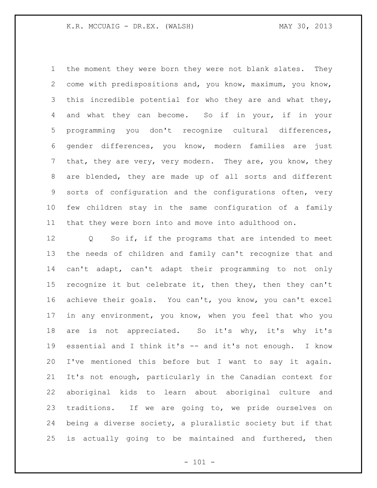the moment they were born they were not blank slates. They come with predispositions and, you know, maximum, you know, this incredible potential for who they are and what they, and what they can become. So if in your, if in your programming you don't recognize cultural differences, gender differences, you know, modern families are just 7 that, they are very, very modern. They are, you know, they are blended, they are made up of all sorts and different sorts of configuration and the configurations often, very few children stay in the same configuration of a family that they were born into and move into adulthood on.

 Q So if, if the programs that are intended to meet the needs of children and family can't recognize that and can't adapt, can't adapt their programming to not only 15 recognize it but celebrate it, then they, then they can't achieve their goals. You can't, you know, you can't excel in any environment, you know, when you feel that who you are is not appreciated. So it's why, it's why it's essential and I think it's -- and it's not enough. I know I've mentioned this before but I want to say it again. It's not enough, particularly in the Canadian context for aboriginal kids to learn about aboriginal culture and traditions. If we are going to, we pride ourselves on being a diverse society, a pluralistic society but if that is actually going to be maintained and furthered, then

 $- 101 -$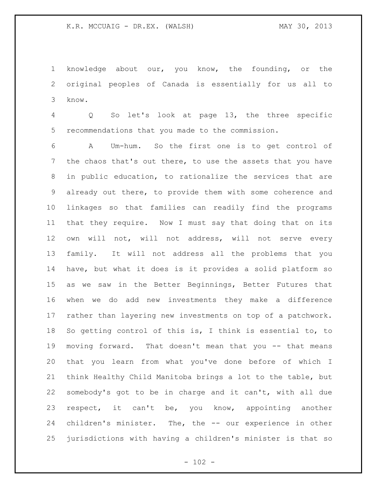knowledge about our, you know, the founding, or the original peoples of Canada is essentially for us all to know.

 Q So let's look at page 13, the three specific recommendations that you made to the commission.

 A Um-hum. So the first one is to get control of 7 the chaos that's out there, to use the assets that you have in public education, to rationalize the services that are already out there, to provide them with some coherence and linkages so that families can readily find the programs that they require. Now I must say that doing that on its own will not, will not address, will not serve every family. It will not address all the problems that you have, but what it does is it provides a solid platform so as we saw in the Better Beginnings, Better Futures that when we do add new investments they make a difference rather than layering new investments on top of a patchwork. So getting control of this is, I think is essential to, to moving forward. That doesn't mean that you -- that means that you learn from what you've done before of which I think Healthy Child Manitoba brings a lot to the table, but somebody's got to be in charge and it can't, with all due respect, it can't be, you know, appointing another children's minister. The, the -- our experience in other jurisdictions with having a children's minister is that so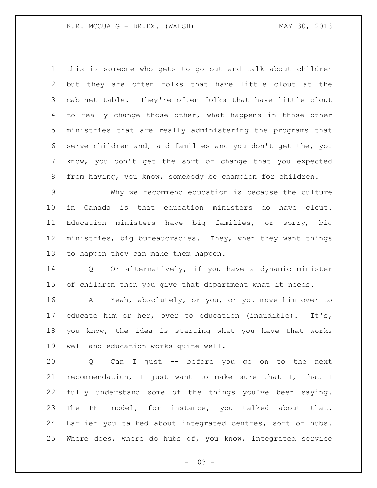this is someone who gets to go out and talk about children but they are often folks that have little clout at the cabinet table. They're often folks that have little clout to really change those other, what happens in those other ministries that are really administering the programs that serve children and, and families and you don't get the, you know, you don't get the sort of change that you expected from having, you know, somebody be champion for children.

 Why we recommend education is because the culture in Canada is that education ministers do have clout. Education ministers have big families, or sorry, big ministries, big bureaucracies. They, when they want things to happen they can make them happen.

 Q Or alternatively, if you have a dynamic minister of children then you give that department what it needs.

 A Yeah, absolutely, or you, or you move him over to educate him or her, over to education (inaudible). It's, you know, the idea is starting what you have that works well and education works quite well.

 Q Can I just -- before you go on to the next recommendation, I just want to make sure that I, that I fully understand some of the things you've been saying. The PEI model, for instance, you talked about that. Earlier you talked about integrated centres, sort of hubs. Where does, where do hubs of, you know, integrated service

 $- 103 -$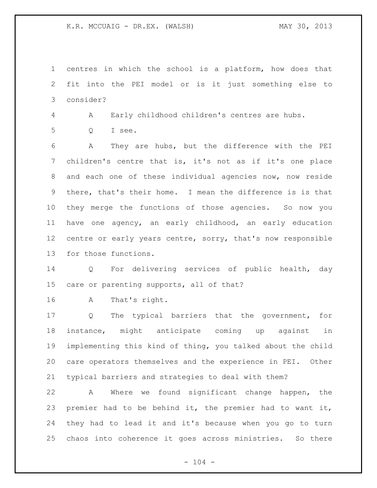K.R. MCCUAIG - DR.EX. (WALSH) MAY 30, 2013

 centres in which the school is a platform, how does that fit into the PEI model or is it just something else to consider?

A Early childhood children's centres are hubs.

Q I see.

 A They are hubs, but the difference with the PEI children's centre that is, it's not as if it's one place and each one of these individual agencies now, now reside there, that's their home. I mean the difference is is that they merge the functions of those agencies. So now you have one agency, an early childhood, an early education 12 centre or early years centre, sorry, that's now responsible for those functions.

 Q For delivering services of public health, day care or parenting supports, all of that?

A That's right.

 Q The typical barriers that the government, for instance, might anticipate coming up against in implementing this kind of thing, you talked about the child care operators themselves and the experience in PEI. Other typical barriers and strategies to deal with them?

 A Where we found significant change happen, the premier had to be behind it, the premier had to want it, they had to lead it and it's because when you go to turn chaos into coherence it goes across ministries. So there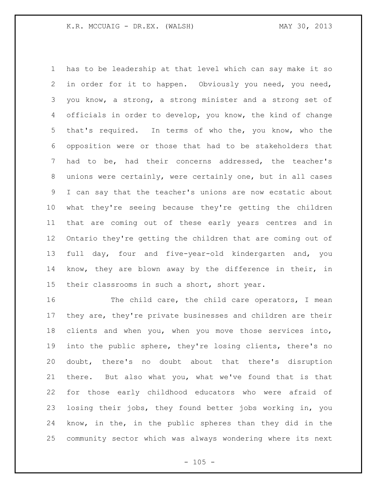has to be leadership at that level which can say make it so in order for it to happen. Obviously you need, you need, you know, a strong, a strong minister and a strong set of officials in order to develop, you know, the kind of change that's required. In terms of who the, you know, who the opposition were or those that had to be stakeholders that had to be, had their concerns addressed, the teacher's unions were certainly, were certainly one, but in all cases I can say that the teacher's unions are now ecstatic about what they're seeing because they're getting the children that are coming out of these early years centres and in Ontario they're getting the children that are coming out of full day, four and five-year-old kindergarten and, you know, they are blown away by the difference in their, in 15 their classrooms in such a short, short year.

16 The child care, the child care operators, I mean they are, they're private businesses and children are their clients and when you, when you move those services into, into the public sphere, they're losing clients, there's no doubt, there's no doubt about that there's disruption there. But also what you, what we've found that is that for those early childhood educators who were afraid of losing their jobs, they found better jobs working in, you know, in the, in the public spheres than they did in the community sector which was always wondering where its next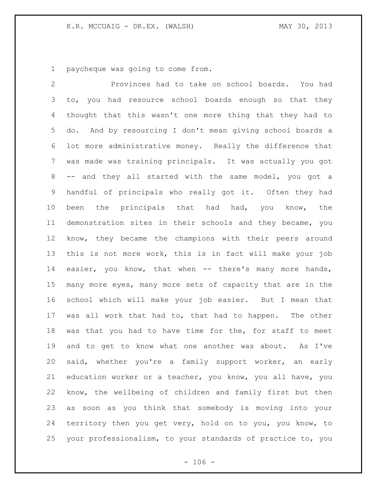paycheque was going to come from.

 Provinces had to take on school boards. You had to, you had resource school boards enough so that they thought that this wasn't one more thing that they had to do. And by resourcing I don't mean giving school boards a lot more administrative money. Really the difference that was made was training principals. It was actually you got -- and they all started with the same model, you got a handful of principals who really got it. Often they had been the principals that had had, you know, the demonstration sites in their schools and they became, you know, they became the champions with their peers around this is not more work, this is in fact will make your job 14 easier, you know, that when -- there's many more hands, many more eyes, many more sets of capacity that are in the school which will make your job easier. But I mean that was all work that had to, that had to happen. The other was that you had to have time for the, for staff to meet and to get to know what one another was about. As I've said, whether you're a family support worker, an early education worker or a teacher, you know, you all have, you know, the wellbeing of children and family first but then as soon as you think that somebody is moving into your territory then you get very, hold on to you, you know, to your professionalism, to your standards of practice to, you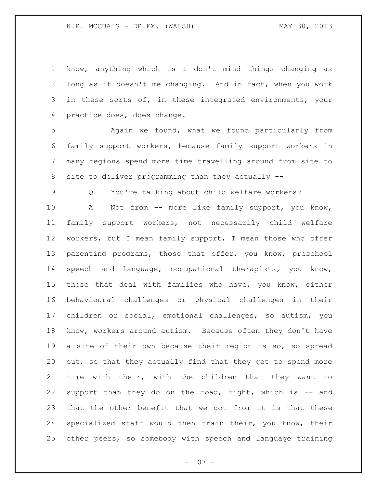know, anything which is I don't mind things changing as long as it doesn't me changing. And in fact, when you work 3 in these sorts of, in these integrated environments, your practice does, does change.

 Again we found, what we found particularly from family support workers, because family support workers in many regions spend more time travelling around from site to site to deliver programming than they actually --

Q You're talking about child welfare workers?

10 A Not from -- more like family support, you know, family support workers, not necessarily child welfare workers, but I mean family support, I mean those who offer parenting programs, those that offer, you know, preschool speech and language, occupational therapists, you know, those that deal with families who have, you know, either behavioural challenges or physical challenges in their children or social, emotional challenges, so autism, you know, workers around autism. Because often they don't have a site of their own because their region is so, so spread 20 out, so that they actually find that they get to spend more time with their, with the children that they want to support than they do on the road, right, which is -- and that the other benefit that we got from it is that these specialized staff would then train their, you know, their other peers, so somebody with speech and language training

 $- 107 -$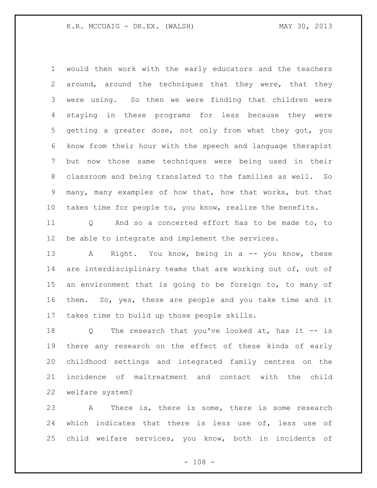would then work with the early educators and the teachers around, around the techniques that they were, that they were using. So then we were finding that children were staying in these programs for less because they were getting a greater dose, not only from what they got, you know from their hour with the speech and language therapist but now those same techniques were being used in their classroom and being translated to the families as well. So many, many examples of how that, how that works, but that takes time for people to, you know, realize the benefits.

 Q And so a concerted effort has to be made to, to be able to integrate and implement the services.

13 A Right. You know, being in a -- you know, these 14 are interdisciplinary teams that are working out of, out of an environment that is going to be foreign to, to many of them. So, yes, these are people and you take time and it takes time to build up those people skills.

 Q The research that you've looked at, has it -- is there any research on the effect of these kinds of early childhood settings and integrated family centres on the incidence of maltreatment and contact with the child welfare system?

 A There is, there is some, there is some research which indicates that there is less use of, less use of child welfare services, you know, both in incidents of

 $- 108 -$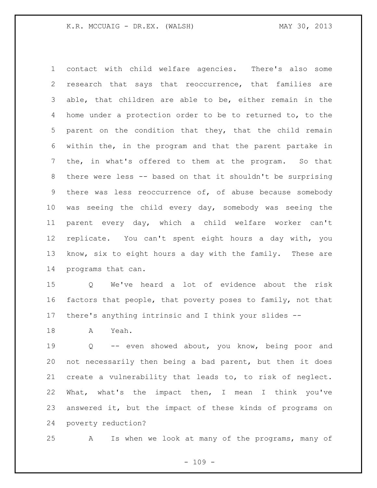contact with child welfare agencies. There's also some research that says that reoccurrence, that families are able, that children are able to be, either remain in the home under a protection order to be to returned to, to the parent on the condition that they, that the child remain within the, in the program and that the parent partake in the, in what's offered to them at the program. So that there were less -- based on that it shouldn't be surprising there was less reoccurrence of, of abuse because somebody was seeing the child every day, somebody was seeing the parent every day, which a child welfare worker can't replicate. You can't spent eight hours a day with, you know, six to eight hours a day with the family. These are programs that can.

 Q We've heard a lot of evidence about the risk factors that people, that poverty poses to family, not that there's anything intrinsic and I think your slides --

A Yeah.

 Q -- even showed about, you know, being poor and not necessarily then being a bad parent, but then it does create a vulnerability that leads to, to risk of neglect. What, what's the impact then, I mean I think you've answered it, but the impact of these kinds of programs on poverty reduction?

A Is when we look at many of the programs, many of

 $- 109 -$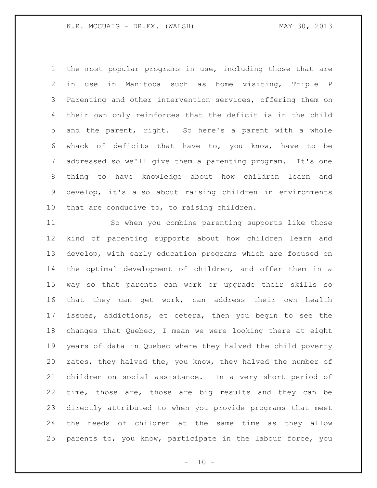the most popular programs in use, including those that are in use in Manitoba such as home visiting, Triple P Parenting and other intervention services, offering them on their own only reinforces that the deficit is in the child and the parent, right. So here's a parent with a whole whack of deficits that have to, you know, have to be addressed so we'll give them a parenting program. It's one thing to have knowledge about how children learn and develop, it's also about raising children in environments that are conducive to, to raising children.

 So when you combine parenting supports like those kind of parenting supports about how children learn and develop, with early education programs which are focused on the optimal development of children, and offer them in a way so that parents can work or upgrade their skills so that they can get work, can address their own health issues, addictions, et cetera, then you begin to see the changes that Quebec, I mean we were looking there at eight years of data in Quebec where they halved the child poverty rates, they halved the, you know, they halved the number of children on social assistance. In a very short period of time, those are, those are big results and they can be directly attributed to when you provide programs that meet the needs of children at the same time as they allow parents to, you know, participate in the labour force, you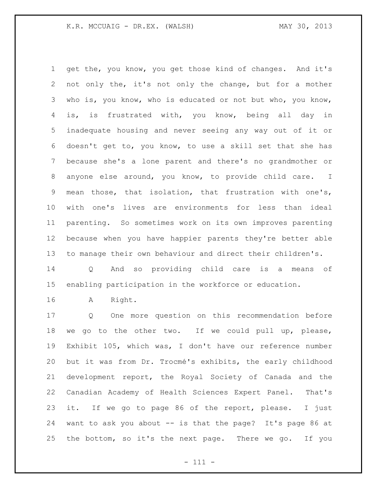get the, you know, you get those kind of changes. And it's not only the, it's not only the change, but for a mother who is, you know, who is educated or not but who, you know, is, is frustrated with, you know, being all day in inadequate housing and never seeing any way out of it or doesn't get to, you know, to use a skill set that she has because she's a lone parent and there's no grandmother or anyone else around, you know, to provide child care. I mean those, that isolation, that frustration with one's, with one's lives are environments for less than ideal parenting. So sometimes work on its own improves parenting because when you have happier parents they're better able to manage their own behaviour and direct their children's.

 Q And so providing child care is a means of enabling participation in the workforce or education.

A Right.

 Q One more question on this recommendation before we go to the other two. If we could pull up, please, Exhibit 105, which was, I don't have our reference number but it was from Dr. Trocmé's exhibits, the early childhood development report, the Royal Society of Canada and the Canadian Academy of Health Sciences Expert Panel. That's it. If we go to page 86 of the report, please. I just want to ask you about -- is that the page? It's page 86 at the bottom, so it's the next page. There we go. If you

- 111 -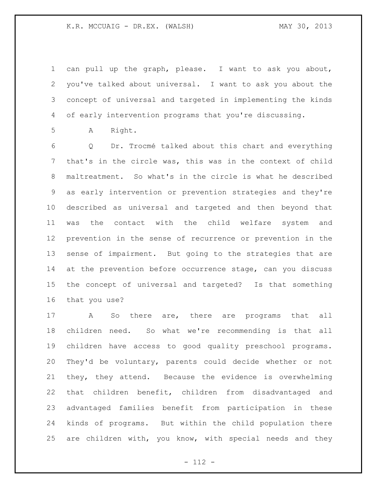#### K.R. MCCUAIG - DR.EX. (WALSH) MAY 30, 2013

 can pull up the graph, please. I want to ask you about, you've talked about universal. I want to ask you about the concept of universal and targeted in implementing the kinds of early intervention programs that you're discussing.

A Right.

 Q Dr. Trocmé talked about this chart and everything that's in the circle was, this was in the context of child maltreatment. So what's in the circle is what he described as early intervention or prevention strategies and they're described as universal and targeted and then beyond that was the contact with the child welfare system and prevention in the sense of recurrence or prevention in the sense of impairment. But going to the strategies that are 14 at the prevention before occurrence stage, can you discuss the concept of universal and targeted? Is that something that you use?

 A So there are, there are programs that all children need. So what we're recommending is that all children have access to good quality preschool programs. They'd be voluntary, parents could decide whether or not they, they attend. Because the evidence is overwhelming that children benefit, children from disadvantaged and advantaged families benefit from participation in these kinds of programs. But within the child population there are children with, you know, with special needs and they

- 112 -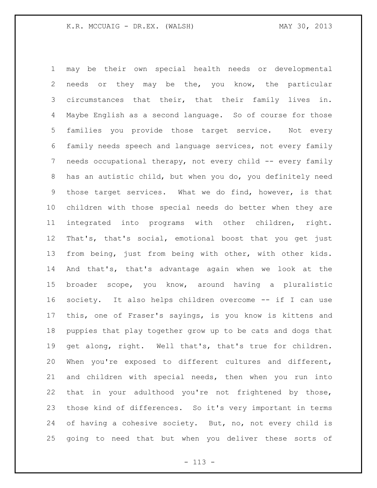may be their own special health needs or developmental needs or they may be the, you know, the particular circumstances that their, that their family lives in. Maybe English as a second language. So of course for those families you provide those target service. Not every family needs speech and language services, not every family needs occupational therapy, not every child -- every family has an autistic child, but when you do, you definitely need those target services. What we do find, however, is that children with those special needs do better when they are integrated into programs with other children, right. That's, that's social, emotional boost that you get just from being, just from being with other, with other kids. And that's, that's advantage again when we look at the broader scope, you know, around having a pluralistic society. It also helps children overcome -- if I can use this, one of Fraser's sayings, is you know is kittens and puppies that play together grow up to be cats and dogs that get along, right. Well that's, that's true for children. When you're exposed to different cultures and different, and children with special needs, then when you run into that in your adulthood you're not frightened by those, those kind of differences. So it's very important in terms of having a cohesive society. But, no, not every child is going to need that but when you deliver these sorts of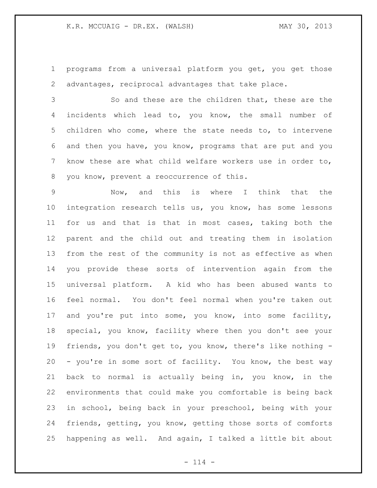programs from a universal platform you get, you get those advantages, reciprocal advantages that take place.

 So and these are the children that, these are the incidents which lead to, you know, the small number of children who come, where the state needs to, to intervene and then you have, you know, programs that are put and you know these are what child welfare workers use in order to, you know, prevent a reoccurrence of this.

 Now, and this is where I think that the integration research tells us, you know, has some lessons for us and that is that in most cases, taking both the parent and the child out and treating them in isolation from the rest of the community is not as effective as when you provide these sorts of intervention again from the universal platform. A kid who has been abused wants to feel normal. You don't feel normal when you're taken out and you're put into some, you know, into some facility, special, you know, facility where then you don't see your friends, you don't get to, you know, there's like nothing - - you're in some sort of facility. You know, the best way back to normal is actually being in, you know, in the environments that could make you comfortable is being back in school, being back in your preschool, being with your friends, getting, you know, getting those sorts of comforts happening as well. And again, I talked a little bit about

 $- 114 -$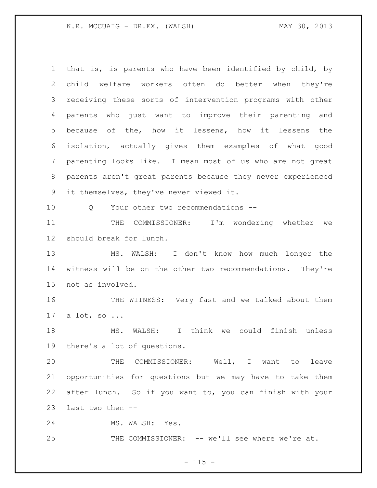### K.R. MCCUAIG - DR.EX. (WALSH) MAY 30, 2013

 that is, is parents who have been identified by child, by child welfare workers often do better when they're receiving these sorts of intervention programs with other parents who just want to improve their parenting and because of the, how it lessens, how it lessens the isolation, actually gives them examples of what good parenting looks like. I mean most of us who are not great parents aren't great parents because they never experienced it themselves, they've never viewed it. 10 0 Your other two recommendations --11 THE COMMISSIONER: I'm wondering whether we should break for lunch. MS. WALSH: I don't know how much longer the witness will be on the other two recommendations. They're not as involved. 16 THE WITNESS: Very fast and we talked about them a lot, so ... MS. WALSH: I think we could finish unless there's a lot of questions. THE COMMISSIONER: Well, I want to leave opportunities for questions but we may have to take them after lunch. So if you want to, you can finish with your last two then -- MS. WALSH: Yes. THE COMMISSIONER: -- we'll see where we're at.

 $- 115 -$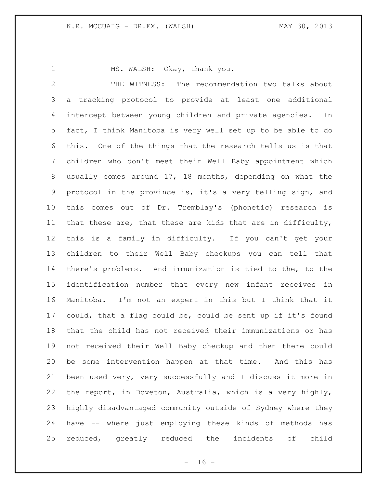1 MS. WALSH: Okay, thank you.

 THE WITNESS: The recommendation two talks about a tracking protocol to provide at least one additional intercept between young children and private agencies. In fact, I think Manitoba is very well set up to be able to do this. One of the things that the research tells us is that children who don't meet their Well Baby appointment which usually comes around 17, 18 months, depending on what the protocol in the province is, it's a very telling sign, and this comes out of Dr. Tremblay's (phonetic) research is that these are, that these are kids that are in difficulty, this is a family in difficulty. If you can't get your children to their Well Baby checkups you can tell that there's problems. And immunization is tied to the, to the identification number that every new infant receives in Manitoba. I'm not an expert in this but I think that it could, that a flag could be, could be sent up if it's found that the child has not received their immunizations or has not received their Well Baby checkup and then there could be some intervention happen at that time. And this has been used very, very successfully and I discuss it more in the report, in Doveton, Australia, which is a very highly, highly disadvantaged community outside of Sydney where they have -- where just employing these kinds of methods has reduced, greatly reduced the incidents of child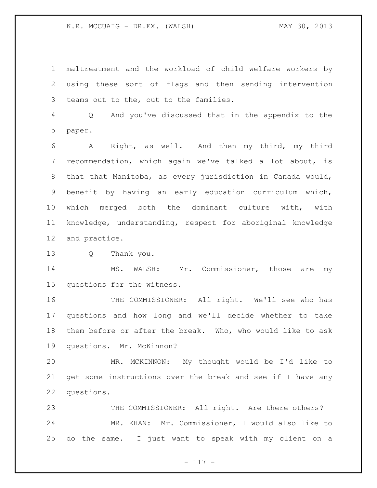maltreatment and the workload of child welfare workers by using these sort of flags and then sending intervention teams out to the, out to the families.

 Q And you've discussed that in the appendix to the paper.

 A Right, as well. And then my third, my third recommendation, which again we've talked a lot about, is that that Manitoba, as every jurisdiction in Canada would, benefit by having an early education curriculum which, which merged both the dominant culture with, with knowledge, understanding, respect for aboriginal knowledge and practice.

Q Thank you.

 MS. WALSH: Mr. Commissioner, those are my questions for the witness.

16 THE COMMISSIONER: All right. We'll see who has questions and how long and we'll decide whether to take them before or after the break. Who, who would like to ask questions. Mr. McKinnon?

 MR. MCKINNON: My thought would be I'd like to get some instructions over the break and see if I have any questions.

 THE COMMISSIONER: All right. Are there others? MR. KHAN: Mr. Commissioner, I would also like to do the same. I just want to speak with my client on a

 $- 117 -$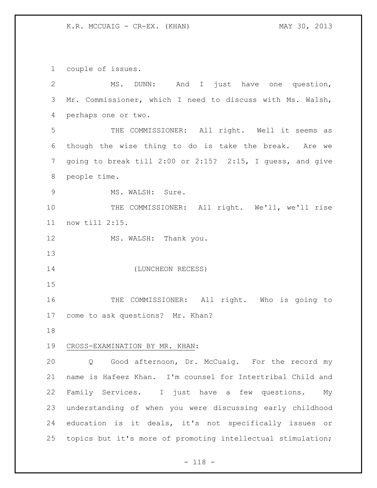couple of issues.

| 2              | MS. DUNN: And I just have one question,                     |  |  |  |  |  |  |  |
|----------------|-------------------------------------------------------------|--|--|--|--|--|--|--|
| 3              | Mr. Commissioner, which I need to discuss with Ms. Walsh,   |  |  |  |  |  |  |  |
| 4              | perhaps one or two.                                         |  |  |  |  |  |  |  |
| 5              | THE COMMISSIONER: All right. Well it seems as               |  |  |  |  |  |  |  |
| 6              | though the wise thing to do is take the break. Are we       |  |  |  |  |  |  |  |
| $\overline{7}$ | going to break till 2:00 or 2:15? 2:15, I guess, and give   |  |  |  |  |  |  |  |
| $8\,$          | people time.                                                |  |  |  |  |  |  |  |
| $\mathsf 9$    | MS. WALSH: Sure.                                            |  |  |  |  |  |  |  |
| 10             | THE COMMISSIONER: All right. We'll, we'll rise              |  |  |  |  |  |  |  |
| 11             | now till 2:15.                                              |  |  |  |  |  |  |  |
| 12             | MS. WALSH: Thank you.                                       |  |  |  |  |  |  |  |
| 13             |                                                             |  |  |  |  |  |  |  |
| 14             | (LUNCHEON RECESS)                                           |  |  |  |  |  |  |  |
| 15             |                                                             |  |  |  |  |  |  |  |
| 16             | THE COMMISSIONER: All right. Who is going to                |  |  |  |  |  |  |  |
| 17             | come to ask questions? Mr. Khan?                            |  |  |  |  |  |  |  |
| 18             |                                                             |  |  |  |  |  |  |  |
| 19             | CROSS-EXAMINATION BY MR. KHAN:                              |  |  |  |  |  |  |  |
| 20             | Good afternoon, Dr. McCuaig. For the record my<br>Q         |  |  |  |  |  |  |  |
| 21             | name is Hafeez Khan. I'm counsel for Intertribal Child and  |  |  |  |  |  |  |  |
| 22             | Family Services. I just have a few questions.<br>Мy         |  |  |  |  |  |  |  |
| 23             | understanding of when you were discussing early childhood   |  |  |  |  |  |  |  |
| 24             | education is it deals, it's not specifically issues or      |  |  |  |  |  |  |  |
| 25             | topics but it's more of promoting intellectual stimulation; |  |  |  |  |  |  |  |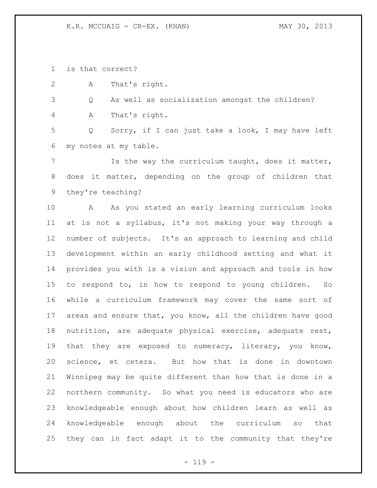K.R. MCCUAIG - CR-EX. (KHAN) MAY 30, 2013

is that correct?

A That's right.

Q As well as socialization amongst the children?

A That's right.

 Q Sorry, if I can just take a look, I may have left my notes at my table.

 Is the way the curriculum taught, does it matter, does it matter, depending on the group of children that they're teaching?

 A As you stated an early learning curriculum looks at is not a syllabus, it's not making your way through a number of subjects. It's an approach to learning and child development within an early childhood setting and what it provides you with is a vision and approach and tools in how to respond to, in how to respond to young children. So while a curriculum framework may cover the same sort of areas and ensure that, you know, all the children have good nutrition, are adequate physical exercise, adequate rest, that they are exposed to numeracy, literary, you know, science, et cetera. But how that is done in downtown Winnipeg may be quite different than how that is done in a northern community. So what you need is educators who are knowledgeable enough about how children learn as well as knowledgeable enough about the curriculum so that they can in fact adapt it to the community that they're

 $- 119 -$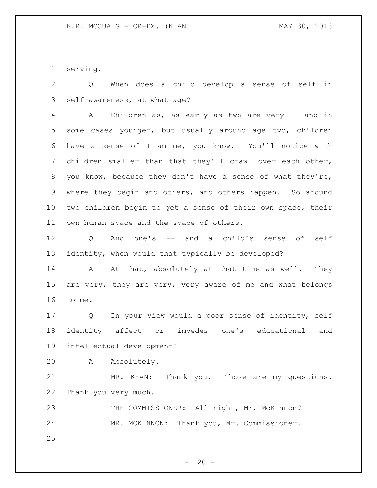serving.

 Q When does a child develop a sense of self in self-awareness, at what age?

 A Children as, as early as two are very -- and in some cases younger, but usually around age two, children have a sense of I am me, you know. You'll notice with children smaller than that they'll crawl over each other, you know, because they don't have a sense of what they're, where they begin and others, and others happen. So around two children begin to get a sense of their own space, their own human space and the space of others.

 Q And one's -- and a child's sense of self identity, when would that typically be developed?

14 A At that, absolutely at that time as well. They are very, they are very, very aware of me and what belongs to me.

 Q In your view would a poor sense of identity, self identity affect or impedes one's educational and intellectual development?

A Absolutely.

 MR. KHAN: Thank you. Those are my questions. Thank you very much.

 THE COMMISSIONER: All right, Mr. McKinnon? MR. MCKINNON: Thank you, Mr. Commissioner.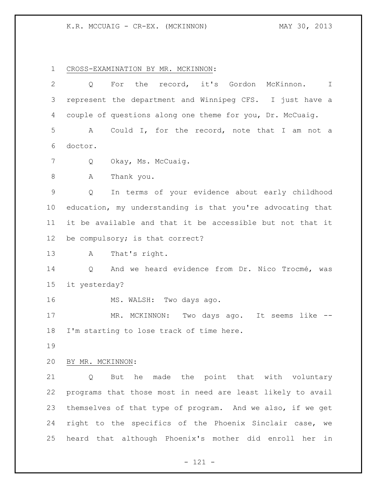# K.R. MCCUAIG - CR-EX. (MCKINNON) MAY 30, 2013

CROSS-EXAMINATION BY MR. MCKINNON:

| $\mathbf{2}$    | record, it's Gordon<br>For<br>the<br>McKinnon.<br>Q<br>I.  |  |  |  |  |  |  |  |
|-----------------|------------------------------------------------------------|--|--|--|--|--|--|--|
| 3               | represent the department and Winnipeg CFS. I just have a   |  |  |  |  |  |  |  |
| 4               | couple of questions along one theme for you, Dr. McCuaig.  |  |  |  |  |  |  |  |
| 5               | Could I, for the record, note that I am not a<br>A         |  |  |  |  |  |  |  |
| 6               | doctor.                                                    |  |  |  |  |  |  |  |
| 7               | Okay, Ms. McCuaig.<br>Q                                    |  |  |  |  |  |  |  |
| $\,8\,$         | Thank you.<br>Α                                            |  |  |  |  |  |  |  |
| $\mathsf 9$     | In terms of your evidence about early childhood<br>Q       |  |  |  |  |  |  |  |
| 10 <sub>o</sub> | education, my understanding is that you're advocating that |  |  |  |  |  |  |  |
| 11              | it be available and that it be accessible but not that it  |  |  |  |  |  |  |  |
| 12              | be compulsory; is that correct?                            |  |  |  |  |  |  |  |
| 13              | That's right.<br>A                                         |  |  |  |  |  |  |  |
| 14              | And we heard evidence from Dr. Nico Trocmé, was<br>Q       |  |  |  |  |  |  |  |
| 15              | it yesterday?                                              |  |  |  |  |  |  |  |
| 16              | MS. WALSH: Two days ago.                                   |  |  |  |  |  |  |  |
| 17              | MR. MCKINNON: Two days ago.<br>It seems like               |  |  |  |  |  |  |  |
| 18              | I'm starting to lose track of time here.                   |  |  |  |  |  |  |  |
| 19              |                                                            |  |  |  |  |  |  |  |
| 20              | BY MR. MCKINNON:                                           |  |  |  |  |  |  |  |
| 21              | Q But he made the point that with voluntary                |  |  |  |  |  |  |  |
| 22              | programs that those most in need are least likely to avail |  |  |  |  |  |  |  |
| 23              | themselves of that type of program. And we also, if we get |  |  |  |  |  |  |  |
| 24              | right to the specifics of the Phoenix Sinclair case, we    |  |  |  |  |  |  |  |
| 25              | heard that although Phoenix's mother did enroll her in     |  |  |  |  |  |  |  |

- 121 -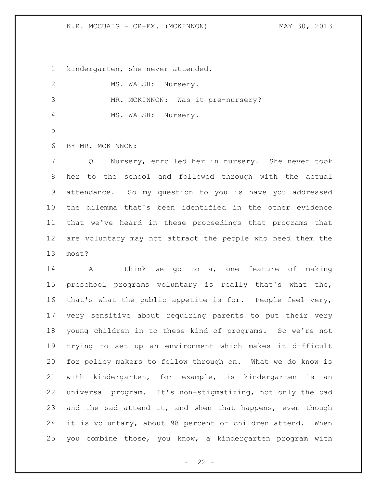# K.R. MCCUAIG - CR-EX. (MCKINNON) MAY 30, 2013

kindergarten, she never attended.

|   | MS. WALSH: Nursery. |  |                                   |
|---|---------------------|--|-----------------------------------|
| 3 |                     |  | MR. MCKINNON: Was it pre-nursery? |
| 4 | MS. WALSH: Nursery. |  |                                   |

# BY MR. MCKINNON:

 Q Nursery, enrolled her in nursery. She never took her to the school and followed through with the actual attendance. So my question to you is have you addressed the dilemma that's been identified in the other evidence that we've heard in these proceedings that programs that are voluntary may not attract the people who need them the most?

 A I think we go to a, one feature of making preschool programs voluntary is really that's what the, that's what the public appetite is for. People feel very, very sensitive about requiring parents to put their very young children in to these kind of programs. So we're not trying to set up an environment which makes it difficult for policy makers to follow through on. What we do know is with kindergarten, for example, is kindergarten is an universal program. It's non-stigmatizing, not only the bad 23 and the sad attend it, and when that happens, even though it is voluntary, about 98 percent of children attend. When you combine those, you know, a kindergarten program with

 $- 122 -$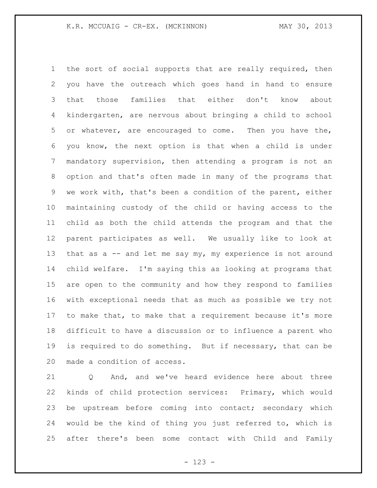the sort of social supports that are really required, then you have the outreach which goes hand in hand to ensure that those families that either don't know about kindergarten, are nervous about bringing a child to school or whatever, are encouraged to come. Then you have the, you know, the next option is that when a child is under mandatory supervision, then attending a program is not an option and that's often made in many of the programs that we work with, that's been a condition of the parent, either maintaining custody of the child or having access to the child as both the child attends the program and that the parent participates as well. We usually like to look at 13 that as a -- and let me say my, my experience is not around child welfare. I'm saying this as looking at programs that are open to the community and how they respond to families with exceptional needs that as much as possible we try not to make that, to make that a requirement because it's more difficult to have a discussion or to influence a parent who is required to do something. But if necessary, that can be made a condition of access.

 Q And, and we've heard evidence here about three kinds of child protection services: Primary, which would be upstream before coming into contact; secondary which would be the kind of thing you just referred to, which is after there's been some contact with Child and Family

- 123 -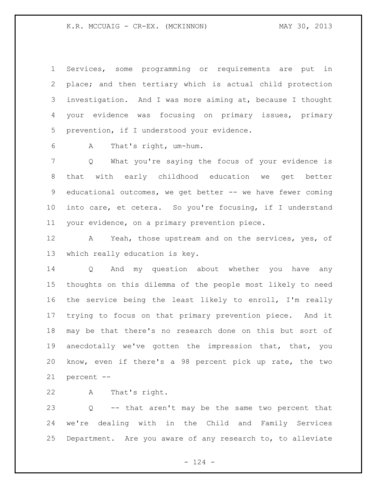Services, some programming or requirements are put in place; and then tertiary which is actual child protection investigation. And I was more aiming at, because I thought your evidence was focusing on primary issues, primary prevention, if I understood your evidence.

A That's right, um-hum.

 Q What you're saying the focus of your evidence is that with early childhood education we get better 9 educational outcomes, we get better -- we have fewer coming into care, et cetera. So you're focusing, if I understand your evidence, on a primary prevention piece.

 A Yeah, those upstream and on the services, yes, of which really education is key.

 Q And my question about whether you have any thoughts on this dilemma of the people most likely to need the service being the least likely to enroll, I'm really trying to focus on that primary prevention piece. And it may be that there's no research done on this but sort of anecdotally we've gotten the impression that, that, you know, even if there's a 98 percent pick up rate, the two percent --

A That's right.

 Q -- that aren't may be the same two percent that we're dealing with in the Child and Family Services Department. Are you aware of any research to, to alleviate

 $- 124 -$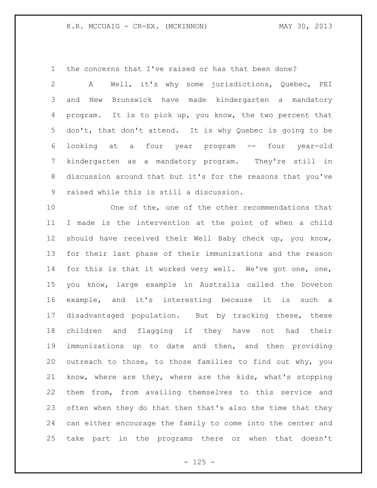the concerns that I've raised or has that been done?

 A Well, it's why some jurisdictions, Quebec, PEI and New Brunswick have made kindergarten a mandatory program. It is to pick up, you know, the two percent that don't, that don't attend. It is why Quebec is going to be looking at a four year program -- four year-old kindergarten as a mandatory program. They're still in discussion around that but it's for the reasons that you've raised while this is still a discussion.

 One of the, one of the other recommendations that I made is the intervention at the point of when a child should have received their Well Baby check up, you know, for their last phase of their immunizations and the reason 14 for this is that it worked very well. We've got one, one, you know, large example in Australia called the Doveton example, and it's interesting because it is such a disadvantaged population. But by tracking these, these children and flagging if they have not had their immunizations up to date and then, and then providing outreach to those, to those families to find out why, you know, where are they, where are the kids, what's stopping them from, from availing themselves to this service and often when they do that then that's also the time that they can either encourage the family to come into the center and take part in the programs there or when that doesn't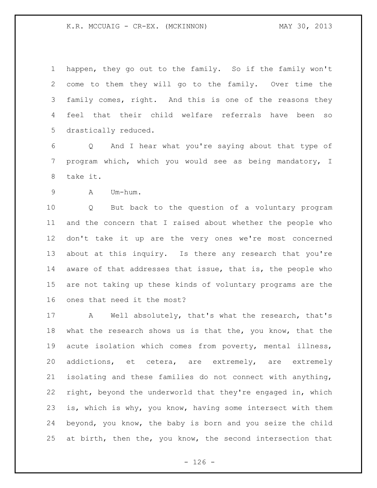## K.R. MCCUAIG - CR-EX. (MCKINNON) MAY 30, 2013

 happen, they go out to the family. So if the family won't come to them they will go to the family. Over time the family comes, right. And this is one of the reasons they feel that their child welfare referrals have been so drastically reduced.

 Q And I hear what you're saying about that type of program which, which you would see as being mandatory, I take it.

A Um-hum.

 Q But back to the question of a voluntary program and the concern that I raised about whether the people who don't take it up are the very ones we're most concerned about at this inquiry. Is there any research that you're aware of that addresses that issue, that is, the people who are not taking up these kinds of voluntary programs are the ones that need it the most?

 A Well absolutely, that's what the research, that's what the research shows us is that the, you know, that the acute isolation which comes from poverty, mental illness, addictions, et cetera, are extremely, are extremely isolating and these families do not connect with anything, right, beyond the underworld that they're engaged in, which is, which is why, you know, having some intersect with them beyond, you know, the baby is born and you seize the child at birth, then the, you know, the second intersection that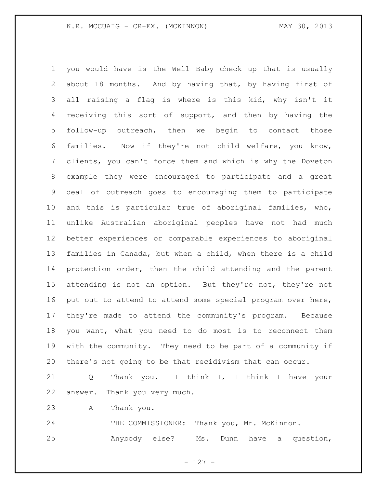you would have is the Well Baby check up that is usually about 18 months. And by having that, by having first of all raising a flag is where is this kid, why isn't it receiving this sort of support, and then by having the follow-up outreach, then we begin to contact those families. Now if they're not child welfare, you know, clients, you can't force them and which is why the Doveton example they were encouraged to participate and a great deal of outreach goes to encouraging them to participate and this is particular true of aboriginal families, who, unlike Australian aboriginal peoples have not had much better experiences or comparable experiences to aboriginal families in Canada, but when a child, when there is a child protection order, then the child attending and the parent attending is not an option. But they're not, they're not put out to attend to attend some special program over here, they're made to attend the community's program. Because you want, what you need to do most is to reconnect them with the community. They need to be part of a community if there's not going to be that recidivism that can occur.

 Q Thank you. I think I, I think I have your answer. Thank you very much.

A Thank you.

24 THE COMMISSIONER: Thank you, Mr. McKinnon. Anybody else? Ms. Dunn have a question,

- 127 -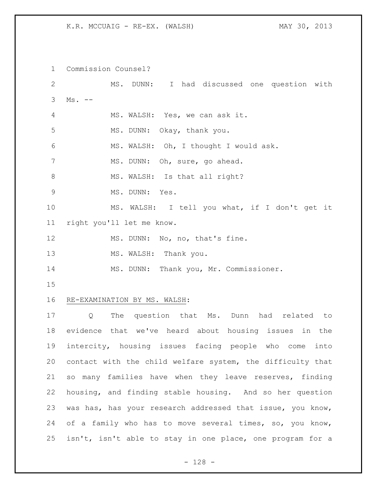K.R. MCCUAIG - RE-EX. (WALSH) MAY 30, 2013

 Commission Counsel? MS. DUNN: I had discussed one question with Ms. -- MS. WALSH: Yes, we can ask it. MS. DUNN: Okay, thank you. MS. WALSH: Oh, I thought I would ask. 7 MS. DUNN: Oh, sure, go ahead. 8 MS. WALSH: Is that all right? MS. DUNN: Yes. MS. WALSH: I tell you what, if I don't get it right you'll let me know. 12 MS. DUNN: No, no, that's fine. 13 MS. WALSH: Thank you. MS. DUNN: Thank you, Mr. Commissioner. RE-EXAMINATION BY MS. WALSH: Q The question that Ms. Dunn had related to evidence that we've heard about housing issues in the intercity, housing issues facing people who come into contact with the child welfare system, the difficulty that so many families have when they leave reserves, finding housing, and finding stable housing. And so her question was has, has your research addressed that issue, you know, of a family who has to move several times, so, you know, isn't, isn't able to stay in one place, one program for a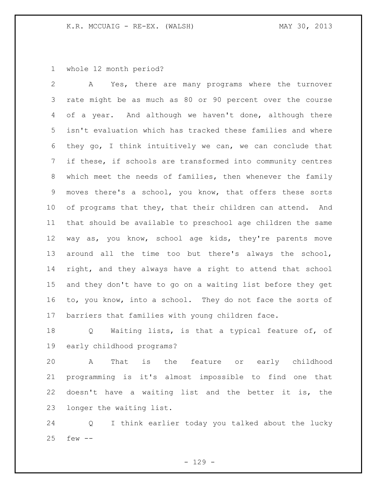whole 12 month period?

 A Yes, there are many programs where the turnover rate might be as much as 80 or 90 percent over the course of a year. And although we haven't done, although there isn't evaluation which has tracked these families and where they go, I think intuitively we can, we can conclude that if these, if schools are transformed into community centres which meet the needs of families, then whenever the family moves there's a school, you know, that offers these sorts 10 of programs that they, that their children can attend. And that should be available to preschool age children the same way as, you know, school age kids, they're parents move around all the time too but there's always the school, right, and they always have a right to attend that school and they don't have to go on a waiting list before they get to, you know, into a school. They do not face the sorts of barriers that families with young children face.

 Q Waiting lists, is that a typical feature of, of early childhood programs?

 A That is the feature or early childhood programming is it's almost impossible to find one that doesn't have a waiting list and the better it is, the longer the waiting list.

 Q I think earlier today you talked about the lucky few --

 $- 129 -$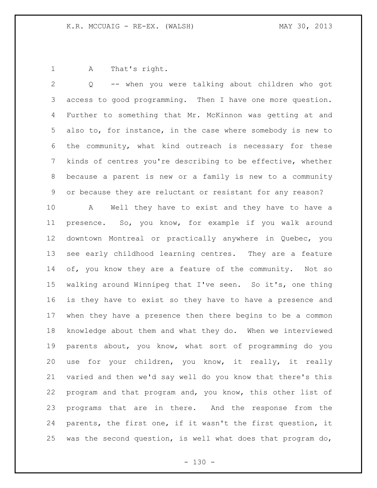A That's right.

 Q -- when you were talking about children who got access to good programming. Then I have one more question. Further to something that Mr. McKinnon was getting at and also to, for instance, in the case where somebody is new to the community, what kind outreach is necessary for these kinds of centres you're describing to be effective, whether because a parent is new or a family is new to a community or because they are reluctant or resistant for any reason?

 A Well they have to exist and they have to have a presence. So, you know, for example if you walk around downtown Montreal or practically anywhere in Quebec, you see early childhood learning centres. They are a feature of, you know they are a feature of the community. Not so walking around Winnipeg that I've seen. So it's, one thing is they have to exist so they have to have a presence and when they have a presence then there begins to be a common knowledge about them and what they do. When we interviewed parents about, you know, what sort of programming do you use for your children, you know, it really, it really varied and then we'd say well do you know that there's this program and that program and, you know, this other list of programs that are in there. And the response from the parents, the first one, if it wasn't the first question, it 25 was the second question, is well what does that program do,

 $- 130 -$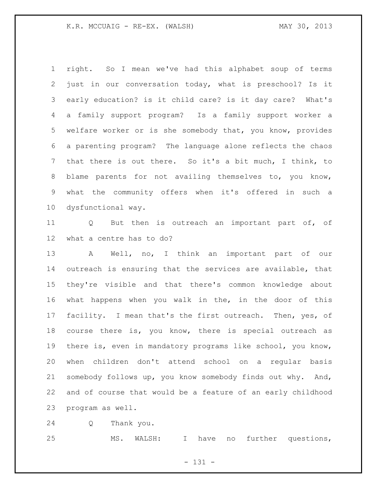## K.R. MCCUAIG - RE-EX. (WALSH) MAY 30, 2013

 right. So I mean we've had this alphabet soup of terms just in our conversation today, what is preschool? Is it early education? is it child care? is it day care? What's a family support program? Is a family support worker a welfare worker or is she somebody that, you know, provides a parenting program? The language alone reflects the chaos that there is out there. So it's a bit much, I think, to blame parents for not availing themselves to, you know, what the community offers when it's offered in such a dysfunctional way.

 Q But then is outreach an important part of, of what a centre has to do?

 A Well, no, I think an important part of our outreach is ensuring that the services are available, that they're visible and that there's common knowledge about what happens when you walk in the, in the door of this facility. I mean that's the first outreach. Then, yes, of course there is, you know, there is special outreach as there is, even in mandatory programs like school, you know, when children don't attend school on a regular basis somebody follows up, you know somebody finds out why. And, and of course that would be a feature of an early childhood program as well.

Q Thank you.

MS. WALSH: I have no further questions,

- 131 -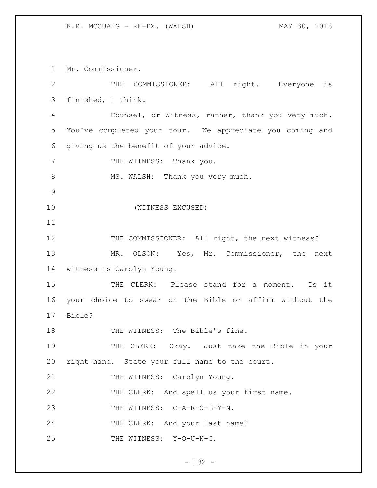#### K.R. MCCUAIG - RE-EX. (WALSH) MAY 30, 2013

 Mr. Commissioner. THE COMMISSIONER: All right. Everyone is finished, I think. Counsel, or Witness, rather, thank you very much. You've completed your tour. We appreciate you coming and giving us the benefit of your advice. 7 THE WITNESS: Thank you. 8 MS. WALSH: Thank you very much. (WITNESS EXCUSED) 12 THE COMMISSIONER: All right, the next witness? MR. OLSON: Yes, Mr. Commissioner, the next witness is Carolyn Young. THE CLERK: Please stand for a moment. Is it your choice to swear on the Bible or affirm without the Bible? 18 THE WITNESS: The Bible's fine. THE CLERK: Okay. Just take the Bible in your right hand. State your full name to the court. 21 THE WITNESS: Carolyn Young. THE CLERK: And spell us your first name. 23 THE WITNESS: C-A-R-O-L-Y-N. 24 THE CLERK: And your last name? 25 THE WITNESS: Y-O-U-N-G.

 $- 132 -$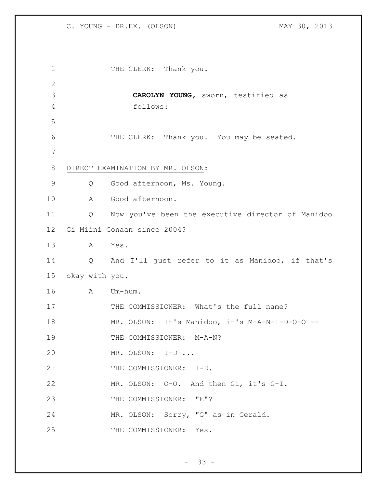C. YOUNG - DR.EX. (OLSON) MAY 30, 2013

1 THE CLERK: Thank you. **CAROLYN YOUNG,** sworn, testified as follows: THE CLERK: Thank you. You may be seated. DIRECT EXAMINATION BY MR. OLSON: Q Good afternoon, Ms. Young. A Good afternoon. Q Now you've been the executive director of Manidoo Gi Miini Gonaan since 2004? A Yes. Q And I'll just refer to it as Manidoo, if that's okay with you. A Um-hum. 17 THE COMMISSIONER: What's the full name? MR. OLSON: It's Manidoo, it's M-A-N-I-D-O-O -- 19 THE COMMISSIONER: M-A-N? MR. OLSON: I-D ... 21 THE COMMISSIONER: I-D. MR. OLSON: O-O. And then Gi, it's G-I. 23 THE COMMISSIONER: "E"? MR. OLSON: Sorry, "G" as in Gerald. 25 THE COMMISSIONER: Yes.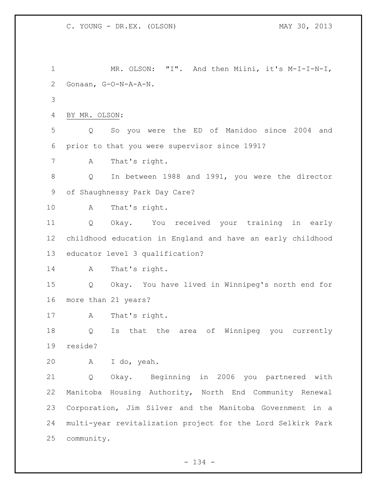MR. OLSON: "I". And then Miini, it's M-I-I-N-I, Gonaan, G-O-N-A-A-N. BY MR. OLSON: Q So you were the ED of Manidoo since 2004 and prior to that you were supervisor since 1991? A That's right. Q In between 1988 and 1991, you were the director of Shaughnessy Park Day Care? A That's right. Q Okay. You received your training in early childhood education in England and have an early childhood educator level 3 qualification? 14 A That's right. Q Okay. You have lived in Winnipeg's north end for more than 21 years? A That's right. Q Is that the area of Winnipeg you currently reside? A I do, yeah. Q Okay. Beginning in 2006 you partnered with Manitoba Housing Authority, North End Community Renewal Corporation, Jim Silver and the Manitoba Government in a multi-year revitalization project for the Lord Selkirk Park community.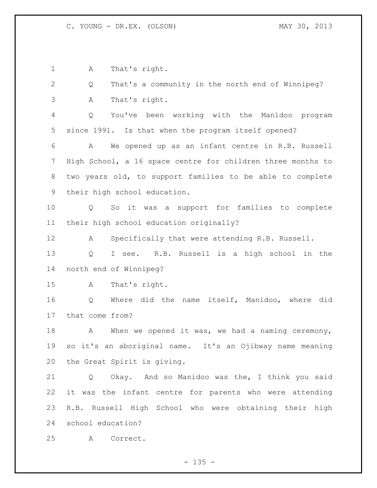A That's right. Q That's a community in the north end of Winnipeg? A That's right. Q You've been working with the Manidoo program since 1991. Is that when the program itself opened? A We opened up as an infant centre in R.B. Russell High School, a 16 space centre for children three months to two years old, to support families to be able to complete their high school education. Q So it was a support for families to complete their high school education originally? A Specifically that were attending R.B. Russell. Q I see. R.B. Russell is a high school in the north end of Winnipeg? A That's right. Q Where did the name itself, Manidoo, where did that come from? 18 A When we opened it was, we had a naming ceremony, so it's an aboriginal name. It's an Ojibway name meaning the Great Spirit is giving. Q Okay. And so Manidoo was the, I think you said it was the infant centre for parents who were attending R.B. Russell High School who were obtaining their high school education? A Correct.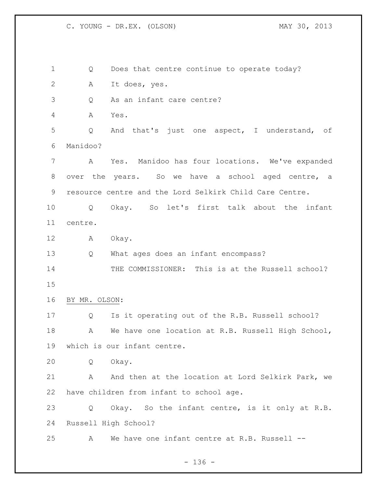C. YOUNG - DR.EX. (OLSON) MAY 30, 2013

 Q Does that centre continue to operate today? A It does, yes. Q As an infant care centre? A Yes. Q And that's just one aspect, I understand, of Manidoo? A Yes. Manidoo has four locations. We've expanded over the years. So we have a school aged centre, a resource centre and the Lord Selkirk Child Care Centre. Q Okay. So let's first talk about the infant centre. A Okay. Q What ages does an infant encompass? THE COMMISSIONER: This is at the Russell school? BY MR. OLSON: Q Is it operating out of the R.B. Russell school? 18 A We have one location at R.B. Russell High School, which is our infant centre. Q Okay. 21 A And then at the location at Lord Selkirk Park, we have children from infant to school age. Q Okay. So the infant centre, is it only at R.B. Russell High School? A We have one infant centre at R.B. Russell --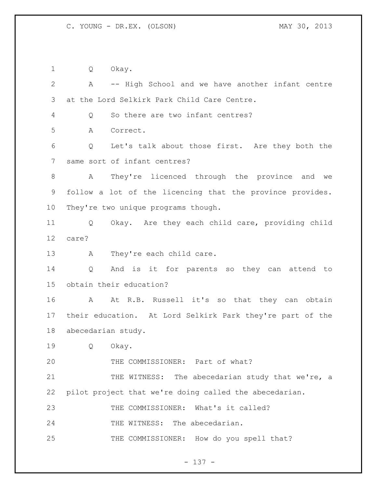Q Okay.

 A -- High School and we have another infant centre at the Lord Selkirk Park Child Care Centre. Q So there are two infant centres? A Correct. Q Let's talk about those first. Are they both the same sort of infant centres? A They're licenced through the province and we follow a lot of the licencing that the province provides. They're two unique programs though. Q Okay. Are they each child care, providing child care? 13 A They're each child care. Q And is it for parents so they can attend to obtain their education? A At R.B. Russell it's so that they can obtain their education. At Lord Selkirk Park they're part of the abecedarian study. Q Okay. THE COMMISSIONER: Part of what? 21 THE WITNESS: The abecedarian study that we're, a pilot project that we're doing called the abecedarian. THE COMMISSIONER: What's it called? 24 THE WITNESS: The abecedarian. 25 THE COMMISSIONER: How do you spell that?

- 137 -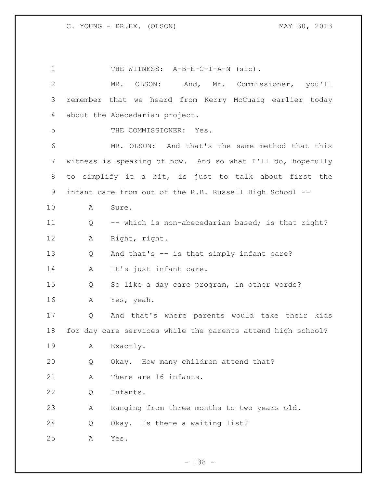1 THE WITNESS: A-B-E-C-I-A-N (sic). MR. OLSON: And, Mr. Commissioner, you'll remember that we heard from Kerry McCuaig earlier today about the Abecedarian project. THE COMMISSIONER: Yes. MR. OLSON: And that's the same method that this witness is speaking of now. And so what I'll do, hopefully to simplify it a bit, is just to talk about first the infant care from out of the R.B. Russell High School -- A Sure. 11 Q -- which is non-abecedarian based; is that right? A Right, right. Q And that's -- is that simply infant care? 14 A It's just infant care. Q So like a day care program, in other words? A Yes, yeah. Q And that's where parents would take their kids for day care services while the parents attend high school? A Exactly. Q Okay. How many children attend that? A There are 16 infants. Q Infants. A Ranging from three months to two years old. Q Okay. Is there a waiting list? A Yes.

- 138 -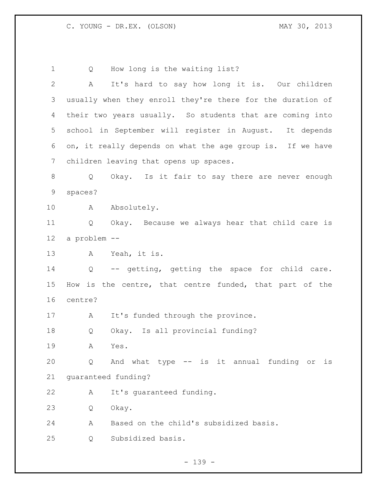Q How long is the waiting list? A It's hard to say how long it is. Our children usually when they enroll they're there for the duration of their two years usually. So students that are coming into school in September will register in August. It depends on, it really depends on what the age group is. If we have children leaving that opens up spaces. Q Okay. Is it fair to say there are never enough spaces? 10 A Absolutely. Q Okay. Because we always hear that child care is a problem -- A Yeah, it is. Q -- getting, getting the space for child care. How is the centre, that centre funded, that part of the centre? 17 A It's funded through the province. Q Okay. Is all provincial funding? A Yes. Q And what type -- is it annual funding or is guaranteed funding? A It's guaranteed funding. Q Okay. A Based on the child's subsidized basis. Q Subsidized basis.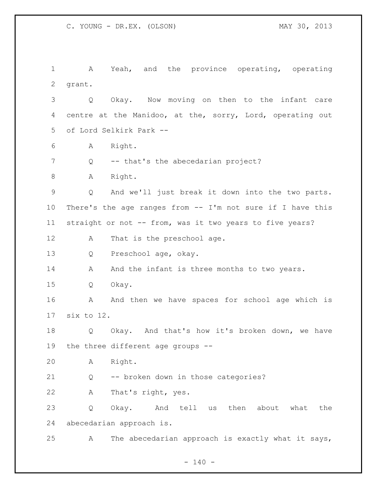A Yeah, and the province operating, operating grant. Q Okay. Now moving on then to the infant care centre at the Manidoo, at the, sorry, Lord, operating out of Lord Selkirk Park -- A Right. 7 Q -- that's the abecedarian project? 8 A Right. Q And we'll just break it down into the two parts. There's the age ranges from -- I'm not sure if I have this straight or not -- from, was it two years to five years? 12 A That is the preschool age. Q Preschool age, okay. 14 A And the infant is three months to two years. Q Okay. 16 A And then we have spaces for school age which is six to 12. Q Okay. And that's how it's broken down, we have the three different age groups -- A Right. Q -- broken down in those categories? A That's right, yes. Q Okay. And tell us then about what the abecedarian approach is. A The abecedarian approach is exactly what it says,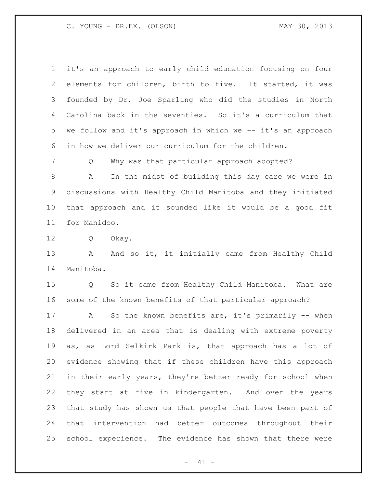C. YOUNG - DR.EX. (OLSON) MAY 30, 2013

 it's an approach to early child education focusing on four elements for children, birth to five. It started, it was founded by Dr. Joe Sparling who did the studies in North Carolina back in the seventies. So it's a curriculum that we follow and it's approach in which we -- it's an approach in how we deliver our curriculum for the children.

Q Why was that particular approach adopted?

 A In the midst of building this day care we were in discussions with Healthy Child Manitoba and they initiated that approach and it sounded like it would be a good fit for Manidoo.

Q Okay.

13 A And so it, it initially came from Healthy Child Manitoba.

 Q So it came from Healthy Child Manitoba. What are some of the known benefits of that particular approach?

17 A So the known benefits are, it's primarily -- when delivered in an area that is dealing with extreme poverty as, as Lord Selkirk Park is, that approach has a lot of evidence showing that if these children have this approach in their early years, they're better ready for school when they start at five in kindergarten. And over the years that study has shown us that people that have been part of that intervention had better outcomes throughout their school experience. The evidence has shown that there were

- 141 -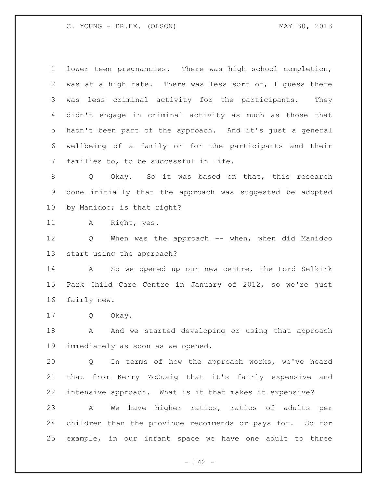lower teen pregnancies. There was high school completion, was at a high rate. There was less sort of, I guess there was less criminal activity for the participants. They didn't engage in criminal activity as much as those that hadn't been part of the approach. And it's just a general wellbeing of a family or for the participants and their families to, to be successful in life.

 Q Okay. So it was based on that, this research done initially that the approach was suggested be adopted by Manidoo; is that right?

A Right, yes.

 Q When was the approach -- when, when did Manidoo start using the approach?

 A So we opened up our new centre, the Lord Selkirk Park Child Care Centre in January of 2012, so we're just fairly new.

Q Okay.

18 A And we started developing or using that approach immediately as soon as we opened.

 Q In terms of how the approach works, we've heard that from Kerry McCuaig that it's fairly expensive and intensive approach. What is it that makes it expensive?

 A We have higher ratios, ratios of adults per children than the province recommends or pays for. So for example, in our infant space we have one adult to three

- 142 -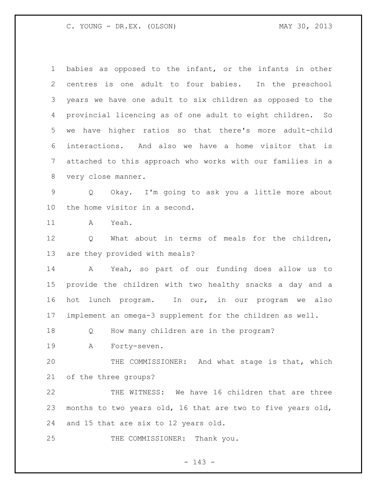babies as opposed to the infant, or the infants in other centres is one adult to four babies. In the preschool years we have one adult to six children as opposed to the provincial licencing as of one adult to eight children. So we have higher ratios so that there's more adult-child interactions. And also we have a home visitor that is attached to this approach who works with our families in a very close manner.

 Q Okay. I'm going to ask you a little more about the home visitor in a second.

A Yeah.

 Q What about in terms of meals for the children, are they provided with meals?

 A Yeah, so part of our funding does allow us to provide the children with two healthy snacks a day and a hot lunch program. In our, in our program we also implement an omega-3 supplement for the children as well.

Q How many children are in the program?

A Forty-seven.

 THE COMMISSIONER: And what stage is that, which of the three groups?

 THE WITNESS: We have 16 children that are three months to two years old, 16 that are two to five years old, and 15 that are six to 12 years old.

25 THE COMMISSIONER: Thank you.

- 143 -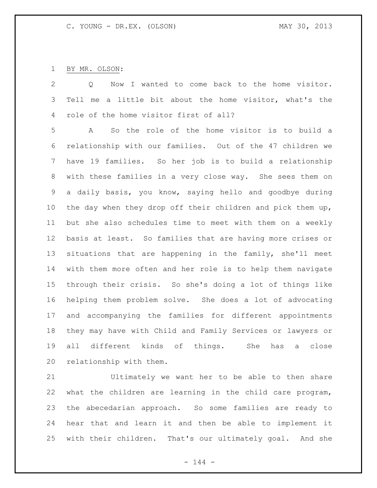BY MR. OLSON:

 Q Now I wanted to come back to the home visitor. Tell me a little bit about the home visitor, what's the role of the home visitor first of all?

 A So the role of the home visitor is to build a relationship with our families. Out of the 47 children we have 19 families. So her job is to build a relationship with these families in a very close way. She sees them on a daily basis, you know, saying hello and goodbye during 10 the day when they drop off their children and pick them up, but she also schedules time to meet with them on a weekly basis at least. So families that are having more crises or situations that are happening in the family, she'll meet with them more often and her role is to help them navigate through their crisis. So she's doing a lot of things like helping them problem solve. She does a lot of advocating and accompanying the families for different appointments they may have with Child and Family Services or lawyers or all different kinds of things. She has a close relationship with them.

 Ultimately we want her to be able to then share what the children are learning in the child care program, the abecedarian approach. So some families are ready to hear that and learn it and then be able to implement it with their children. That's our ultimately goal. And she

- 144 -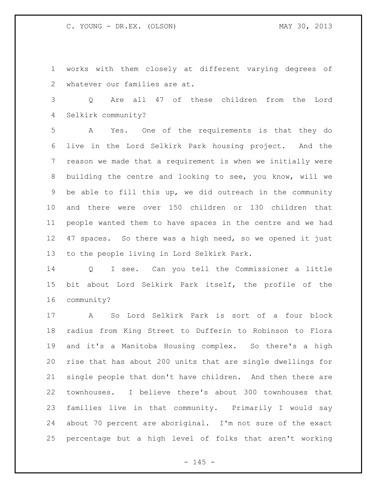works with them closely at different varying degrees of whatever our families are at.

 Q Are all 47 of these children from the Lord Selkirk community?

 A Yes. One of the requirements is that they do live in the Lord Selkirk Park housing project. And the reason we made that a requirement is when we initially were building the centre and looking to see, you know, will we be able to fill this up, we did outreach in the community and there were over 150 children or 130 children that people wanted them to have spaces in the centre and we had 47 spaces. So there was a high need, so we opened it just to the people living in Lord Selkirk Park.

 Q I see. Can you tell the Commissioner a little bit about Lord Selkirk Park itself, the profile of the community?

 A So Lord Selkirk Park is sort of a four block radius from King Street to Dufferin to Robinson to Flora and it's a Manitoba Housing complex. So there's a high rise that has about 200 units that are single dwellings for single people that don't have children. And then there are townhouses. I believe there's about 300 townhouses that families live in that community. Primarily I would say about 70 percent are aboriginal. I'm not sure of the exact percentage but a high level of folks that aren't working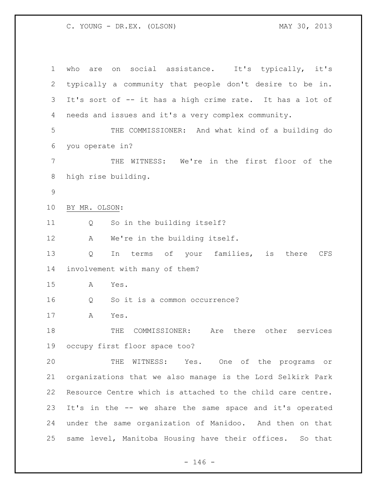who are on social assistance. It's typically, it's typically a community that people don't desire to be in. It's sort of -- it has a high crime rate. It has a lot of needs and issues and it's a very complex community. THE COMMISSIONER: And what kind of a building do you operate in? THE WITNESS: We're in the first floor of the high rise building. BY MR. OLSON: Q So in the building itself? A We're in the building itself. Q In terms of your families, is there CFS involvement with many of them? A Yes. Q So it is a common occurrence? A Yes. THE COMMISSIONER: Are there other services occupy first floor space too? THE WITNESS: Yes. One of the programs or organizations that we also manage is the Lord Selkirk Park Resource Centre which is attached to the child care centre. It's in the -- we share the same space and it's operated under the same organization of Manidoo. And then on that same level, Manitoba Housing have their offices. So that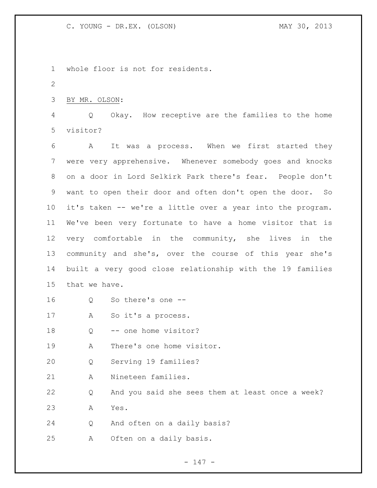whole floor is not for residents. BY MR. OLSON: Q Okay. How receptive are the families to the home visitor? A It was a process. When we first started they were very apprehensive. Whenever somebody goes and knocks on a door in Lord Selkirk Park there's fear. People don't want to open their door and often don't open the door. So it's taken -- we're a little over a year into the program. We've been very fortunate to have a home visitor that is very comfortable in the community, she lives in the community and she's, over the course of this year she's built a very good close relationship with the 19 families that we have. Q So there's one -- A So it's a process. 18 Q -- one home visitor? A There's one home visitor. Q Serving 19 families? A Nineteen families. Q And you said she sees them at least once a week? A Yes. Q And often on a daily basis? A Often on a daily basis.

- 147 -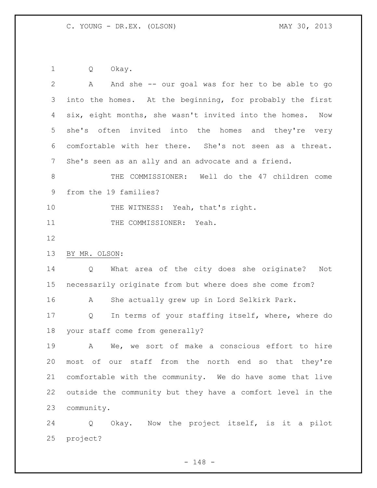Q Okay.

| $\mathbf{2}$ | And she -- our goal was for her to be able to go<br>A        |
|--------------|--------------------------------------------------------------|
| 3            | into the homes. At the beginning, for probably the first     |
| 4            | six, eight months, she wasn't invited into the homes.<br>Now |
| 5            | often invited into the homes and they're very<br>she's       |
| 6            | comfortable with her there. She's not seen as a threat.      |
| 7            | She's seen as an ally and an advocate and a friend.          |
| $8\,$        | THE COMMISSIONER: Well do the 47 children come               |
| 9            | from the 19 families?                                        |
| 10           | THE WITNESS: Yeah, that's right.                             |
| 11           | THE COMMISSIONER: Yeah.                                      |
| 12           |                                                              |
| 13           | BY MR. OLSON:                                                |
| 14           | What area of the city does she originate?<br>Not<br>Q        |
| 15           | necessarily originate from but where does she come from?     |
| 16           | She actually grew up in Lord Selkirk Park.<br>A              |
| 17           | In terms of your staffing itself, where, where do<br>Q       |
| 18           | your staff come from generally?                              |
| 19           | We, we sort of make a conscious effort to hire<br>A          |
| 20           | most of our staff from the north end so that they're         |
| 21           | comfortable with the community. We do have some that live    |
| 22           | outside the community but they have a comfort level in the   |
| 23           | community.                                                   |
| 24           | Okay. Now the project itself, is it a pilot<br>Q             |
| 25           | project?                                                     |
|              |                                                              |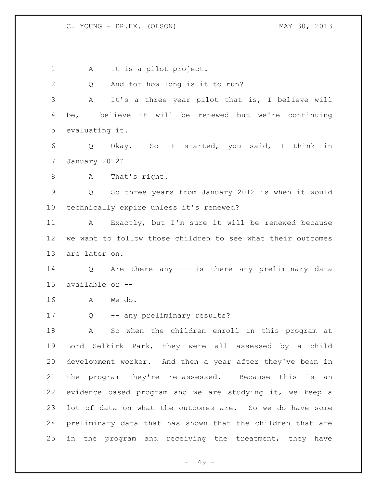A It is a pilot project. Q And for how long is it to run? A It's a three year pilot that is, I believe will be, I believe it will be renewed but we're continuing evaluating it. Q Okay. So it started, you said, I think in January 2012? A That's right. Q So three years from January 2012 is when it would technically expire unless it's renewed? A Exactly, but I'm sure it will be renewed because we want to follow those children to see what their outcomes are later on. Q Are there any -- is there any preliminary data available or -- A We do. Q -- any preliminary results? A So when the children enroll in this program at Lord Selkirk Park, they were all assessed by a child development worker. And then a year after they've been in the program they're re-assessed. Because this is an evidence based program and we are studying it, we keep a lot of data on what the outcomes are. So we do have some preliminary data that has shown that the children that are 25 in the program and receiving the treatment, they have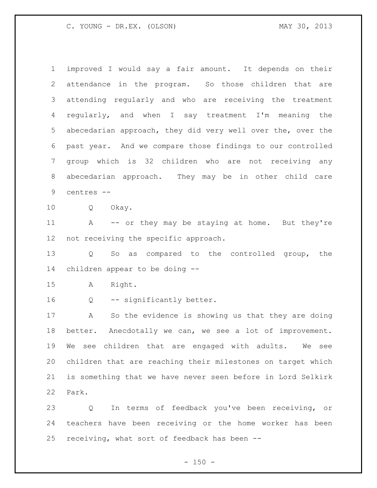improved I would say a fair amount. It depends on their attendance in the program. So those children that are attending regularly and who are receiving the treatment regularly, and when I say treatment I'm meaning the abecedarian approach, they did very well over the, over the past year. And we compare those findings to our controlled group which is 32 children who are not receiving any abecedarian approach. They may be in other child care centres -- Q Okay. 11 A -- or they may be staying at home. But they're not receiving the specific approach. Q So as compared to the controlled group, the children appear to be doing -- A Right. Q -- significantly better. A So the evidence is showing us that they are doing better. Anecdotally we can, we see a lot of improvement. We see children that are engaged with adults. We see children that are reaching their milestones on target which is something that we have never seen before in Lord Selkirk Park. Q In terms of feedback you've been receiving, or

 teachers have been receiving or the home worker has been receiving, what sort of feedback has been --

 $- 150 -$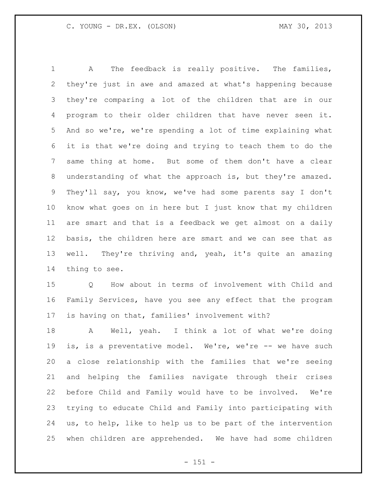A The feedback is really positive. The families, they're just in awe and amazed at what's happening because they're comparing a lot of the children that are in our program to their older children that have never seen it. And so we're, we're spending a lot of time explaining what it is that we're doing and trying to teach them to do the same thing at home. But some of them don't have a clear understanding of what the approach is, but they're amazed. They'll say, you know, we've had some parents say I don't know what goes on in here but I just know that my children are smart and that is a feedback we get almost on a daily basis, the children here are smart and we can see that as well. They're thriving and, yeah, it's quite an amazing thing to see.

 Q How about in terms of involvement with Child and Family Services, have you see any effect that the program is having on that, families' involvement with?

18 A Well, yeah. I think a lot of what we're doing is, is a preventative model. We're, we're -- we have such a close relationship with the families that we're seeing and helping the families navigate through their crises before Child and Family would have to be involved. We're trying to educate Child and Family into participating with us, to help, like to help us to be part of the intervention when children are apprehended. We have had some children

- 151 -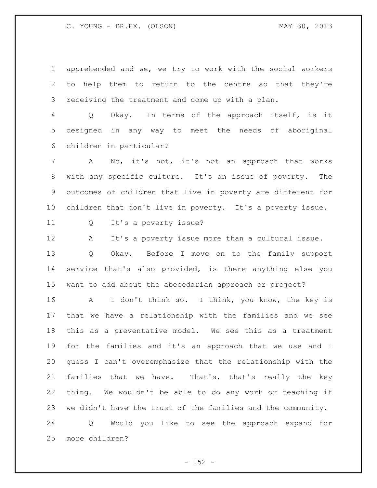apprehended and we, we try to work with the social workers to help them to return to the centre so that they're receiving the treatment and come up with a plan.

 Q Okay. In terms of the approach itself, is it designed in any way to meet the needs of aboriginal children in particular?

 A No, it's not, it's not an approach that works with any specific culture. It's an issue of poverty. The outcomes of children that live in poverty are different for children that don't live in poverty. It's a poverty issue.

Q It's a poverty issue?

 A It's a poverty issue more than a cultural issue. Q Okay. Before I move on to the family support

 service that's also provided, is there anything else you want to add about the abecedarian approach or project?

 A I don't think so. I think, you know, the key is that we have a relationship with the families and we see this as a preventative model. We see this as a treatment for the families and it's an approach that we use and I guess I can't overemphasize that the relationship with the families that we have. That's, that's really the key thing. We wouldn't be able to do any work or teaching if we didn't have the trust of the families and the community.

 Q Would you like to see the approach expand for more children?

 $- 152 -$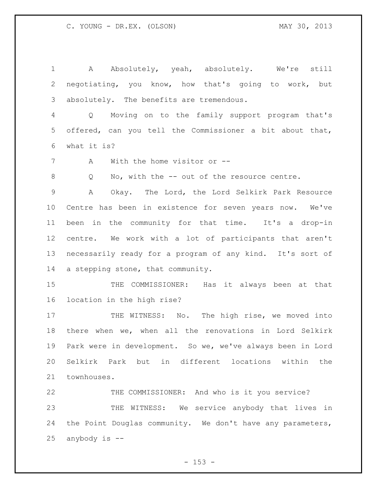1 A Absolutely, yeah, absolutely. We're still negotiating, you know, how that's going to work, but absolutely. The benefits are tremendous. Q Moving on to the family support program that's offered, can you tell the Commissioner a bit about that, what it is? A With the home visitor or -- 8 Q No, with the -- out of the resource centre. A Okay. The Lord, the Lord Selkirk Park Resource Centre has been in existence for seven years now. We've been in the community for that time. It's a drop-in centre. We work with a lot of participants that aren't necessarily ready for a program of any kind. It's sort of a stepping stone, that community. 15 THE COMMISSIONER: Has it always been at that location in the high rise? 17 THE WITNESS: No. The high rise, we moved into there when we, when all the renovations in Lord Selkirk Park were in development. So we, we've always been in Lord Selkirk Park but in different locations within the townhouses. THE COMMISSIONER: And who is it you service? THE WITNESS: We service anybody that lives in

24 the Point Douglas community. We don't have any parameters, anybody is --

 $- 153 -$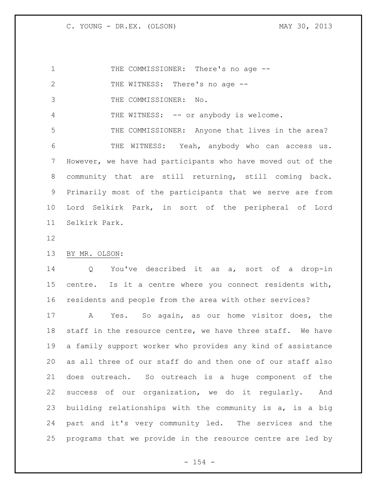1 THE COMMISSIONER: There's no age --2 THE WITNESS: There's no age -- THE COMMISSIONER: No. 4 THE WITNESS: -- or anybody is welcome. THE COMMISSIONER: Anyone that lives in the area? THE WITNESS: Yeah, anybody who can access us. However, we have had participants who have moved out of the community that are still returning, still coming back. Primarily most of the participants that we serve are from Lord Selkirk Park, in sort of the peripheral of Lord Selkirk Park.

BY MR. OLSON:

 Q You've described it as a, sort of a drop-in centre. Is it a centre where you connect residents with, residents and people from the area with other services?

 A Yes. So again, as our home visitor does, the staff in the resource centre, we have three staff. We have a family support worker who provides any kind of assistance as all three of our staff do and then one of our staff also does outreach. So outreach is a huge component of the success of our organization, we do it regularly. And building relationships with the community is a, is a big part and it's very community led. The services and the programs that we provide in the resource centre are led by

 $- 154 -$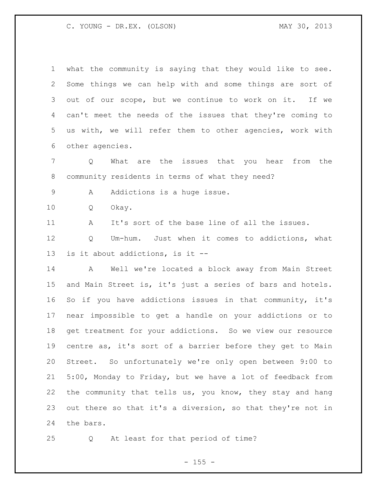| $\mathbf 1$ | what the community is saying that they would like to see.  |
|-------------|------------------------------------------------------------|
| 2           | Some things we can help with and some things are sort of   |
| 3           | out of our scope, but we continue to work on it. If we     |
| 4           | can't meet the needs of the issues that they're coming to  |
| 5           | us with, we will refer them to other agencies, work with   |
| 6           | other agencies.                                            |
| 7           | What are the issues that you hear from the<br>Q            |
| 8           | community residents in terms of what they need?            |
| $\mathsf 9$ | Addictions is a huge issue.<br>A                           |
| 10          | Okay.<br>Q                                                 |
| 11          | It's sort of the base line of all the issues.<br>A         |
| 12          | Um-hum. Just when it comes to addictions, what<br>Q        |
| 13          | is it about addictions, is it --                           |
| 14          | A Well we're located a block away from Main Street         |
| 15          | and Main Street is, it's just a series of bars and hotels. |
| 16          | So if you have addictions issues in that community, it's   |
| 17          | near impossible to get a handle on your addictions or to   |
| 18          | get treatment for your addictions. So we view our resource |
| 19          | centre as, it's sort of a barrier before they get to Main  |
| 20          | Street. So unfortunately we're only open between 9:00 to   |
| 21          | 5:00, Monday to Friday, but we have a lot of feedback from |
| 22          | the community that tells us, you know, they stay and hang  |
| 23          | out there so that it's a diversion, so that they're not in |
| 24          | the bars.                                                  |

Q At least for that period of time?

- 155 -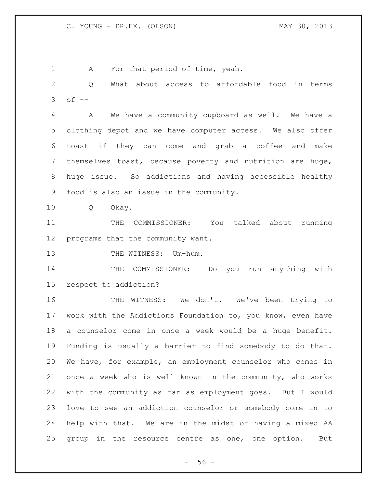1 A For that period of time, yeah.

 Q What about access to affordable food in terms of  $-$ 

 A We have a community cupboard as well. We have a clothing depot and we have computer access. We also offer toast if they can come and grab a coffee and make themselves toast, because poverty and nutrition are huge, huge issue. So addictions and having accessible healthy food is also an issue in the community.

Q Okay.

 THE COMMISSIONER: You talked about running programs that the community want.

13 THE WITNESS: Um-hum.

14 THE COMMISSIONER: Do you run anything with respect to addiction?

 THE WITNESS: We don't. We've been trying to work with the Addictions Foundation to, you know, even have a counselor come in once a week would be a huge benefit. Funding is usually a barrier to find somebody to do that. We have, for example, an employment counselor who comes in once a week who is well known in the community, who works with the community as far as employment goes. But I would love to see an addiction counselor or somebody come in to help with that. We are in the midst of having a mixed AA group in the resource centre as one, one option. But

 $- 156 -$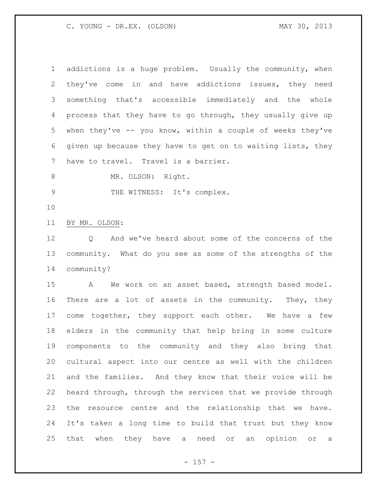| $\mathbf 1$    | addictions is a huge problem. Usually the community, when                              |
|----------------|----------------------------------------------------------------------------------------|
| 2              | they've come in and have addictions issues, they need                                  |
| 3              | something that's accessible immediately and the whole                                  |
| 4              | process that they have to go through, they usually give up                             |
| 5              | when they've $-$ you know, within a couple of weeks they've                            |
| 6              | given up because they have to get on to waiting lists, they                            |
| 7              | have to travel. Travel is a barrier.                                                   |
| $8\,$          | MR. OLSON: Right.                                                                      |
| $\overline{9}$ | THE WITNESS: It's complex.                                                             |
| 10             |                                                                                        |
| 11             | BY MR. OLSON:                                                                          |
| 12             | And we've heard about some of the concerns of the<br>Q                                 |
| 13             | community. What do you see as some of the strengths of the                             |
| 14             | community?                                                                             |
| 15             | We work on an asset based, strength based model.<br>$\mathbf{A}$                       |
| 16             | There are a lot of assets in the community. They, they                                 |
| 17             | come together, they support each other. We have a few                                  |
| 18             | elders in the community that help bring in some culture                                |
| 19             | components to the community and they also bring that                                   |
| 20             | cultural aspect into our centre as well with the children                              |
| 21             | and the families. And they know that their voice will be                               |
| 22             | heard through, through the services that we provide through                            |
| 23             | resource centre and the relationship that we have.<br>the                              |
| 24             | It's taken a long time to build that trust but they know                               |
| 25             | that<br>when<br>they have a<br>need<br>opinion<br>$\circ$ r<br>an<br>$\circ$ $\,$<br>a |

- 157 -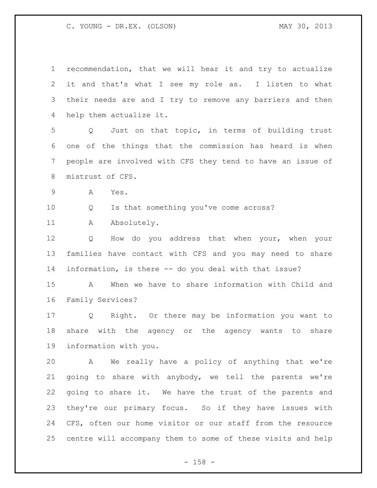| $\mathbf 1$  | recommendation, that we will hear it and try to actualize           |
|--------------|---------------------------------------------------------------------|
| $\mathbf{2}$ | it and that's what I see my role as. I listen to what               |
| 3            | their needs are and I try to remove any barriers and then           |
| 4            | help them actualize it.                                             |
| 5            | Just on that topic, in terms of building trust<br>$Q \qquad \qquad$ |
| 6            | one of the things that the commission has heard is when             |
| 7            | people are involved with CFS they tend to have an issue of          |
| 8            | mistrust of CFS.                                                    |
| 9            | A<br>Yes.                                                           |
| 10           | Is that something you've come across?<br>Q                          |
| 11           | Absolutely.<br>Α                                                    |
| 12           | How do you address that when your, when your<br>Q                   |
| 13           | families have contact with CFS and you may need to share            |
| 14           | information, is there -- do you deal with that issue?               |
| 15           | When we have to share information with Child and<br>A               |
| 16           | Family Services?                                                    |
| 17           | Q Right. Or there may be information you want to                    |
| 18           | share with the agency or the agency wants to<br>share               |
| 19           | information with you.                                               |
| 20           | We really have a policy of anything that we're<br>$\mathbf{A}$      |
| 21           | going to share with anybody, we tell the parents we're              |
| 22           | going to share it. We have the trust of the parents and             |
| 23           | they're our primary focus. So if they have issues with              |
| 24           | CFS, often our home visitor or our staff from the resource          |
| 25           | centre will accompany them to some of these visits and help         |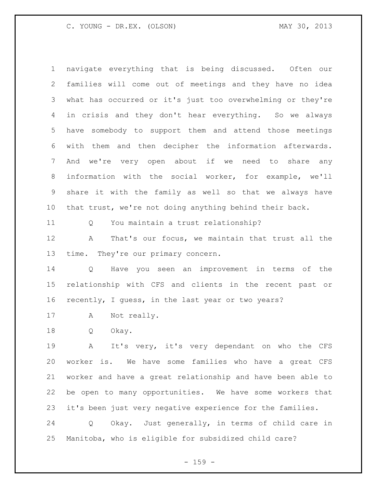navigate everything that is being discussed. Often our families will come out of meetings and they have no idea what has occurred or it's just too overwhelming or they're in crisis and they don't hear everything. So we always have somebody to support them and attend those meetings with them and then decipher the information afterwards. And we're very open about if we need to share any information with the social worker, for example, we'll share it with the family as well so that we always have that trust, we're not doing anything behind their back.

Q You maintain a trust relationship?

 A That's our focus, we maintain that trust all the time. They're our primary concern.

 Q Have you seen an improvement in terms of the relationship with CFS and clients in the recent past or recently, I guess, in the last year or two years?

A Not really.

Q Okay.

 A It's very, it's very dependant on who the CFS worker is. We have some families who have a great CFS worker and have a great relationship and have been able to be open to many opportunities. We have some workers that it's been just very negative experience for the families.

 Q Okay. Just generally, in terms of child care in Manitoba, who is eligible for subsidized child care?

- 159 -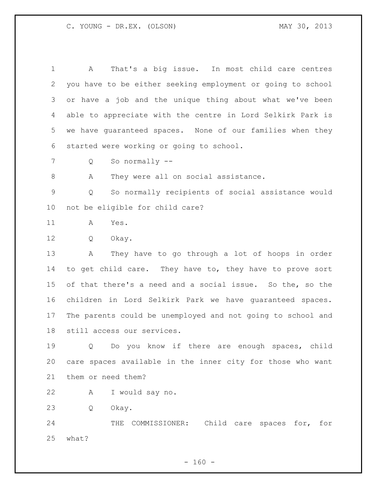A That's a big issue. In most child care centres you have to be either seeking employment or going to school or have a job and the unique thing about what we've been able to appreciate with the centre in Lord Selkirk Park is we have guaranteed spaces. None of our families when they started were working or going to school.

Q So normally --

8 A They were all on social assistance.

 Q So normally recipients of social assistance would not be eligible for child care?

A Yes.

Q Okay.

 A They have to go through a lot of hoops in order to get child care. They have to, they have to prove sort of that there's a need and a social issue. So the, so the children in Lord Selkirk Park we have guaranteed spaces. The parents could be unemployed and not going to school and still access our services.

 Q Do you know if there are enough spaces, child care spaces available in the inner city for those who want them or need them?

A I would say no.

Q Okay.

 THE COMMISSIONER: Child care spaces for, for what?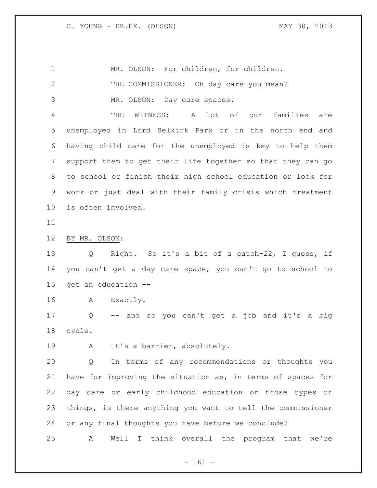| $\mathbf 1$    | MR. OLSON: For children, for children.                           |
|----------------|------------------------------------------------------------------|
| $\mathbf{2}$   | THE COMMISSIONER: Oh day care you mean?                          |
| 3              | MR. OLSON: Day care spaces.                                      |
| 4              | WITNESS:<br>lot of our<br>THE<br>A<br>families<br>are            |
| 5              | unemployed in Lord Selkirk Park or in the north end and          |
| 6              | having child care for the unemployed is key to help them         |
| $\overline{7}$ | support them to get their life together so that they can go      |
| 8              | to school or finish their high school education or look for      |
| 9              | work or just deal with their family crisis which treatment       |
| 10             | is often involved.                                               |
| 11             |                                                                  |
| 12             | BY MR. OLSON:                                                    |
| 13             | Right. So it's a bit of a catch-22, I guess, if<br>Q             |
| 14             | you can't get a day care space, you can't go to school to        |
| 15             | get an education --                                              |
| 16             | A<br>Exactly.                                                    |
| 17             | -- and so you can't get a job and it's a big<br>Q                |
| 18             | cycle.                                                           |
| 19             | It's a barrier, absolutely.<br>A                                 |
| 20             | In terms of any recommendations or thoughts you<br>Q             |
| 21             | have for improving the situation as, in terms of spaces for      |
| 22             | day care or early childhood education or those types of          |
| 23             | things, is there anything you want to tell the commissioner      |
| 24             | or any final thoughts you have before we conclude?               |
| 25             | think overall the program that we're<br>Well<br>Α<br>$\mathbf I$ |
|                |                                                                  |

- 161 -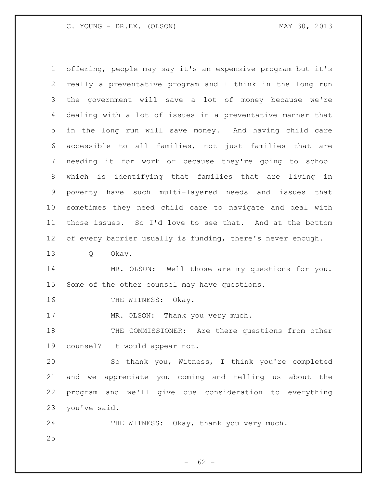offering, people may say it's an expensive program but it's really a preventative program and I think in the long run the government will save a lot of money because we're dealing with a lot of issues in a preventative manner that in the long run will save money. And having child care accessible to all families, not just families that are needing it for work or because they're going to school which is identifying that families that are living in poverty have such multi-layered needs and issues that sometimes they need child care to navigate and deal with those issues. So I'd love to see that. And at the bottom 12 of every barrier usually is funding, there's never enough. Q Okay. MR. OLSON: Well those are my questions for you. Some of the other counsel may have questions. 16 THE WITNESS: Okay. 17 MR. OLSON: Thank you very much. THE COMMISSIONER: Are there questions from other counsel? It would appear not. So thank you, Witness, I think you're completed and we appreciate you coming and telling us about the program and we'll give due consideration to everything you've said. 24 THE WITNESS: Okay, thank you very much.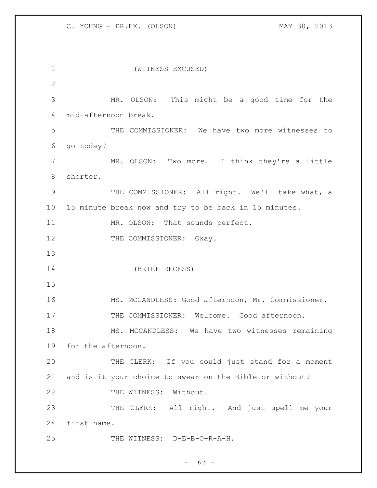(WITNESS EXCUSED) MR. OLSON: This might be a good time for the mid-afternoon break. THE COMMISSIONER: We have two more witnesses to go today? MR. OLSON: Two more. I think they're a little shorter. 9 THE COMMISSIONER: All right. We'll take what, a 15 minute break now and try to be back in 15 minutes. 11 MR. OLSON: That sounds perfect. 12 THE COMMISSIONER: Okay. (BRIEF RECESS) MS. MCCANDLESS: Good afternoon, Mr. Commissioner. 17 THE COMMISSIONER: Welcome. Good afternoon. MS. MCCANDLESS: We have two witnesses remaining for the afternoon. THE CLERK: If you could just stand for a moment and is it your choice to swear on the Bible or without? 22 THE WITNESS: Without. THE CLERK: All right. And just spell me your first name. THE WITNESS: D-E-B-O-R-A-H.

 $- 163 -$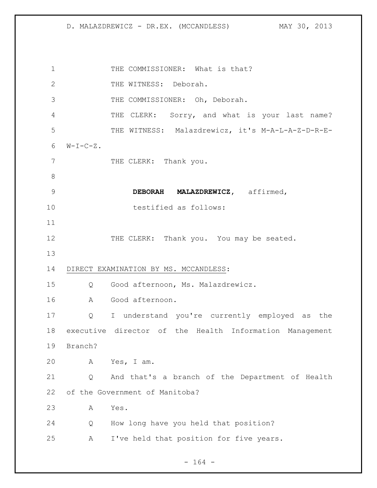1 THE COMMISSIONER: What is that? 2 THE WITNESS: Deborah. THE COMMISSIONER: Oh, Deborah. THE CLERK: Sorry, and what is your last name? THE WITNESS: Malazdrewicz, it's M-A-L-A-Z-D-R-E-  $W-I-C-Z$ . 7 THE CLERK: Thank you. **DEBORAH MALAZDREWICZ,** affirmed, testified as follows: 12 THE CLERK: Thank you. You may be seated. DIRECT EXAMINATION BY MS. MCCANDLESS: Q Good afternoon, Ms. Malazdrewicz. A Good afternoon. Q I understand you're currently employed as the executive director of the Health Information Management Branch? A Yes, I am. Q And that's a branch of the Department of Health of the Government of Manitoba? A Yes. Q How long have you held that position? A I've held that position for five years.

- 164 -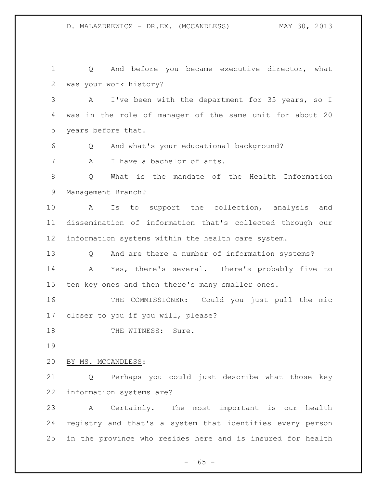D. MALAZDREWICZ - DR.EX. (MCCANDLESS) MAY 30, 2013

 Q And before you became executive director, what was your work history? A I've been with the department for 35 years, so I was in the role of manager of the same unit for about 20 years before that. Q And what's your educational background? 7 A I have a bachelor of arts. Q What is the mandate of the Health Information Management Branch? A Is to support the collection, analysis and dissemination of information that's collected through our information systems within the health care system. Q And are there a number of information systems? A Yes, there's several. There's probably five to ten key ones and then there's many smaller ones. THE COMMISSIONER: Could you just pull the mic closer to you if you will, please? 18 THE WITNESS: Sure. BY MS. MCCANDLESS: Q Perhaps you could just describe what those key information systems are? A Certainly. The most important is our health registry and that's a system that identifies every person in the province who resides here and is insured for health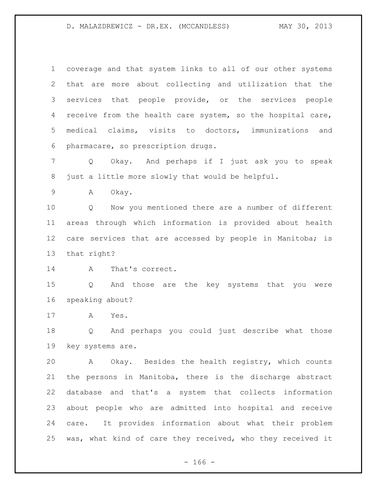coverage and that system links to all of our other systems that are more about collecting and utilization that the services that people provide, or the services people receive from the health care system, so the hospital care, medical claims, visits to doctors, immunizations and pharmacare, so prescription drugs.

 Q Okay. And perhaps if I just ask you to speak just a little more slowly that would be helpful.

A Okay.

 Q Now you mentioned there are a number of different areas through which information is provided about health 12 care services that are accessed by people in Manitoba; is that right?

A That's correct.

 Q And those are the key systems that you were speaking about?

A Yes.

 Q And perhaps you could just describe what those key systems are.

 A Okay. Besides the health registry, which counts the persons in Manitoba, there is the discharge abstract database and that's a system that collects information about people who are admitted into hospital and receive care. It provides information about what their problem was, what kind of care they received, who they received it

 $- 166 -$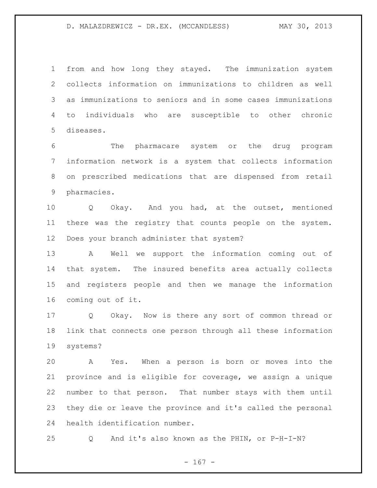## D. MALAZDREWICZ - DR.EX. (MCCANDLESS) MAY 30, 2013

 from and how long they stayed. The immunization system collects information on immunizations to children as well as immunizations to seniors and in some cases immunizations to individuals who are susceptible to other chronic diseases.

 The pharmacare system or the drug program information network is a system that collects information on prescribed medications that are dispensed from retail pharmacies.

 Q Okay. And you had, at the outset, mentioned there was the registry that counts people on the system. Does your branch administer that system?

 A Well we support the information coming out of that system. The insured benefits area actually collects and registers people and then we manage the information coming out of it.

 Q Okay. Now is there any sort of common thread or link that connects one person through all these information systems?

 A Yes. When a person is born or moves into the province and is eligible for coverage, we assign a unique number to that person. That number stays with them until they die or leave the province and it's called the personal health identification number.

Q And it's also known as the PHIN, or P-H-I-N?

 $- 167 -$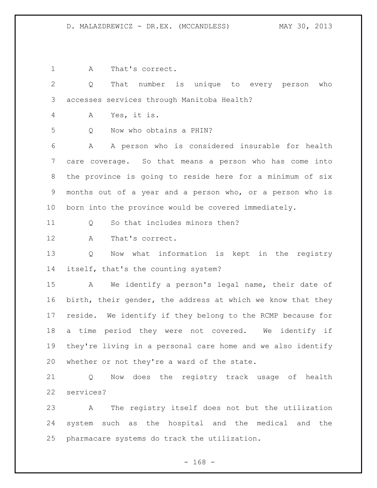## D. MALAZDREWICZ - DR.EX. (MCCANDLESS) MAY 30, 2013

A That's correct.

 Q That number is unique to every person who accesses services through Manitoba Health?

A Yes, it is.

Q Now who obtains a PHIN?

 A A person who is considered insurable for health care coverage. So that means a person who has come into the province is going to reside here for a minimum of six months out of a year and a person who, or a person who is born into the province would be covered immediately.

11 0 So that includes minors then?

A That's correct.

 Q Now what information is kept in the registry itself, that's the counting system?

 A We identify a person's legal name, their date of birth, their gender, the address at which we know that they reside. We identify if they belong to the RCMP because for a time period they were not covered. We identify if they're living in a personal care home and we also identify whether or not they're a ward of the state.

 Q Now does the registry track usage of health services?

 A The registry itself does not but the utilization system such as the hospital and the medical and the pharmacare systems do track the utilization.

- 168 -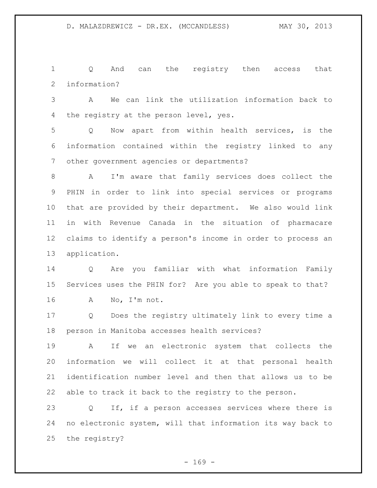Q And can the registry then access that information?

 A We can link the utilization information back to 4 the registry at the person level, yes.

 Q Now apart from within health services, is the information contained within the registry linked to any other government agencies or departments?

 A I'm aware that family services does collect the PHIN in order to link into special services or programs that are provided by their department. We also would link in with Revenue Canada in the situation of pharmacare claims to identify a person's income in order to process an application.

 Q Are you familiar with what information Family Services uses the PHIN for? Are you able to speak to that? A No, I'm not.

 Q Does the registry ultimately link to every time a person in Manitoba accesses health services?

 A If we an electronic system that collects the information we will collect it at that personal health identification number level and then that allows us to be able to track it back to the registry to the person.

 Q If, if a person accesses services where there is no electronic system, will that information its way back to the registry?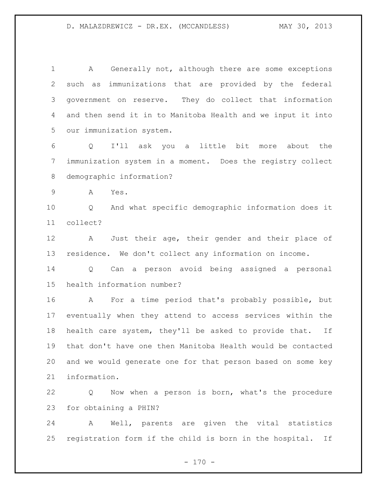A Generally not, although there are some exceptions such as immunizations that are provided by the federal government on reserve. They do collect that information and then send it in to Manitoba Health and we input it into our immunization system.

 Q I'll ask you a little bit more about the immunization system in a moment. Does the registry collect demographic information?

A Yes.

 Q And what specific demographic information does it collect?

 A Just their age, their gender and their place of residence. We don't collect any information on income.

 Q Can a person avoid being assigned a personal health information number?

 A For a time period that's probably possible, but eventually when they attend to access services within the health care system, they'll be asked to provide that. If that don't have one then Manitoba Health would be contacted and we would generate one for that person based on some key information.

 Q Now when a person is born, what's the procedure for obtaining a PHIN?

 A Well, parents are given the vital statistics registration form if the child is born in the hospital. If

 $- 170 -$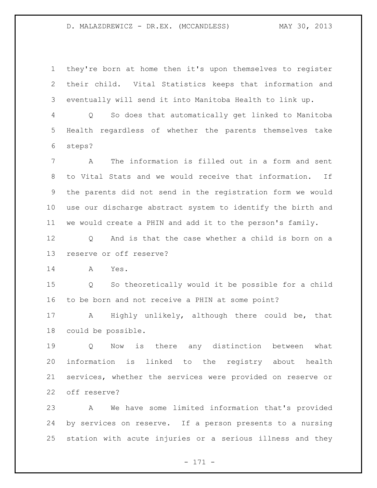## D. MALAZDREWICZ - DR.EX. (MCCANDLESS) MAY 30, 2013

 they're born at home then it's upon themselves to register their child. Vital Statistics keeps that information and eventually will send it into Manitoba Health to link up.

 Q So does that automatically get linked to Manitoba Health regardless of whether the parents themselves take steps?

 A The information is filled out in a form and sent to Vital Stats and we would receive that information. If the parents did not send in the registration form we would use our discharge abstract system to identify the birth and we would create a PHIN and add it to the person's family.

12 O And is that the case whether a child is born on a reserve or off reserve?

A Yes.

 Q So theoretically would it be possible for a child to be born and not receive a PHIN at some point?

 A Highly unlikely, although there could be, that could be possible.

 Q Now is there any distinction between what information is linked to the registry about health services, whether the services were provided on reserve or off reserve?

 A We have some limited information that's provided by services on reserve. If a person presents to a nursing station with acute injuries or a serious illness and they

- 171 -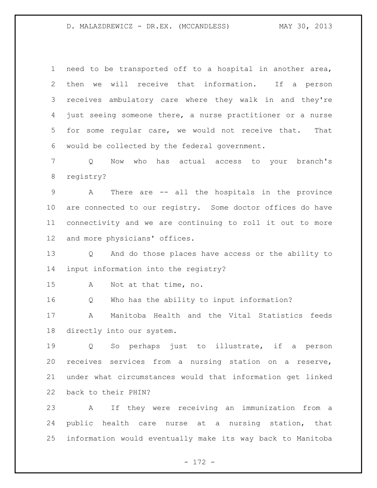need to be transported off to a hospital in another area, then we will receive that information. If a person receives ambulatory care where they walk in and they're just seeing someone there, a nurse practitioner or a nurse for some regular care, we would not receive that. That would be collected by the federal government.

 Q Now who has actual access to your branch's registry?

 A There are -- all the hospitals in the province are connected to our registry. Some doctor offices do have connectivity and we are continuing to roll it out to more and more physicians' offices.

 Q And do those places have access or the ability to input information into the registry?

A Not at that time, no.

Q Who has the ability to input information?

 A Manitoba Health and the Vital Statistics feeds directly into our system.

 Q So perhaps just to illustrate, if a person receives services from a nursing station on a reserve, under what circumstances would that information get linked back to their PHIN?

 A If they were receiving an immunization from a public health care nurse at a nursing station, that information would eventually make its way back to Manitoba

- 172 -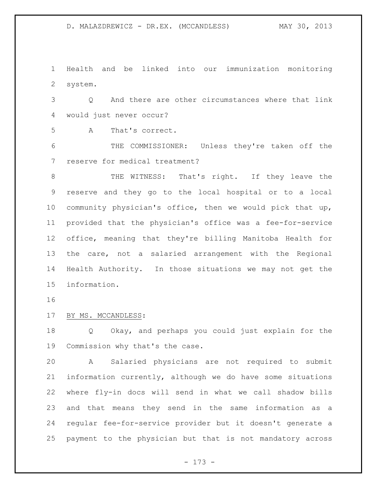Health and be linked into our immunization monitoring system.

 Q And there are other circumstances where that link would just never occur?

A That's correct.

 THE COMMISSIONER: Unless they're taken off the reserve for medical treatment?

 THE WITNESS: That's right. If they leave the reserve and they go to the local hospital or to a local community physician's office, then we would pick that up, provided that the physician's office was a fee-for-service office, meaning that they're billing Manitoba Health for the care, not a salaried arrangement with the Regional Health Authority. In those situations we may not get the information.

BY MS. MCCANDLESS:

 Q Okay, and perhaps you could just explain for the Commission why that's the case.

 A Salaried physicians are not required to submit information currently, although we do have some situations where fly-in docs will send in what we call shadow bills and that means they send in the same information as a regular fee-for-service provider but it doesn't generate a payment to the physician but that is not mandatory across

- 173 -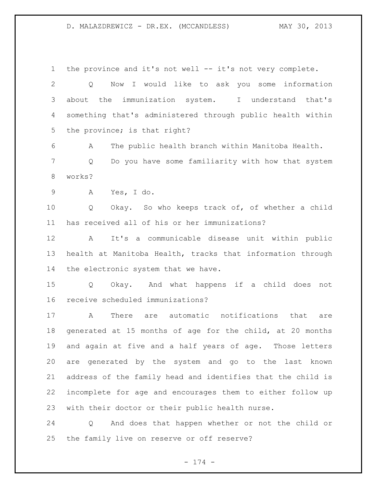the province and it's not well -- it's not very complete. Q Now I would like to ask you some information about the immunization system. I understand that's something that's administered through public health within 5 the province; is that right? A The public health branch within Manitoba Health. Q Do you have some familiarity with how that system works? A Yes, I do. Q Okay. So who keeps track of, of whether a child has received all of his or her immunizations? A It's a communicable disease unit within public health at Manitoba Health, tracks that information through the electronic system that we have. Q Okay. And what happens if a child does not receive scheduled immunizations? A There are automatic notifications that are generated at 15 months of age for the child, at 20 months and again at five and a half years of age. Those letters are generated by the system and go to the last known address of the family head and identifies that the child is incomplete for age and encourages them to either follow up with their doctor or their public health nurse. Q And does that happen whether or not the child or

the family live on reserve or off reserve?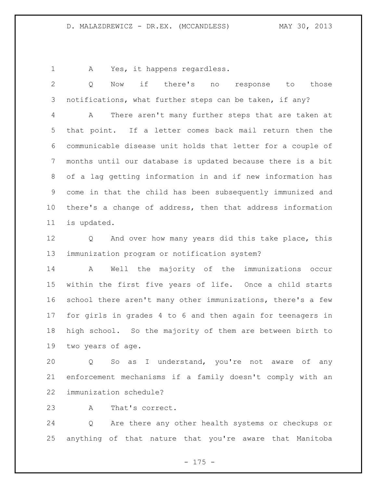A Yes, it happens regardless.

 Q Now if there's no response to those notifications, what further steps can be taken, if any? A There aren't many further steps that are taken at that point. If a letter comes back mail return then the communicable disease unit holds that letter for a couple of months until our database is updated because there is a bit of a lag getting information in and if new information has come in that the child has been subsequently immunized and there's a change of address, then that address information is updated. Q And over how many years did this take place, this immunization program or notification system? A Well the majority of the immunizations occur within the first five years of life. Once a child starts school there aren't many other immunizations, there's a few for girls in grades 4 to 6 and then again for teenagers in

 high school. So the majority of them are between birth to two years of age.

 Q So as I understand, you're not aware of any enforcement mechanisms if a family doesn't comply with an immunization schedule?

A That's correct.

 Q Are there any other health systems or checkups or anything of that nature that you're aware that Manitoba

- 175 -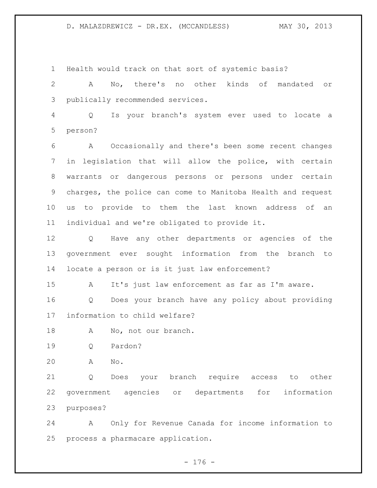D. MALAZDREWICZ - DR.EX. (MCCANDLESS) MAY 30, 2013

Health would track on that sort of systemic basis?

 A No, there's no other kinds of mandated or publically recommended services.

 Q Is your branch's system ever used to locate a person?

 A Occasionally and there's been some recent changes in legislation that will allow the police, with certain warrants or dangerous persons or persons under certain charges, the police can come to Manitoba Health and request us to provide to them the last known address of an individual and we're obligated to provide it.

 Q Have any other departments or agencies of the government ever sought information from the branch to locate a person or is it just law enforcement?

A It's just law enforcement as far as I'm aware.

 Q Does your branch have any policy about providing information to child welfare?

18 A No, not our branch.

Q Pardon?

A No.

 Q Does your branch require access to other government agencies or departments for information purposes?

 A Only for Revenue Canada for income information to process a pharmacare application.

 $- 176 -$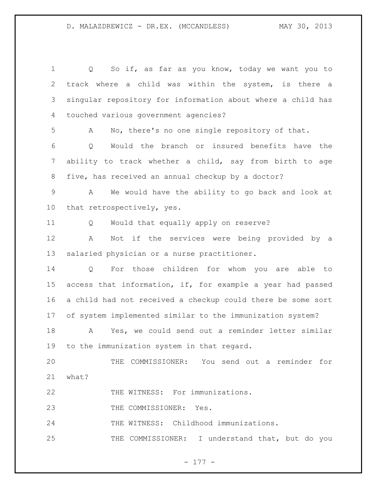| $\overline{2}$<br>3<br>4 | track where a child was within the system, is there a<br>singular repository for information about where a child has |
|--------------------------|----------------------------------------------------------------------------------------------------------------------|
|                          |                                                                                                                      |
|                          |                                                                                                                      |
|                          | touched various government agencies?                                                                                 |
| 5                        | No, there's no one single repository of that.<br>A                                                                   |
| 6                        | Would the branch or insured benefits have<br>Q<br>the                                                                |
| $\overline{7}$           | ability to track whether a child, say from birth to age                                                              |
| 8                        | five, has received an annual checkup by a doctor?                                                                    |
| $\mathsf 9$              | We would have the ability to go back and look at<br>A                                                                |
| 10                       | that retrospectively, yes.                                                                                           |
| 11                       | Would that equally apply on reserve?<br>Q                                                                            |
| 12                       | Not if the services were being provided<br>A<br>by a                                                                 |
| 13                       | salaried physician or a nurse practitioner.                                                                          |
| 14                       | For those children for whom you are able to<br>$Q \qquad \qquad$                                                     |
| 15                       | access that information, if, for example a year had passed                                                           |
| 16                       | a child had not received a checkup could there be some sort                                                          |
| 17                       | of system implemented similar to the immunization system?                                                            |
| 18                       | Yes, we could send out a reminder letter similar<br>A                                                                |
| 19                       | to the immunization system in that regard.                                                                           |
| 20                       | THE COMMISSIONER: You send out a reminder for                                                                        |
| 21                       | what?                                                                                                                |
| 22                       | THE WITNESS: For immunizations.                                                                                      |
| 23                       | THE COMMISSIONER: Yes.                                                                                               |
| 24                       | THE WITNESS: Childhood immunizations.                                                                                |
|                          | THE COMMISSIONER: I understand that, but do you                                                                      |

- 177 -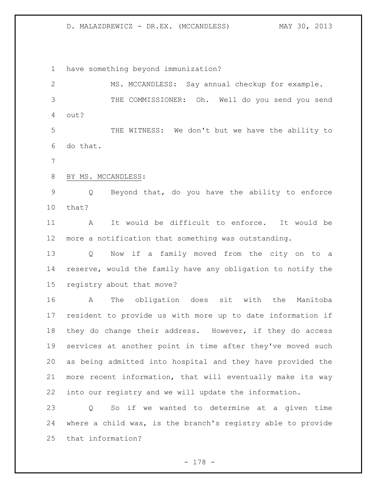## D. MALAZDREWICZ - DR.EX. (MCCANDLESS) MAY 30, 2013

have something beyond immunization?

 MS. MCCANDLESS: Say annual checkup for example. THE COMMISSIONER: Oh. Well do you send you send out? THE WITNESS: We don't but we have the ability to do that. BY MS. MCCANDLESS: Q Beyond that, do you have the ability to enforce that? A It would be difficult to enforce. It would be more a notification that something was outstanding. Q Now if a family moved from the city on to a reserve, would the family have any obligation to notify the registry about that move? A The obligation does sit with the Manitoba resident to provide us with more up to date information if they do change their address. However, if they do access services at another point in time after they've moved such as being admitted into hospital and they have provided the more recent information, that will eventually make its way into our registry and we will update the information. Q So if we wanted to determine at a given time where a child was, is the branch's registry able to provide that information?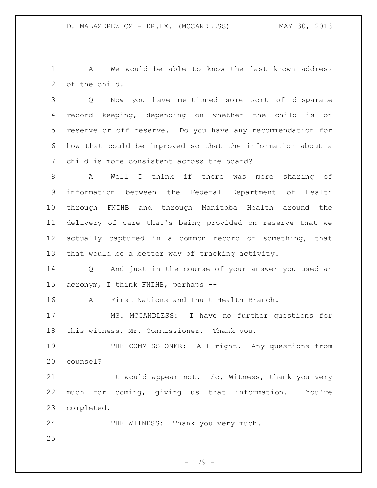A We would be able to know the last known address of the child.

 Q Now you have mentioned some sort of disparate record keeping, depending on whether the child is on reserve or off reserve. Do you have any recommendation for how that could be improved so that the information about a child is more consistent across the board?

 A Well I think if there was more sharing of information between the Federal Department of Health through FNIHB and through Manitoba Health around the delivery of care that's being provided on reserve that we actually captured in a common record or something, that that would be a better way of tracking activity.

 Q And just in the course of your answer you used an acronym, I think FNIHB, perhaps --

A First Nations and Inuit Health Branch.

 MS. MCCANDLESS: I have no further questions for this witness, Mr. Commissioner. Thank you.

 THE COMMISSIONER: All right. Any questions from counsel?

21 It would appear not. So, Witness, thank you very much for coming, giving us that information. You're completed.

24 THE WITNESS: Thank you very much.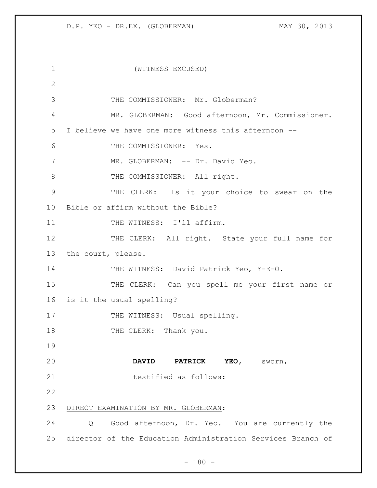| 1             | (WITNESS EXCUSED)                                           |
|---------------|-------------------------------------------------------------|
| $\mathbf{2}$  |                                                             |
| 3             | THE COMMISSIONER: Mr. Globerman?                            |
| 4             | MR. GLOBERMAN: Good afternoon, Mr. Commissioner.            |
| 5             | I believe we have one more witness this afternoon --        |
| 6             | THE COMMISSIONER: Yes.                                      |
| 7             | MR. GLOBERMAN: -- Dr. David Yeo.                            |
| 8             | THE COMMISSIONER: All right.                                |
| $\mathcal{G}$ | THE CLERK: Is it your choice to swear on the                |
| 10            | Bible or affirm without the Bible?                          |
| 11            | THE WITNESS: I'll affirm.                                   |
| 12            | THE CLERK: All right. State your full name for              |
| 13            | the court, please.                                          |
| 14            | THE WITNESS: David Patrick Yeo, Y-E-O.                      |
| 15            | THE CLERK: Can you spell me your first name or              |
| 16            | is it the usual spelling?                                   |
| 17            | THE WITNESS: Usual spelling.                                |
| 18            | THE CLERK: Thank you.                                       |
| 19            |                                                             |
| 20            | YEO, SWOrn,<br><b>DAVID</b><br><b>PATRICK</b>               |
| 21            | testified as follows:                                       |
| 22            |                                                             |
| 23            | DIRECT EXAMINATION BY MR. GLOBERMAN:                        |
| 24            | Good afternoon, Dr. Yeo. You are currently the<br>Q         |
| 25            | director of the Education Administration Services Branch of |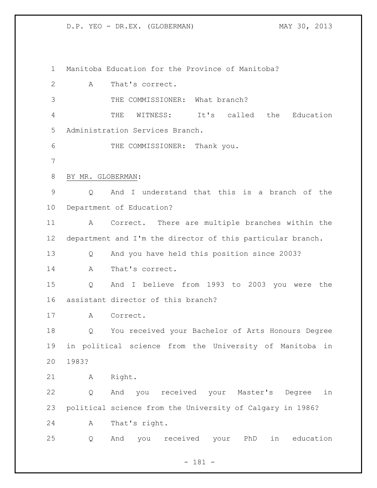Manitoba Education for the Province of Manitoba? A That's correct. 3 THE COMMISSIONER: What branch? THE WITNESS: It's called the Education Administration Services Branch. THE COMMISSIONER: Thank you. BY MR. GLOBERMAN: Q And I understand that this is a branch of the Department of Education? A Correct. There are multiple branches within the department and I'm the director of this particular branch. Q And you have held this position since 2003? 14 A That's correct. Q And I believe from 1993 to 2003 you were the assistant director of this branch? A Correct. Q You received your Bachelor of Arts Honours Degree in political science from the University of Manitoba in 1983? A Right. Q And you received your Master's Degree in political science from the University of Calgary in 1986? A That's right. Q And you received your PhD in education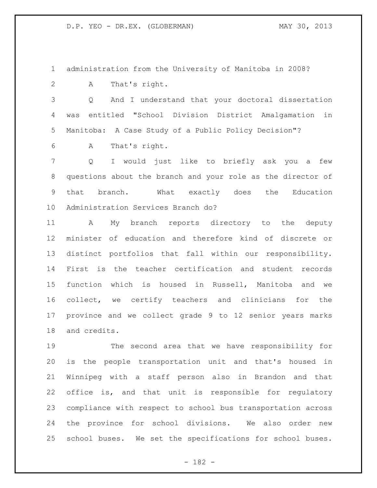administration from the University of Manitoba in 2008?

A That's right.

 Q And I understand that your doctoral dissertation was entitled "School Division District Amalgamation in Manitoba: A Case Study of a Public Policy Decision"?

A That's right.

 Q I would just like to briefly ask you a few questions about the branch and your role as the director of that branch. What exactly does the Education Administration Services Branch do?

 A My branch reports directory to the deputy minister of education and therefore kind of discrete or distinct portfolios that fall within our responsibility. First is the teacher certification and student records function which is housed in Russell, Manitoba and we collect, we certify teachers and clinicians for the province and we collect grade 9 to 12 senior years marks and credits.

 The second area that we have responsibility for is the people transportation unit and that's housed in Winnipeg with a staff person also in Brandon and that office is, and that unit is responsible for regulatory compliance with respect to school bus transportation across the province for school divisions. We also order new school buses. We set the specifications for school buses.

- 182 -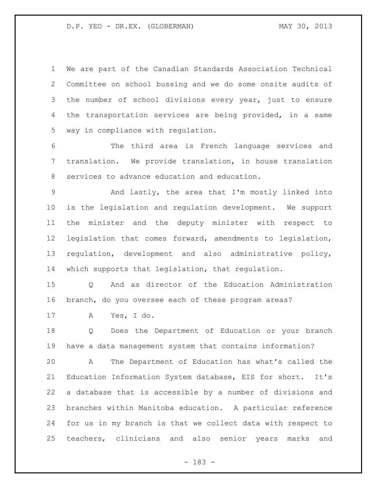We are part of the Canadian Standards Association Technical Committee on school bussing and we do some onsite audits of the number of school divisions every year, just to ensure the transportation services are being provided, in a same way in compliance with regulation.

 The third area is French language services and translation. We provide translation, in house translation services to advance education and education.

 And lastly, the area that I'm mostly linked into is the legislation and regulation development. We support the minister and the deputy minister with respect to legislation that comes forward, amendments to legislation, regulation, development and also administrative policy, which supports that legislation, that regulation.

 Q And as director of the Education Administration branch, do you oversee each of these program areas?

A Yes, I do.

 Q Does the Department of Education or your branch have a data management system that contains information?

 A The Department of Education has what's called the Education Information System database, EIS for short. It's a database that is accessible by a number of divisions and branches within Manitoba education. A particular reference for us in my branch is that we collect data with respect to teachers, clinicians and also senior years marks and

- 183 -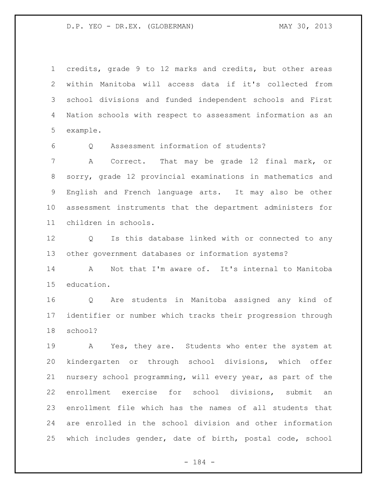credits, grade 9 to 12 marks and credits, but other areas within Manitoba will access data if it's collected from school divisions and funded independent schools and First Nation schools with respect to assessment information as an example.

Q Assessment information of students?

 A Correct. That may be grade 12 final mark, or sorry, grade 12 provincial examinations in mathematics and English and French language arts. It may also be other assessment instruments that the department administers for children in schools.

 Q Is this database linked with or connected to any other government databases or information systems?

14 A Not that I'm aware of. It's internal to Manitoba education.

 Q Are students in Manitoba assigned any kind of identifier or number which tracks their progression through school?

 A Yes, they are. Students who enter the system at kindergarten or through school divisions, which offer nursery school programming, will every year, as part of the enrollment exercise for school divisions, submit an enrollment file which has the names of all students that are enrolled in the school division and other information which includes gender, date of birth, postal code, school

- 184 -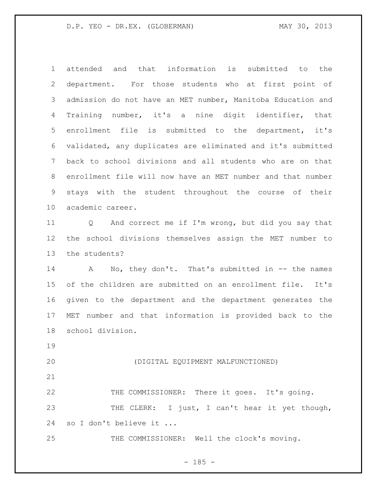attended and that information is submitted to the department. For those students who at first point of admission do not have an MET number, Manitoba Education and Training number, it's a nine digit identifier, that enrollment file is submitted to the department, it's validated, any duplicates are eliminated and it's submitted back to school divisions and all students who are on that enrollment file will now have an MET number and that number stays with the student throughout the course of their academic career.

 Q And correct me if I'm wrong, but did you say that the school divisions themselves assign the MET number to the students?

14 A No, they don't. That's submitted in -- the names of the children are submitted on an enrollment file. It's given to the department and the department generates the MET number and that information is provided back to the school division.

(DIGITAL EQUIPMENT MALFUNCTIONED)

 THE COMMISSIONER: There it goes. It's going. 23 THE CLERK: I just, I can't hear it yet though, so I don't believe it ...

THE COMMISSIONER: Well the clock's moving.

 $- 185 -$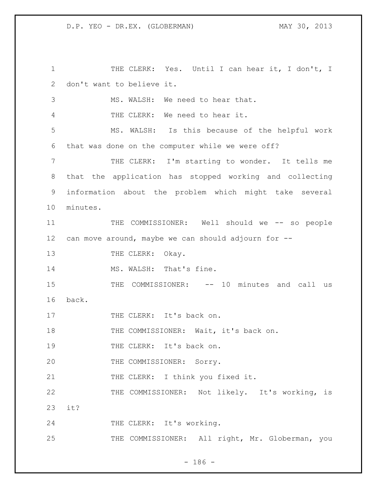1 THE CLERK: Yes. Until I can hear it, I don't, I 2 don't want to believe it. 3 MS. WALSH: We need to hear that. 4 THE CLERK: We need to hear it. 5 MS. WALSH: Is this because of the helpful work 6 that was done on the computer while we were off? 7 THE CLERK: I'm starting to wonder. It tells me 8 that the application has stopped working and collecting 9 information about the problem which might take several 10 minutes. 11 THE COMMISSIONER: Well should we -- so people 12 can move around, maybe we can should adjourn for -- 13 THE CLERK: Okay. 14 MS. WALSH: That's fine. 15 THE COMMISSIONER: -- 10 minutes and call us 16 back. 17 THE CLERK: It's back on. 18 THE COMMISSIONER: Wait, it's back on. 19 THE CLERK: It's back on. 20 THE COMMISSIONER: Sorry. 21 THE CLERK: I think you fixed it. 22 THE COMMISSIONER: Not likely. It's working, is 23 it? 24 THE CLERK: It's working. 25 THE COMMISSIONER: All right, Mr. Globerman, you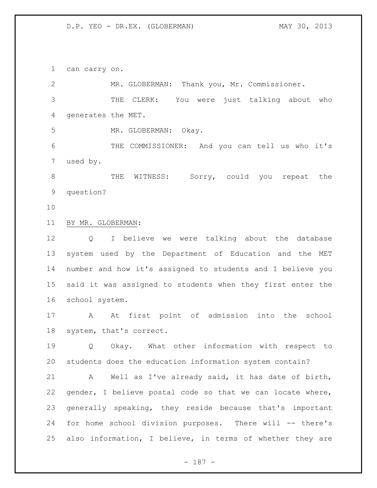can carry on.

| 2               | MR. GLOBERMAN: Thank you, Mr. Commissioner.                 |
|-----------------|-------------------------------------------------------------|
| 3               | THE CLERK: You were just talking about who                  |
| 4               | generates the MET.                                          |
| 5               | MR. GLOBERMAN:<br>Okay.                                     |
| 6               | THE COMMISSIONER: And you can tell us who it's              |
| 7               | used by.                                                    |
| 8               | WITNESS: Sorry, could you repeat the<br>THE                 |
| $\mathsf 9$     | question?                                                   |
| 10              |                                                             |
| 11              | BY MR. GLOBERMAN:                                           |
| 12              | I believe we were talking about the database<br>Q           |
| 13              | system used by the Department of Education and the MET      |
| 14              | number and how it's assigned to students and I believe you  |
| 15 <sub>1</sub> | said it was assigned to students when they first enter the  |
| 16              | school system.                                              |
| 17              | At first point of admission into the school<br>$\mathbf{A}$ |
| 18              | system, that's correct.                                     |
| 19              | Okay. What other information with respect to<br>Q           |
| 20              | students does the education information system contain?     |
| 21              | Well as I've already said, it has date of birth,<br>A       |
| 22              | gender, I believe postal code so that we can locate where,  |
| 23              | generally speaking, they reside because that's important    |
| 24              | for home school division purposes. There will -- there's    |
| 25              | also information, I believe, in terms of whether they are   |
|                 |                                                             |

- 187 -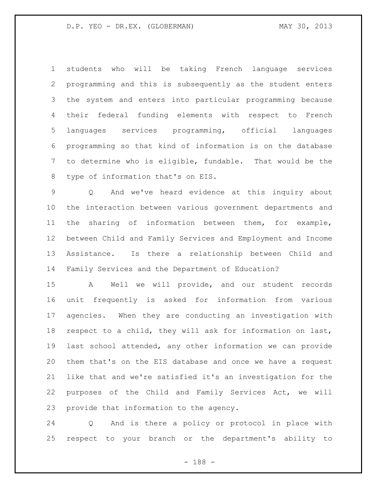students who will be taking French language services programming and this is subsequently as the student enters the system and enters into particular programming because their federal funding elements with respect to French languages services programming, official languages programming so that kind of information is on the database to determine who is eligible, fundable. That would be the type of information that's on EIS.

 Q And we've heard evidence at this inquiry about the interaction between various government departments and the sharing of information between them, for example, between Child and Family Services and Employment and Income Assistance. Is there a relationship between Child and Family Services and the Department of Education?

 A Well we will provide, and our student records unit frequently is asked for information from various agencies. When they are conducting an investigation with respect to a child, they will ask for information on last, last school attended, any other information we can provide them that's on the EIS database and once we have a request like that and we're satisfied it's an investigation for the purposes of the Child and Family Services Act, we will provide that information to the agency.

 Q And is there a policy or protocol in place with respect to your branch or the department's ability to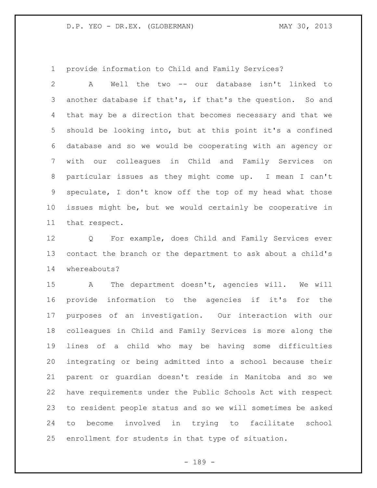provide information to Child and Family Services?

 A Well the two -- our database isn't linked to another database if that's, if that's the question. So and that may be a direction that becomes necessary and that we should be looking into, but at this point it's a confined database and so we would be cooperating with an agency or with our colleagues in Child and Family Services on particular issues as they might come up. I mean I can't speculate, I don't know off the top of my head what those issues might be, but we would certainly be cooperative in that respect.

 Q For example, does Child and Family Services ever contact the branch or the department to ask about a child's whereabouts?

 A The department doesn't, agencies will. We will provide information to the agencies if it's for the purposes of an investigation. Our interaction with our colleagues in Child and Family Services is more along the lines of a child who may be having some difficulties integrating or being admitted into a school because their parent or guardian doesn't reside in Manitoba and so we have requirements under the Public Schools Act with respect to resident people status and so we will sometimes be asked to become involved in trying to facilitate school enrollment for students in that type of situation.

- 189 -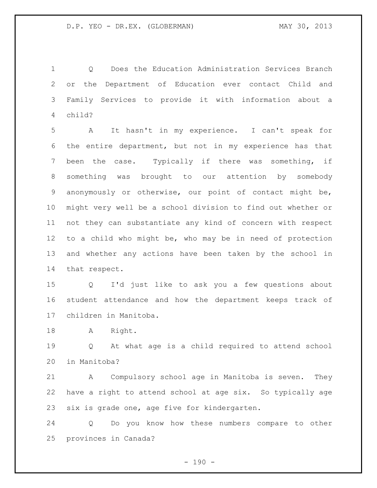Q Does the Education Administration Services Branch or the Department of Education ever contact Child and Family Services to provide it with information about a child?

 A It hasn't in my experience. I can't speak for the entire department, but not in my experience has that been the case. Typically if there was something, if something was brought to our attention by somebody anonymously or otherwise, our point of contact might be, might very well be a school division to find out whether or not they can substantiate any kind of concern with respect to a child who might be, who may be in need of protection and whether any actions have been taken by the school in that respect.

 Q I'd just like to ask you a few questions about student attendance and how the department keeps track of children in Manitoba.

18 A Right.

 Q At what age is a child required to attend school in Manitoba?

 A Compulsory school age in Manitoba is seven. They have a right to attend school at age six. So typically age six is grade one, age five for kindergarten.

 Q Do you know how these numbers compare to other provinces in Canada?

 $- 190 -$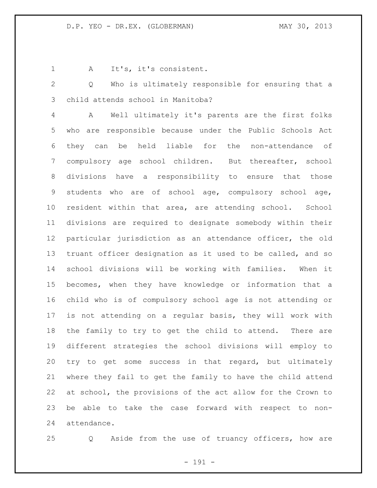1 A It's, it's consistent.

 Q Who is ultimately responsible for ensuring that a child attends school in Manitoba?

 A Well ultimately it's parents are the first folks who are responsible because under the Public Schools Act they can be held liable for the non-attendance of compulsory age school children. But thereafter, school divisions have a responsibility to ensure that those students who are of school age, compulsory school age, resident within that area, are attending school. School divisions are required to designate somebody within their particular jurisdiction as an attendance officer, the old truant officer designation as it used to be called, and so school divisions will be working with families. When it becomes, when they have knowledge or information that a child who is of compulsory school age is not attending or is not attending on a regular basis, they will work with the family to try to get the child to attend. There are different strategies the school divisions will employ to try to get some success in that regard, but ultimately where they fail to get the family to have the child attend at school, the provisions of the act allow for the Crown to be able to take the case forward with respect to non-attendance.

Q Aside from the use of truancy officers, how are

- 191 -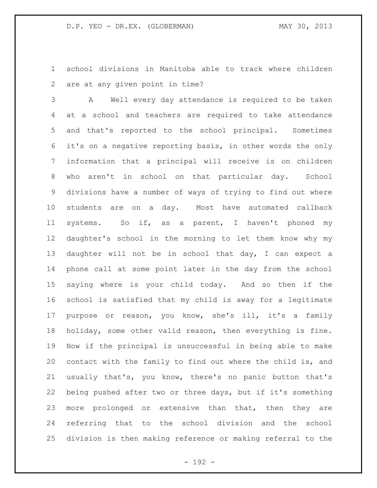school divisions in Manitoba able to track where children are at any given point in time?

 A Well every day attendance is required to be taken at a school and teachers are required to take attendance and that's reported to the school principal. Sometimes it's on a negative reporting basis, in other words the only information that a principal will receive is on children who aren't in school on that particular day. School divisions have a number of ways of trying to find out where students are on a day. Most have automated callback systems. So if, as a parent, I haven't phoned my daughter's school in the morning to let them know why my daughter will not be in school that day, I can expect a phone call at some point later in the day from the school saying where is your child today. And so then if the school is satisfied that my child is away for a legitimate purpose or reason, you know, she's ill, it's a family holiday, some other valid reason, then everything is fine. Now if the principal is unsuccessful in being able to make contact with the family to find out where the child is, and usually that's, you know, there's no panic button that's being pushed after two or three days, but if it's something more prolonged or extensive than that, then they are referring that to the school division and the school division is then making reference or making referral to the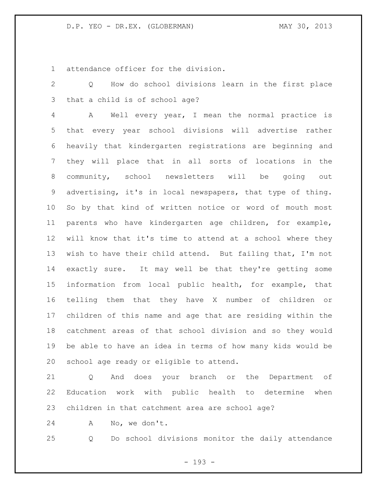attendance officer for the division.

 Q How do school divisions learn in the first place that a child is of school age?

 A Well every year, I mean the normal practice is that every year school divisions will advertise rather heavily that kindergarten registrations are beginning and they will place that in all sorts of locations in the community, school newsletters will be going out advertising, it's in local newspapers, that type of thing. So by that kind of written notice or word of mouth most parents who have kindergarten age children, for example, will know that it's time to attend at a school where they wish to have their child attend. But failing that, I'm not exactly sure. It may well be that they're getting some information from local public health, for example, that telling them that they have X number of children or children of this name and age that are residing within the catchment areas of that school division and so they would be able to have an idea in terms of how many kids would be school age ready or eligible to attend.

 Q And does your branch or the Department of Education work with public health to determine when children in that catchment area are school age?

A No, we don't.

Q Do school divisions monitor the daily attendance

- 193 -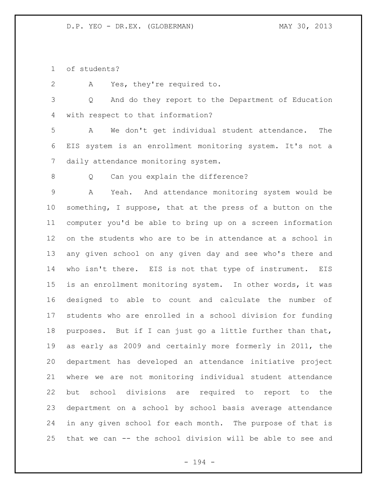of students?

A Yes, they're required to.

 Q And do they report to the Department of Education with respect to that information?

 A We don't get individual student attendance. The EIS system is an enrollment monitoring system. It's not a daily attendance monitoring system.

8 Q Can you explain the difference?

 A Yeah. And attendance monitoring system would be something, I suppose, that at the press of a button on the computer you'd be able to bring up on a screen information on the students who are to be in attendance at a school in any given school on any given day and see who's there and who isn't there. EIS is not that type of instrument. EIS is an enrollment monitoring system. In other words, it was designed to able to count and calculate the number of students who are enrolled in a school division for funding purposes. But if I can just go a little further than that, as early as 2009 and certainly more formerly in 2011, the department has developed an attendance initiative project where we are not monitoring individual student attendance but school divisions are required to report to the department on a school by school basis average attendance in any given school for each month. The purpose of that is that we can -- the school division will be able to see and

- 194 -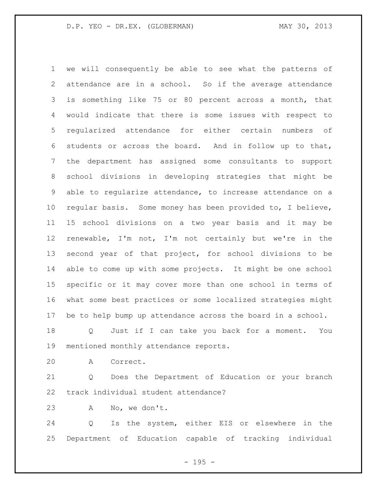we will consequently be able to see what the patterns of attendance are in a school. So if the average attendance is something like 75 or 80 percent across a month, that would indicate that there is some issues with respect to regularized attendance for either certain numbers of students or across the board. And in follow up to that, the department has assigned some consultants to support school divisions in developing strategies that might be able to regularize attendance, to increase attendance on a regular basis. Some money has been provided to, I believe, 15 school divisions on a two year basis and it may be renewable, I'm not, I'm not certainly but we're in the second year of that project, for school divisions to be able to come up with some projects. It might be one school specific or it may cover more than one school in terms of what some best practices or some localized strategies might be to help bump up attendance across the board in a school.

 Q Just if I can take you back for a moment. You mentioned monthly attendance reports.

A Correct.

 Q Does the Department of Education or your branch track individual student attendance?

A No, we don't.

 Q Is the system, either EIS or elsewhere in the Department of Education capable of tracking individual

 $- 195 -$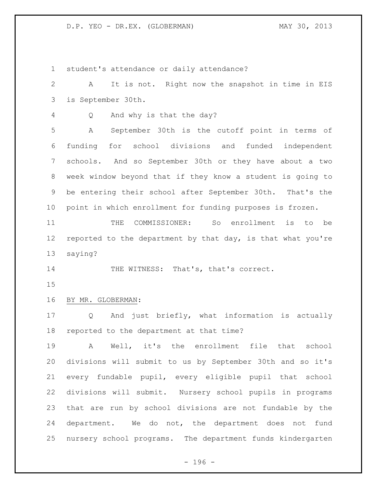student's attendance or daily attendance? A It is not. Right now the snapshot in time in EIS is September 30th. Q And why is that the day? A September 30th is the cutoff point in terms of funding for school divisions and funded independent schools. And so September 30th or they have about a two week window beyond that if they know a student is going to be entering their school after September 30th. That's the point in which enrollment for funding purposes is frozen. THE COMMISSIONER: So enrollment is to be reported to the department by that day, is that what you're saying? 14 THE WITNESS: That's, that's correct. BY MR. GLOBERMAN: Q And just briefly, what information is actually reported to the department at that time? A Well, it's the enrollment file that school divisions will submit to us by September 30th and so it's every fundable pupil, every eligible pupil that school divisions will submit. Nursery school pupils in programs that are run by school divisions are not fundable by the department. We do not, the department does not fund nursery school programs. The department funds kindergarten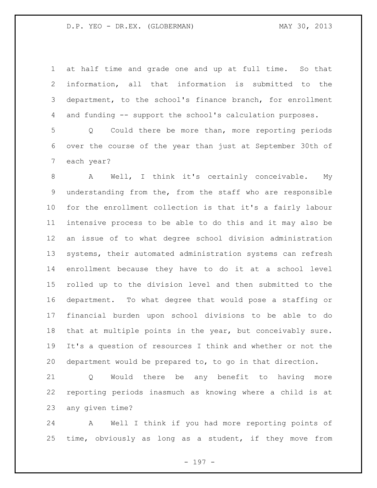at half time and grade one and up at full time. So that information, all that information is submitted to the department, to the school's finance branch, for enrollment and funding -- support the school's calculation purposes.

 Q Could there be more than, more reporting periods over the course of the year than just at September 30th of each year?

 A Well, I think it's certainly conceivable. My understanding from the, from the staff who are responsible for the enrollment collection is that it's a fairly labour intensive process to be able to do this and it may also be an issue of to what degree school division administration systems, their automated administration systems can refresh enrollment because they have to do it at a school level rolled up to the division level and then submitted to the department. To what degree that would pose a staffing or financial burden upon school divisions to be able to do that at multiple points in the year, but conceivably sure. It's a question of resources I think and whether or not the department would be prepared to, to go in that direction.

 Q Would there be any benefit to having more reporting periods inasmuch as knowing where a child is at any given time?

 A Well I think if you had more reporting points of time, obviously as long as a student, if they move from

- 197 -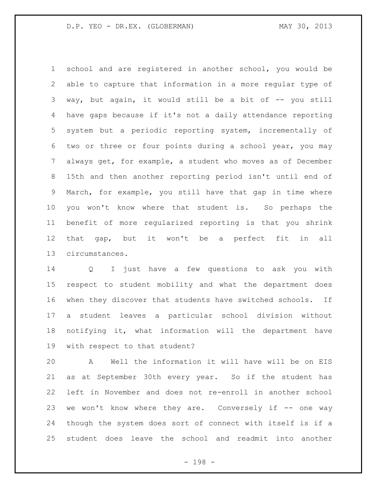school and are registered in another school, you would be able to capture that information in a more regular type of 3 way, but again, it would still be a bit of -- you still have gaps because if it's not a daily attendance reporting system but a periodic reporting system, incrementally of two or three or four points during a school year, you may always get, for example, a student who moves as of December 15th and then another reporting period isn't until end of March, for example, you still have that gap in time where you won't know where that student is. So perhaps the benefit of more regularized reporting is that you shrink that gap, but it won't be a perfect fit in all circumstances.

 Q I just have a few questions to ask you with respect to student mobility and what the department does when they discover that students have switched schools. If a student leaves a particular school division without notifying it, what information will the department have with respect to that student?

 A Well the information it will have will be on EIS as at September 30th every year. So if the student has left in November and does not re-enroll in another school we won't know where they are. Conversely if -- one way though the system does sort of connect with itself is if a student does leave the school and readmit into another

- 198 -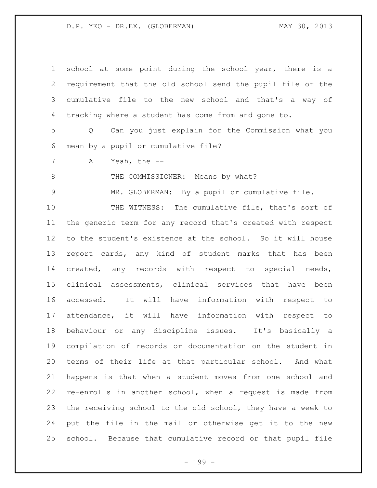| $\mathbf 1$    | school at some point during the school year, there is a               |
|----------------|-----------------------------------------------------------------------|
| $\overline{2}$ | requirement that the old school send the pupil file or the            |
| 3              | cumulative file to the new school and that's a way of                 |
| 4              | tracking where a student has come from and gone to.                   |
| 5              | Can you just explain for the Commission what you<br>$Q \qquad \qquad$ |
| 6              | mean by a pupil or cumulative file?                                   |
| $7\phantom{.}$ | Yeah, the $--$<br>Α                                                   |
| $\,8\,$        | THE COMMISSIONER: Means by what?                                      |
| $\mathcal{G}$  | MR. GLOBERMAN: By a pupil or cumulative file.                         |
| 10             | THE WITNESS: The cumulative file, that's sort of                      |
| 11             | the generic term for any record that's created with respect           |
| 12             | to the student's existence at the school. So it will house            |
| 13             | report cards, any kind of student marks that has been                 |
| 14             | created, any records with respect to special needs,                   |
| 15             | clinical assessments, clinical services that have been                |
| 16             | It will have information with respect to<br>accessed.                 |
| 17             | attendance, it will have information with respect to                  |
| 18             | behaviour or any discipline issues. It's basically a                  |
| 19             | compilation of records or documentation on the student in             |
| 20             | terms of their life at that particular school. And what               |
| 21             | happens is that when a student moves from one school and              |
| 22             | re-enrolls in another school, when a request is made from             |
| 23             | the receiving school to the old school, they have a week to           |
| 24             | put the file in the mail or otherwise get it to the new               |
| 25             | school. Because that cumulative record or that pupil file             |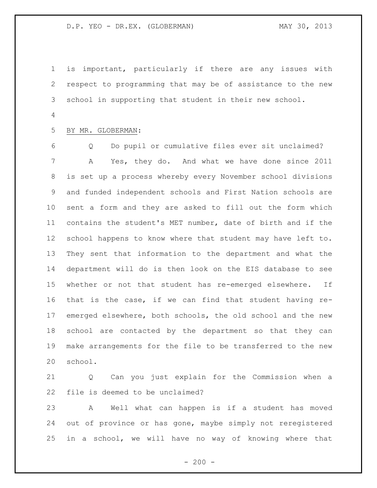is important, particularly if there are any issues with respect to programming that may be of assistance to the new school in supporting that student in their new school. 

## BY MR. GLOBERMAN:

 Q Do pupil or cumulative files ever sit unclaimed? A Yes, they do. And what we have done since 2011 is set up a process whereby every November school divisions and funded independent schools and First Nation schools are sent a form and they are asked to fill out the form which contains the student's MET number, date of birth and if the school happens to know where that student may have left to. They sent that information to the department and what the department will do is then look on the EIS database to see whether or not that student has re-emerged elsewhere. If that is the case, if we can find that student having re- emerged elsewhere, both schools, the old school and the new school are contacted by the department so that they can make arrangements for the file to be transferred to the new school.

 Q Can you just explain for the Commission when a file is deemed to be unclaimed?

 A Well what can happen is if a student has moved out of province or has gone, maybe simply not reregistered in a school, we will have no way of knowing where that

 $-200 -$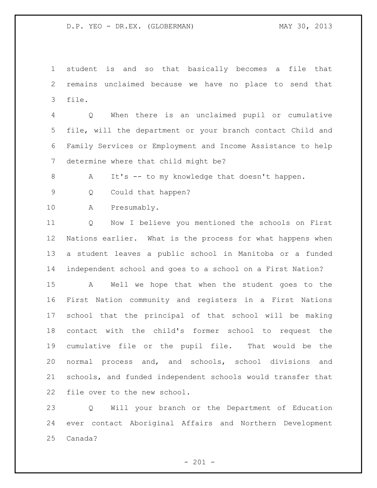student is and so that basically becomes a file that remains unclaimed because we have no place to send that file.

 Q When there is an unclaimed pupil or cumulative file, will the department or your branch contact Child and Family Services or Employment and Income Assistance to help determine where that child might be?

A It's -- to my knowledge that doesn't happen.

Q Could that happen?

A Presumably.

 Q Now I believe you mentioned the schools on First Nations earlier. What is the process for what happens when a student leaves a public school in Manitoba or a funded independent school and goes to a school on a First Nation?

 A Well we hope that when the student goes to the First Nation community and registers in a First Nations school that the principal of that school will be making contact with the child's former school to request the cumulative file or the pupil file. That would be the normal process and, and schools, school divisions and schools, and funded independent schools would transfer that file over to the new school.

 Q Will your branch or the Department of Education ever contact Aboriginal Affairs and Northern Development Canada?

 $- 201 -$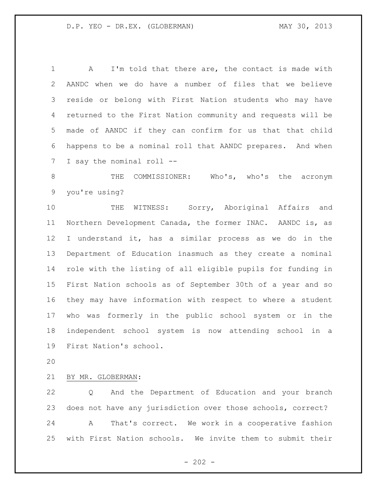A I'm told that there are, the contact is made with AANDC when we do have a number of files that we believe reside or belong with First Nation students who may have returned to the First Nation community and requests will be made of AANDC if they can confirm for us that that child happens to be a nominal roll that AANDC prepares. And when I say the nominal roll --

8 THE COMMISSIONER: Who's, who's the acronym you're using?

10 THE WITNESS: Sorry, Aboriginal Affairs and Northern Development Canada, the former INAC. AANDC is, as I understand it, has a similar process as we do in the Department of Education inasmuch as they create a nominal role with the listing of all eligible pupils for funding in First Nation schools as of September 30th of a year and so they may have information with respect to where a student who was formerly in the public school system or in the independent school system is now attending school in a First Nation's school.

## BY MR. GLOBERMAN:

 Q And the Department of Education and your branch does not have any jurisdiction over those schools, correct? A That's correct. We work in a cooperative fashion with First Nation schools. We invite them to submit their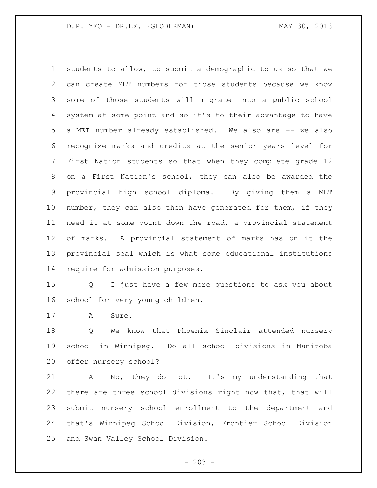students to allow, to submit a demographic to us so that we can create MET numbers for those students because we know some of those students will migrate into a public school system at some point and so it's to their advantage to have a MET number already established. We also are -- we also recognize marks and credits at the senior years level for First Nation students so that when they complete grade 12 on a First Nation's school, they can also be awarded the provincial high school diploma. By giving them a MET 10 number, they can also then have generated for them, if they need it at some point down the road, a provincial statement of marks. A provincial statement of marks has on it the provincial seal which is what some educational institutions require for admission purposes.

 Q I just have a few more questions to ask you about school for very young children.

A Sure.

 Q We know that Phoenix Sinclair attended nursery school in Winnipeg. Do all school divisions in Manitoba offer nursery school?

 A No, they do not. It's my understanding that there are three school divisions right now that, that will submit nursery school enrollment to the department and that's Winnipeg School Division, Frontier School Division and Swan Valley School Division.

 $- 203 -$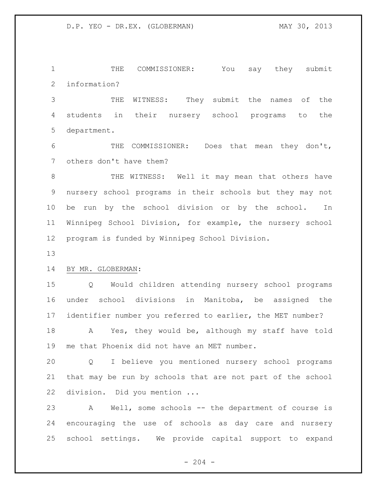THE COMMISSIONER: You say they submit information?

 THE WITNESS: They submit the names of the students in their nursery school programs to the department.

 THE COMMISSIONER: Does that mean they don't, others don't have them?

 THE WITNESS: Well it may mean that others have nursery school programs in their schools but they may not be run by the school division or by the school. In Winnipeg School Division, for example, the nursery school program is funded by Winnipeg School Division.

## BY MR. GLOBERMAN:

 Q Would children attending nursery school programs under school divisions in Manitoba, be assigned the identifier number you referred to earlier, the MET number?

 A Yes, they would be, although my staff have told me that Phoenix did not have an MET number.

 Q I believe you mentioned nursery school programs that may be run by schools that are not part of the school division. Did you mention ...

 A Well, some schools -- the department of course is encouraging the use of schools as day care and nursery school settings. We provide capital support to expand

 $-204 -$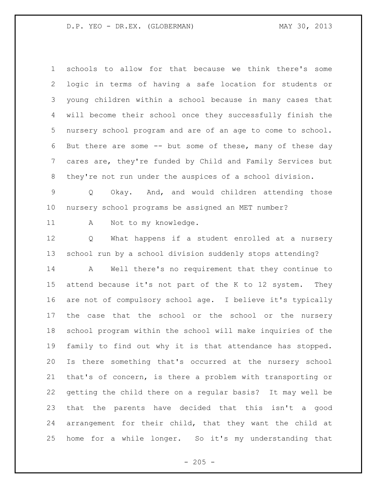schools to allow for that because we think there's some logic in terms of having a safe location for students or young children within a school because in many cases that will become their school once they successfully finish the nursery school program and are of an age to come to school. But there are some -- but some of these, many of these day cares are, they're funded by Child and Family Services but they're not run under the auspices of a school division.

 Q Okay. And, and would children attending those nursery school programs be assigned an MET number?

11 A Not to my knowledge.

 Q What happens if a student enrolled at a nursery school run by a school division suddenly stops attending?

 A Well there's no requirement that they continue to attend because it's not part of the K to 12 system. They are not of compulsory school age. I believe it's typically 17 the case that the school or the school or the nursery school program within the school will make inquiries of the family to find out why it is that attendance has stopped. Is there something that's occurred at the nursery school that's of concern, is there a problem with transporting or getting the child there on a regular basis? It may well be that the parents have decided that this isn't a good arrangement for their child, that they want the child at home for a while longer. So it's my understanding that

 $- 205 -$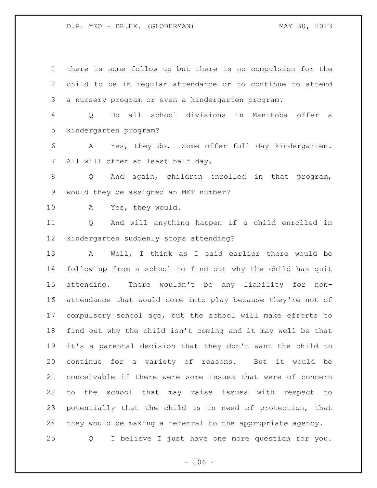child to be in regular attendance or to continue to attend a nursery program or even a kindergarten program. Q Do all school divisions in Manitoba offer a kindergarten program? A Yes, they do. Some offer full day kindergarten. All will offer at least half day. Q And again, children enrolled in that program, would they be assigned an MET number? A Yes, they would. Q And will anything happen if a child enrolled in kindergarten suddenly stops attending? A Well, I think as I said earlier there would be follow up from a school to find out why the child has quit attending. There wouldn't be any liability for non- attendance that would come into play because they're not of compulsory school age, but the school will make efforts to find out why the child isn't coming and it may well be that it's a parental decision that they don't want the child to continue for a variety of reasons. But it would be conceivable if there were some issues that were of concern to the school that may raise issues with respect to potentially that the child is in need of protection, that they would be making a referral to the appropriate agency. Q I believe I just have one more question for you.

there is some follow up but there is no compulsion for the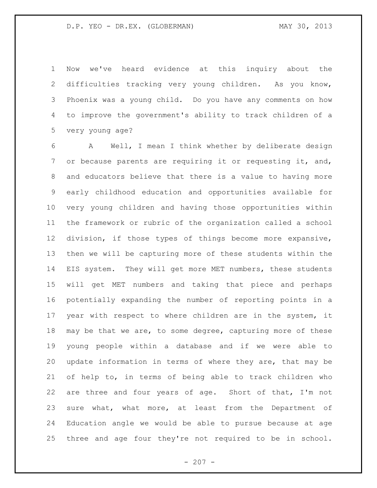Now we've heard evidence at this inquiry about the difficulties tracking very young children. As you know, Phoenix was a young child. Do you have any comments on how to improve the government's ability to track children of a very young age?

 A Well, I mean I think whether by deliberate design or because parents are requiring it or requesting it, and, and educators believe that there is a value to having more early childhood education and opportunities available for very young children and having those opportunities within the framework or rubric of the organization called a school division, if those types of things become more expansive, then we will be capturing more of these students within the EIS system. They will get more MET numbers, these students will get MET numbers and taking that piece and perhaps potentially expanding the number of reporting points in a year with respect to where children are in the system, it 18 may be that we are, to some degree, capturing more of these young people within a database and if we were able to update information in terms of where they are, that may be of help to, in terms of being able to track children who are three and four years of age. Short of that, I'm not sure what, what more, at least from the Department of Education angle we would be able to pursue because at age three and age four they're not required to be in school.

 $- 207 -$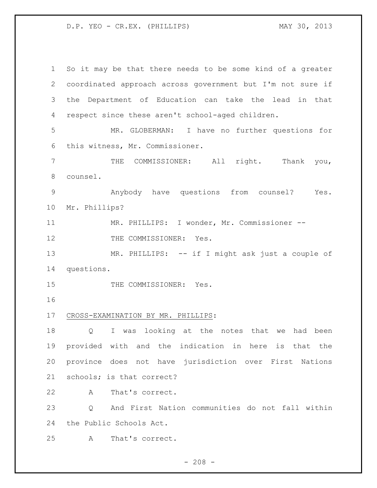D.P. YEO - CR.EX. (PHILLIPS) MAY 30, 2013

 So it may be that there needs to be some kind of a greater coordinated approach across government but I'm not sure if the Department of Education can take the lead in that respect since these aren't school-aged children. MR. GLOBERMAN: I have no further questions for this witness, Mr. Commissioner. THE COMMISSIONER: All right. Thank you, counsel. Anybody have questions from counsel? Yes. Mr. Phillips? MR. PHILLIPS: I wonder, Mr. Commissioner -- 12 THE COMMISSIONER: Yes. 13 MR. PHILLIPS: -- if I might ask just a couple of questions. 15 THE COMMISSIONER: Yes. CROSS-EXAMINATION BY MR. PHILLIPS: Q I was looking at the notes that we had been provided with and the indication in here is that the province does not have jurisdiction over First Nations schools; is that correct? A That's correct. Q And First Nation communities do not fall within the Public Schools Act. A That's correct.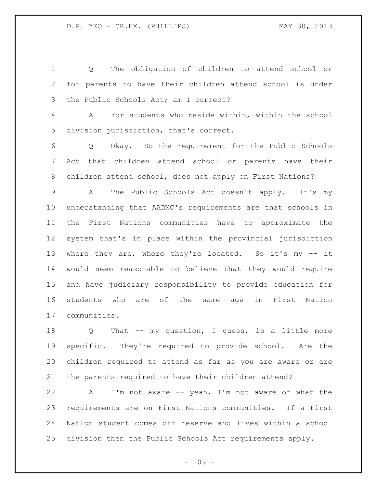Q The obligation of children to attend school or for parents to have their children attend school is under the Public Schools Act; am I correct?

 A For students who reside within, within the school division jurisdiction, that's correct.

 Q Okay. So the requirement for the Public Schools Act that children attend school or parents have their children attend school, does not apply on First Nations?

 A The Public Schools Act doesn't apply. It's my understanding that AADNC's requirements are that schools in the First Nations communities have to approximate the system that's in place within the provincial jurisdiction where they are, where they're located. So it's my -- it would seem reasonable to believe that they would require and have judiciary responsibility to provide education for students who are of the same age in First Nation communities.

 Q That -- my question, I guess, is a little more specific. They're required to provide school. Are the children required to attend as far as you are aware or are the parents required to have their children attend?

 A I'm not aware -- yeah, I'm not aware of what the requirements are on First Nations communities. If a First Nation student comes off reserve and lives within a school division then the Public Schools Act requirements apply.

 $-209 -$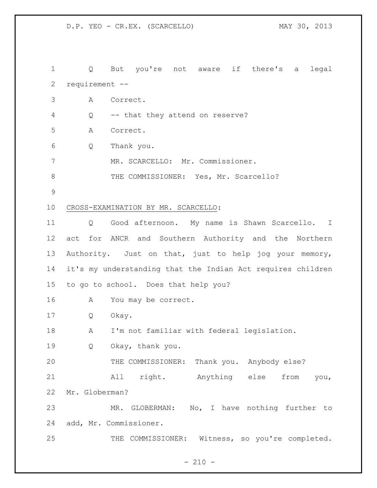D.P. YEO - CR.EX. (SCARCELLO) MAY 30, 2013

 Q But you're not aware if there's a legal requirement -- A Correct. Q -- that they attend on reserve? A Correct. Q Thank you. MR. SCARCELLO: Mr. Commissioner. 8 THE COMMISSIONER: Yes, Mr. Scarcello? CROSS-EXAMINATION BY MR. SCARCELLO: Q Good afternoon. My name is Shawn Scarcello. I act for ANCR and Southern Authority and the Northern Authority. Just on that, just to help jog your memory, it's my understanding that the Indian Act requires children to go to school. Does that help you? A You may be correct. Q Okay. A I'm not familiar with federal legislation. Q Okay, thank you. THE COMMISSIONER: Thank you. Anybody else? All right. Anything else from you, Mr. Globerman? MR. GLOBERMAN: No, I have nothing further to add, Mr. Commissioner. 25 THE COMMISSIONER: Witness, so you're completed.